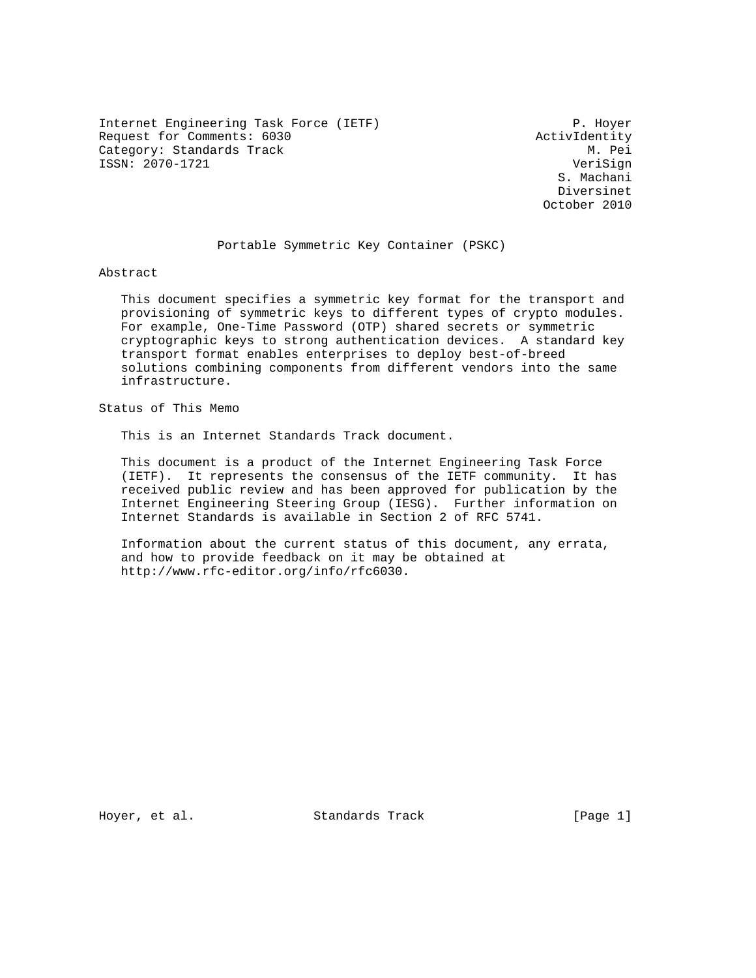Internet Engineering Task Force (IETF) P. Hoyer Request for Comments: 6030 <br>Category: Standards Track M. Pei Category: Standards Track ISSN: 2070-1721 VeriSign

 S. Machani Diversinet October 2010

#### Portable Symmetric Key Container (PSKC)

Abstract

 This document specifies a symmetric key format for the transport and provisioning of symmetric keys to different types of crypto modules. For example, One-Time Password (OTP) shared secrets or symmetric cryptographic keys to strong authentication devices. A standard key transport format enables enterprises to deploy best-of-breed solutions combining components from different vendors into the same infrastructure.

Status of This Memo

This is an Internet Standards Track document.

 This document is a product of the Internet Engineering Task Force (IETF). It represents the consensus of the IETF community. It has received public review and has been approved for publication by the Internet Engineering Steering Group (IESG). Further information on Internet Standards is available in Section 2 of RFC 5741.

 Information about the current status of this document, any errata, and how to provide feedback on it may be obtained at http://www.rfc-editor.org/info/rfc6030.

Hoyer, et al. Standards Track [Page 1]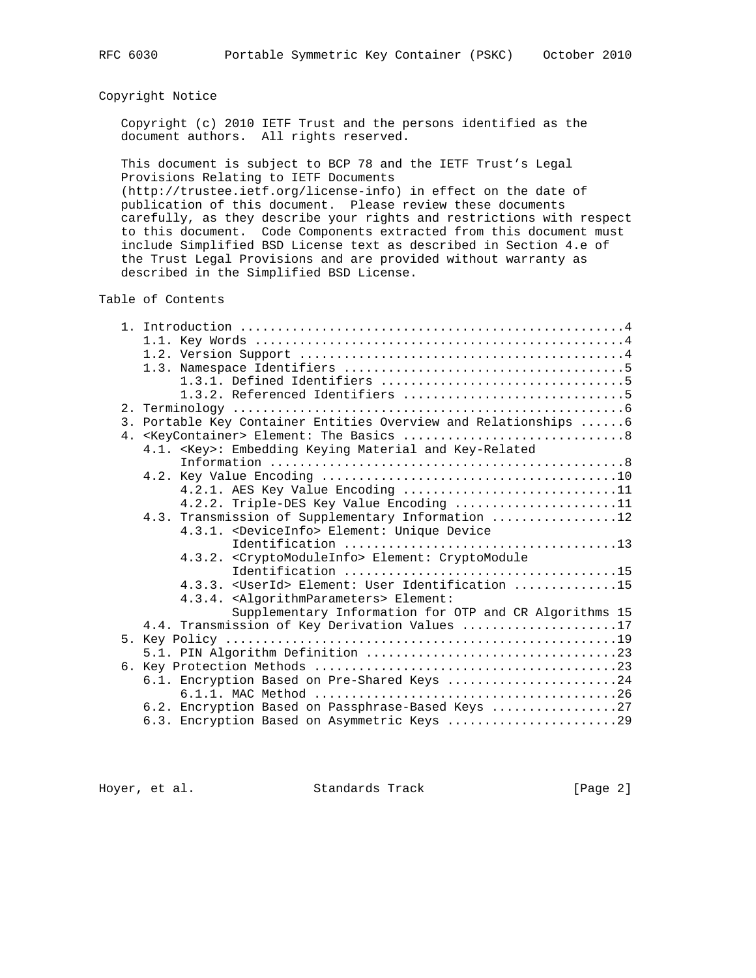# Copyright Notice

 Copyright (c) 2010 IETF Trust and the persons identified as the document authors. All rights reserved.

 This document is subject to BCP 78 and the IETF Trust's Legal Provisions Relating to IETF Documents (http://trustee.ietf.org/license-info) in effect on the date of publication of this document. Please review these documents carefully, as they describe your rights and restrictions with respect to this document. Code Components extracted from this document must include Simplified BSD License text as described in Section 4.e of the Trust Legal Provisions and are provided without warranty as described in the Simplified BSD License.

Table of Contents

|  | 3. Portable Key Container Entities Overview and Relationships 6 |
|--|-----------------------------------------------------------------|
|  |                                                                 |
|  | 4.1. < Key>: Embedding Keying Material and Key-Related          |
|  |                                                                 |
|  |                                                                 |
|  | 4.2.1. AES Key Value Encoding 11                                |
|  | 4.2.2. Triple-DES Key Value Encoding 11                         |
|  | 4.3. Transmission of Supplementary Information 12               |
|  | 4.3.1. < DeviceInfo> Element: Unique Device                     |
|  |                                                                 |
|  | 4.3.2. < Crypto ModuleInfo> Element: Crypto Module              |
|  |                                                                 |
|  | 4.3.3. < UserId> Element: User Identification 15                |
|  | 4.3.4. <algorithmparameters> Element:</algorithmparameters>     |
|  | Supplementary Information for OTP and CR Algorithms 15          |
|  | 4.4. Transmission of Key Derivation Values 17                   |
|  |                                                                 |
|  |                                                                 |
|  |                                                                 |
|  | 6.1. Encryption Based on Pre-Shared Keys 24                     |
|  |                                                                 |
|  | 6.2. Encryption Based on Passphrase-Based Keys 27               |
|  | 6.3. Encryption Based on Asymmetric Keys 29                     |

Hoyer, et al. Standards Track [Page 2]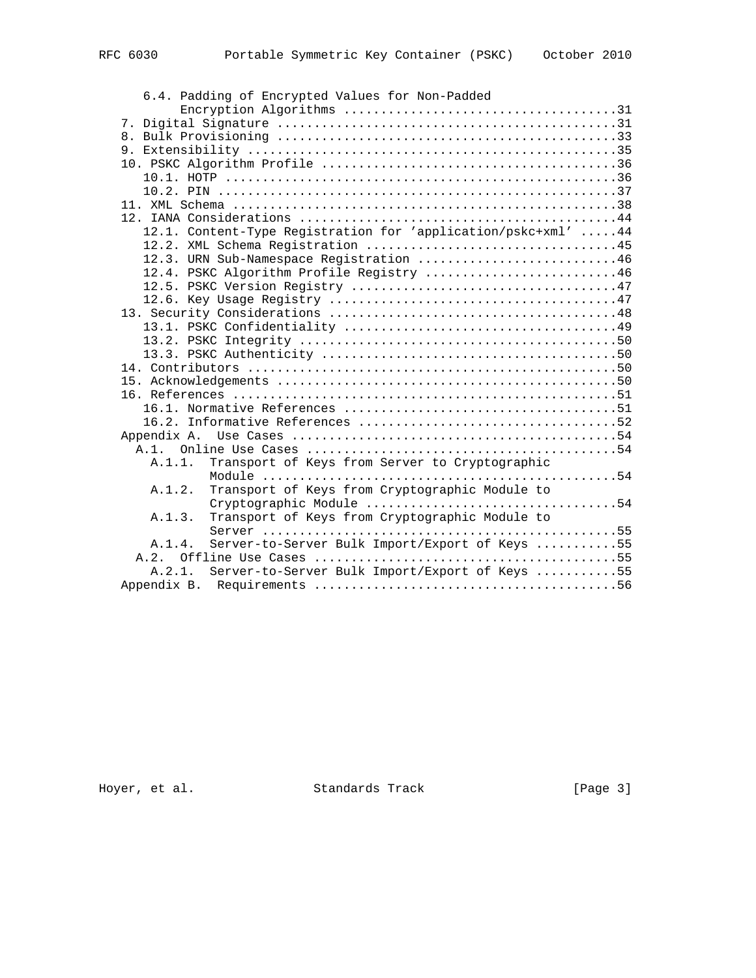| 6.4. Padding of Encrypted Values for Non-Padded               |
|---------------------------------------------------------------|
|                                                               |
|                                                               |
|                                                               |
|                                                               |
|                                                               |
|                                                               |
|                                                               |
|                                                               |
|                                                               |
| 12.1. Content-Type Registration for 'application/pskc+xml' 44 |
|                                                               |
| 12.3. URN Sub-Namespace Registration 46                       |
| 12.4. PSKC Algorithm Profile Registry 46                      |
|                                                               |
|                                                               |
|                                                               |
|                                                               |
|                                                               |
|                                                               |
|                                                               |
|                                                               |
|                                                               |
|                                                               |
|                                                               |
|                                                               |
|                                                               |
| Transport of Keys from Server to Cryptographic<br>A.1.1.      |
|                                                               |
| Transport of Keys from Cryptographic Module to<br>A.1.2.      |
|                                                               |
| Transport of Keys from Cryptographic Module to<br>A.1.3.      |
|                                                               |
| Server-to-Server Bulk Import/Export of Keys 55<br>A.1.4.      |
|                                                               |
| Server-to-Server Bulk Import/Export of Keys 55<br>A.2.1.      |
|                                                               |

Hoyer, et al. Standards Track [Page 3]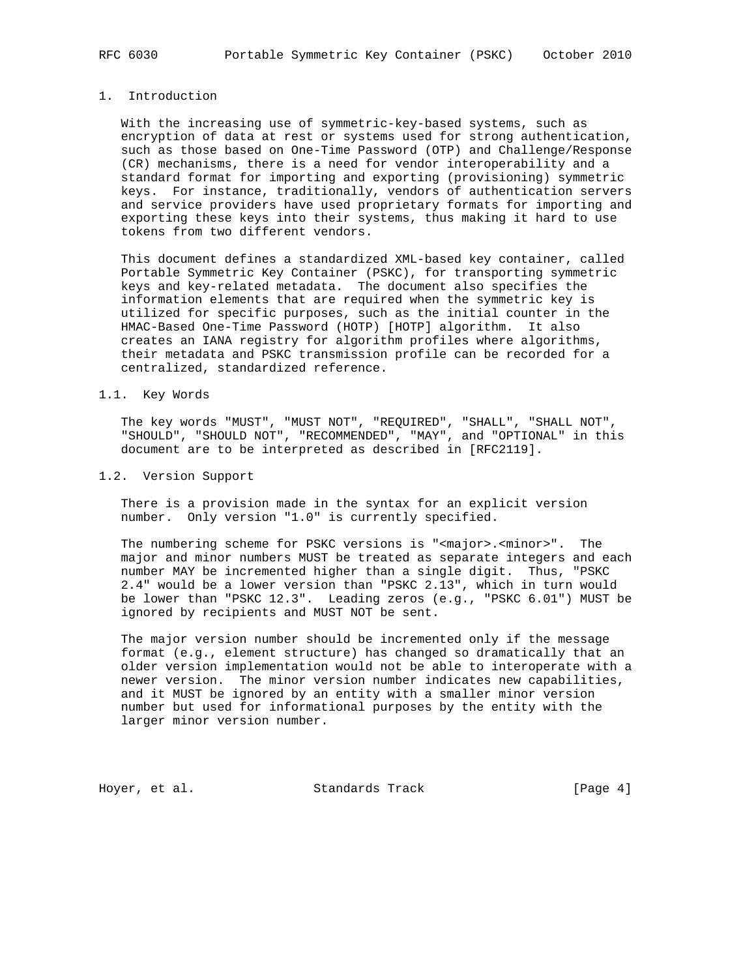# 1. Introduction

 With the increasing use of symmetric-key-based systems, such as encryption of data at rest or systems used for strong authentication, such as those based on One-Time Password (OTP) and Challenge/Response (CR) mechanisms, there is a need for vendor interoperability and a standard format for importing and exporting (provisioning) symmetric keys. For instance, traditionally, vendors of authentication servers and service providers have used proprietary formats for importing and exporting these keys into their systems, thus making it hard to use tokens from two different vendors.

 This document defines a standardized XML-based key container, called Portable Symmetric Key Container (PSKC), for transporting symmetric keys and key-related metadata. The document also specifies the information elements that are required when the symmetric key is utilized for specific purposes, such as the initial counter in the HMAC-Based One-Time Password (HOTP) [HOTP] algorithm. It also creates an IANA registry for algorithm profiles where algorithms, their metadata and PSKC transmission profile can be recorded for a centralized, standardized reference.

#### 1.1. Key Words

 The key words "MUST", "MUST NOT", "REQUIRED", "SHALL", "SHALL NOT", "SHOULD", "SHOULD NOT", "RECOMMENDED", "MAY", and "OPTIONAL" in this document are to be interpreted as described in [RFC2119].

#### 1.2. Version Support

 There is a provision made in the syntax for an explicit version number. Only version "1.0" is currently specified.

 The numbering scheme for PSKC versions is "<major>.<minor>". The major and minor numbers MUST be treated as separate integers and each number MAY be incremented higher than a single digit. Thus, "PSKC 2.4" would be a lower version than "PSKC 2.13", which in turn would be lower than "PSKC 12.3". Leading zeros (e.g., "PSKC 6.01") MUST be ignored by recipients and MUST NOT be sent.

 The major version number should be incremented only if the message format (e.g., element structure) has changed so dramatically that an older version implementation would not be able to interoperate with a newer version. The minor version number indicates new capabilities, and it MUST be ignored by an entity with a smaller minor version number but used for informational purposes by the entity with the larger minor version number.

Hoyer, et al. Standards Track [Page 4]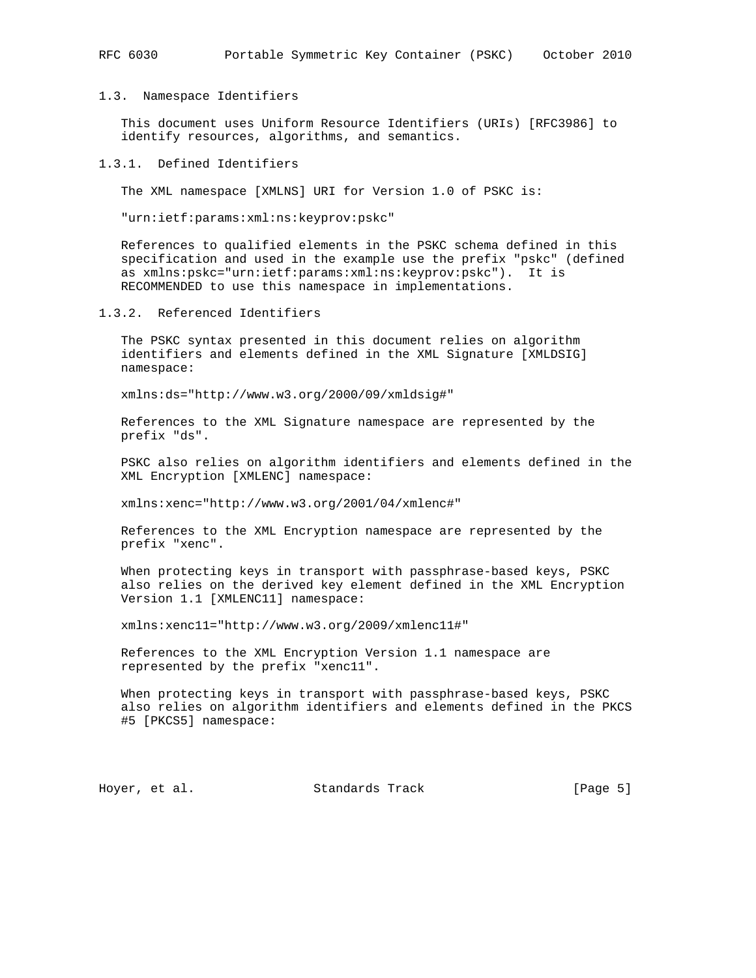## 1.3. Namespace Identifiers

 This document uses Uniform Resource Identifiers (URIs) [RFC3986] to identify resources, algorithms, and semantics.

# 1.3.1. Defined Identifiers

The XML namespace [XMLNS] URI for Version 1.0 of PSKC is:

"urn:ietf:params:xml:ns:keyprov:pskc"

 References to qualified elements in the PSKC schema defined in this specification and used in the example use the prefix "pskc" (defined as xmlns:pskc="urn:ietf:params:xml:ns:keyprov:pskc"). It is RECOMMENDED to use this namespace in implementations.

1.3.2. Referenced Identifiers

 The PSKC syntax presented in this document relies on algorithm identifiers and elements defined in the XML Signature [XMLDSIG] namespace:

xmlns:ds="http://www.w3.org/2000/09/xmldsig#"

 References to the XML Signature namespace are represented by the prefix "ds".

 PSKC also relies on algorithm identifiers and elements defined in the XML Encryption [XMLENC] namespace:

xmlns:xenc="http://www.w3.org/2001/04/xmlenc#"

 References to the XML Encryption namespace are represented by the prefix "xenc".

 When protecting keys in transport with passphrase-based keys, PSKC also relies on the derived key element defined in the XML Encryption Version 1.1 [XMLENC11] namespace:

xmlns:xenc11="http://www.w3.org/2009/xmlenc11#"

 References to the XML Encryption Version 1.1 namespace are represented by the prefix "xenc11".

 When protecting keys in transport with passphrase-based keys, PSKC also relies on algorithm identifiers and elements defined in the PKCS #5 [PKCS5] namespace:

Hoyer, et al. Standards Track [Page 5]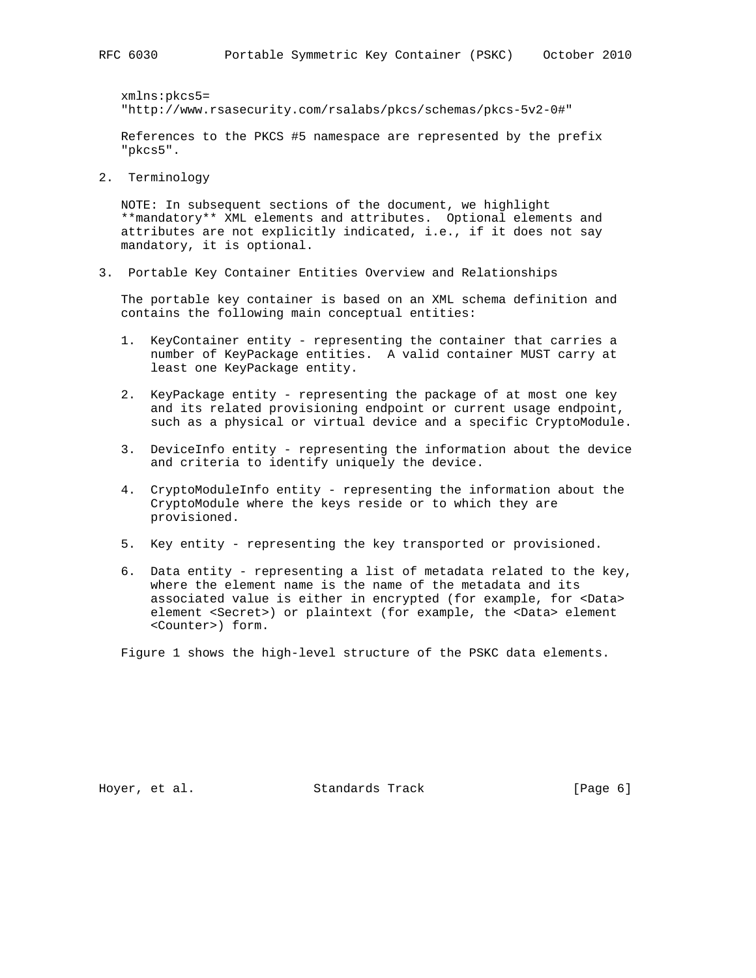xmlns:pkcs5= "http://www.rsasecurity.com/rsalabs/pkcs/schemas/pkcs-5v2-0#"

 References to the PKCS #5 namespace are represented by the prefix "pkcs5".

2. Terminology

 NOTE: In subsequent sections of the document, we highlight \*\*mandatory\*\* XML elements and attributes. Optional elements and attributes are not explicitly indicated, i.e., if it does not say mandatory, it is optional.

3. Portable Key Container Entities Overview and Relationships

 The portable key container is based on an XML schema definition and contains the following main conceptual entities:

- 1. KeyContainer entity representing the container that carries a number of KeyPackage entities. A valid container MUST carry at least one KeyPackage entity.
- 2. KeyPackage entity representing the package of at most one key and its related provisioning endpoint or current usage endpoint, such as a physical or virtual device and a specific CryptoModule.
- 3. DeviceInfo entity representing the information about the device and criteria to identify uniquely the device.
- 4. CryptoModuleInfo entity representing the information about the CryptoModule where the keys reside or to which they are provisioned.
- 5. Key entity representing the key transported or provisioned.
- 6. Data entity representing a list of metadata related to the key, where the element name is the name of the metadata and its associated value is either in encrypted (for example, for <Data> element <Secret>) or plaintext (for example, the <Data> element <Counter>) form.

Figure 1 shows the high-level structure of the PSKC data elements.

Hoyer, et al. Standards Track [Page 6]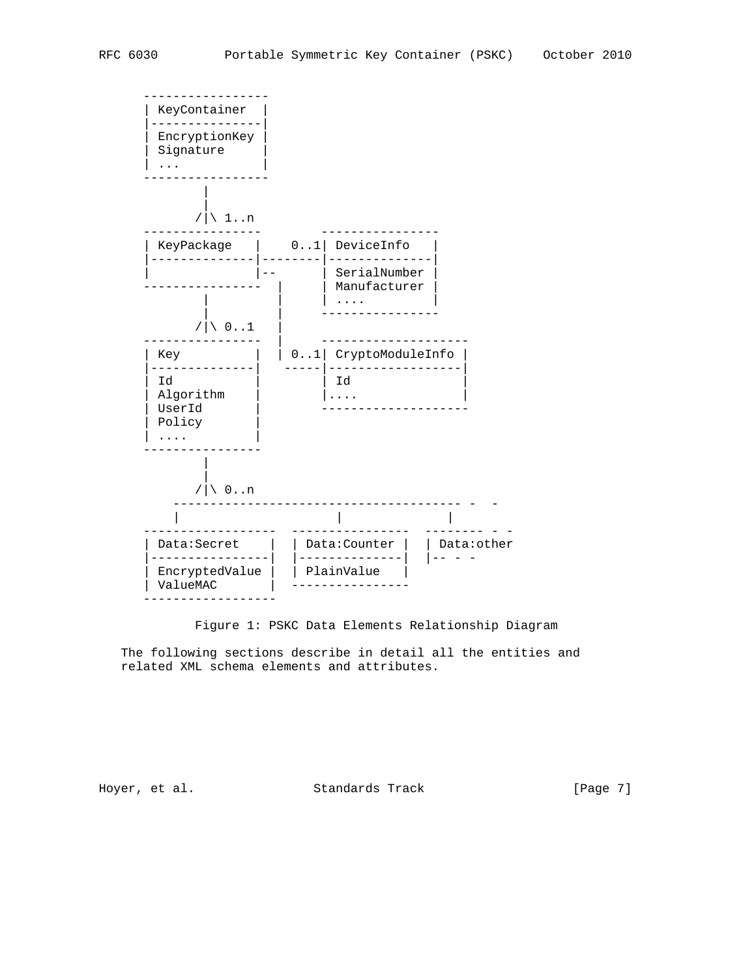

Figure 1: PSKC Data Elements Relationship Diagram

 The following sections describe in detail all the entities and related XML schema elements and attributes.

Hoyer, et al. Standards Track [Page 7]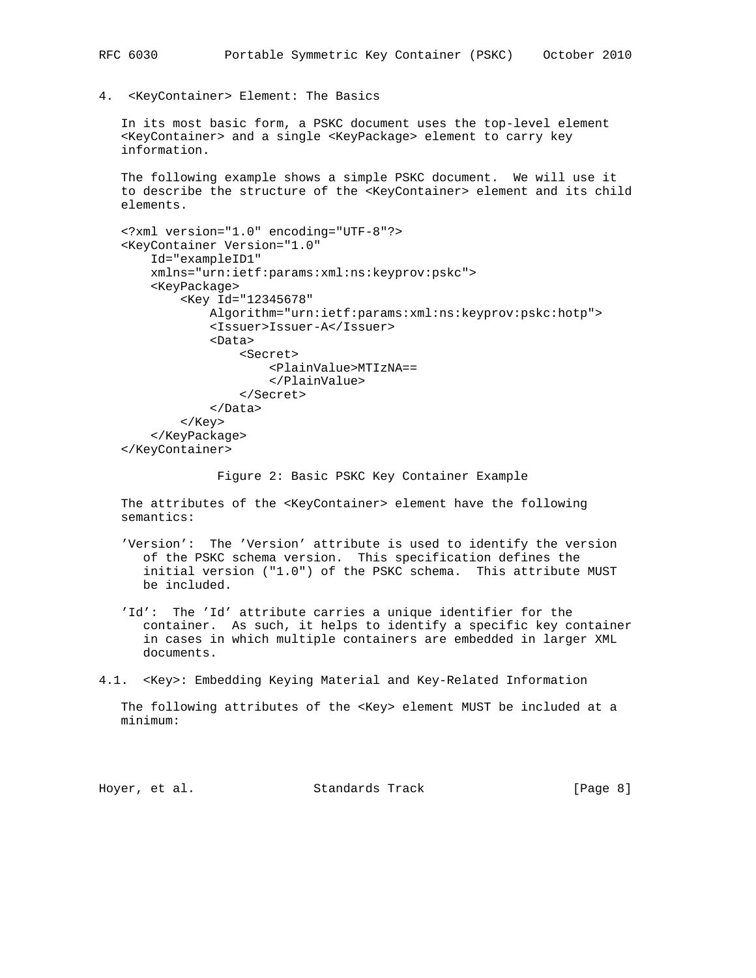4. <KeyContainer> Element: The Basics

 In its most basic form, a PSKC document uses the top-level element <KeyContainer> and a single <KeyPackage> element to carry key information.

 The following example shows a simple PSKC document. We will use it to describe the structure of the <KeyContainer> element and its child elements.

```
 <?xml version="1.0" encoding="UTF-8"?>
 <KeyContainer Version="1.0"
     Id="exampleID1"
     xmlns="urn:ietf:params:xml:ns:keyprov:pskc">
     <KeyPackage>
         <Key Id="12345678"
             Algorithm="urn:ietf:params:xml:ns:keyprov:pskc:hotp">
             <Issuer>Issuer-A</Issuer>
             <Data>
                  <Secret>
                      <PlainValue>MTIzNA==
                      </PlainValue>
                  </Secret>
             </Data>
         </Key>
     </KeyPackage>
 </KeyContainer>
```
Figure 2: Basic PSKC Key Container Example

The attributes of the <KeyContainer> element have the following semantics:

- 'Version': The 'Version' attribute is used to identify the version of the PSKC schema version. This specification defines the initial version ("1.0") of the PSKC schema. This attribute MUST be included.
- 'Id': The 'Id' attribute carries a unique identifier for the container. As such, it helps to identify a specific key container in cases in which multiple containers are embedded in larger XML documents.

4.1. <Key>: Embedding Keying Material and Key-Related Information

 The following attributes of the <Key> element MUST be included at a minimum:

Hoyer, et al. Standards Track [Page 8]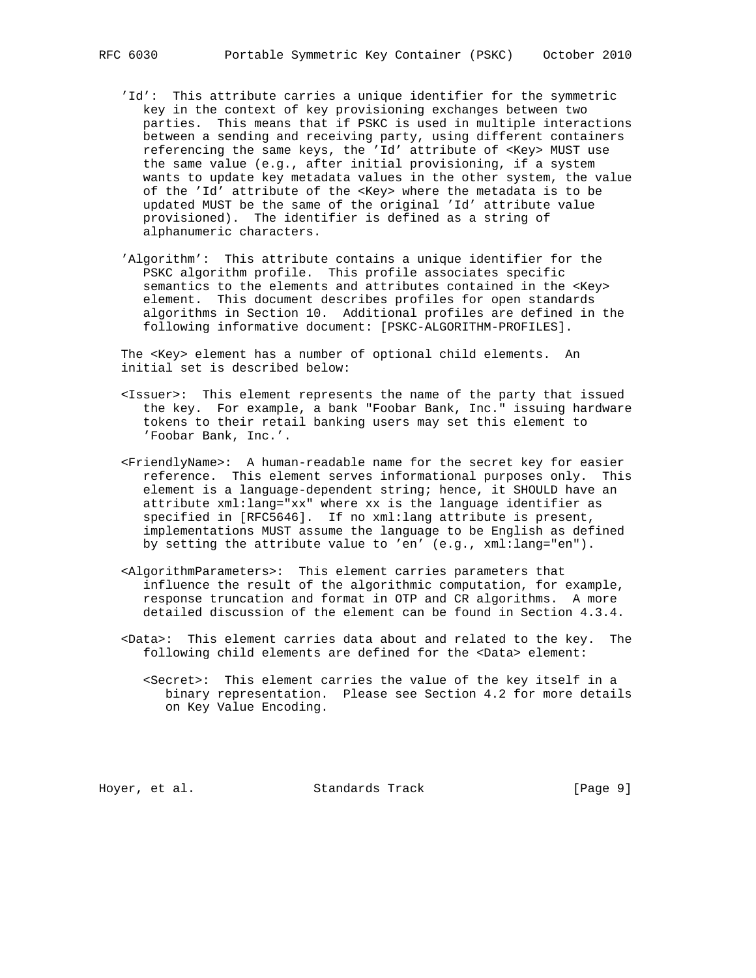- 'Id': This attribute carries a unique identifier for the symmetric key in the context of key provisioning exchanges between two parties. This means that if PSKC is used in multiple interactions between a sending and receiving party, using different containers referencing the same keys, the 'Id' attribute of <Key> MUST use the same value (e.g., after initial provisioning, if a system wants to update key metadata values in the other system, the value of the 'Id' attribute of the <Key> where the metadata is to be updated MUST be the same of the original 'Id' attribute value provisioned). The identifier is defined as a string of alphanumeric characters.
- 'Algorithm': This attribute contains a unique identifier for the PSKC algorithm profile. This profile associates specific semantics to the elements and attributes contained in the <Key> element. This document describes profiles for open standards algorithms in Section 10. Additional profiles are defined in the following informative document: [PSKC-ALGORITHM-PROFILES].

 The <Key> element has a number of optional child elements. An initial set is described below:

- <Issuer>: This element represents the name of the party that issued the key. For example, a bank "Foobar Bank, Inc." issuing hardware tokens to their retail banking users may set this element to 'Foobar Bank, Inc.'.
- <FriendlyName>: A human-readable name for the secret key for easier reference. This element serves informational purposes only. This element is a language-dependent string; hence, it SHOULD have an attribute xml:lang="xx" where xx is the language identifier as specified in [RFC5646]. If no xml:lang attribute is present, implementations MUST assume the language to be English as defined by setting the attribute value to 'en' (e.g., xml:lang="en").
- <AlgorithmParameters>: This element carries parameters that influence the result of the algorithmic computation, for example, response truncation and format in OTP and CR algorithms. A more detailed discussion of the element can be found in Section 4.3.4.
- <Data>: This element carries data about and related to the key. The following child elements are defined for the <Data> element:
	- <Secret>: This element carries the value of the key itself in a binary representation. Please see Section 4.2 for more details on Key Value Encoding.

Hoyer, et al. Standards Track [Page 9]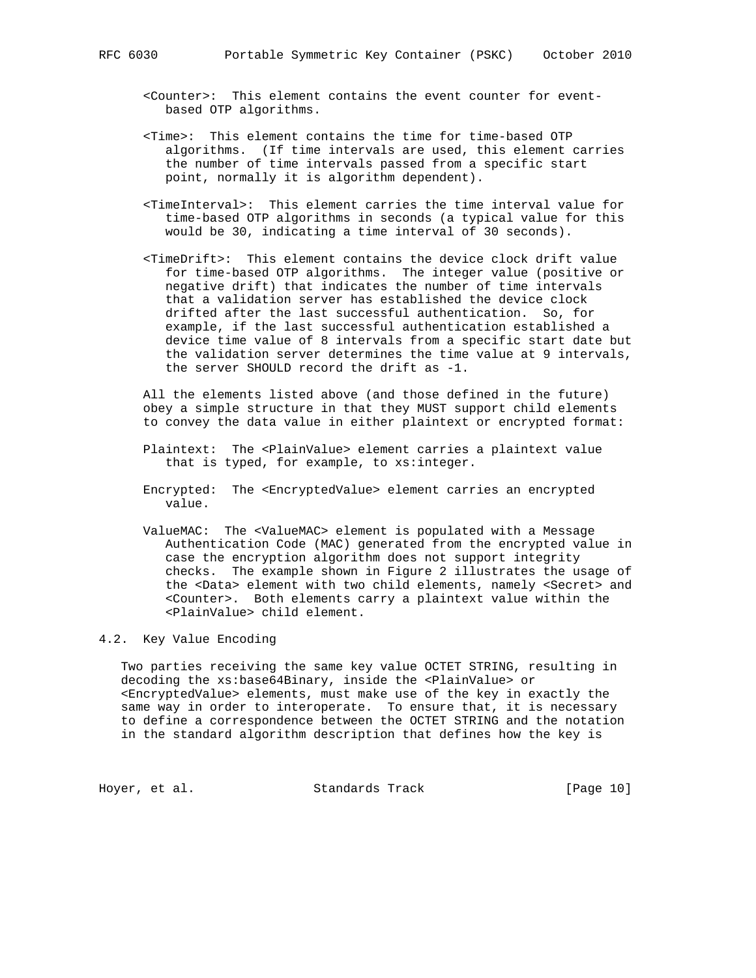- <Counter>: This element contains the event counter for event based OTP algorithms.
- <Time>: This element contains the time for time-based OTP algorithms. (If time intervals are used, this element carries the number of time intervals passed from a specific start point, normally it is algorithm dependent).
- <TimeInterval>: This element carries the time interval value for time-based OTP algorithms in seconds (a typical value for this would be 30, indicating a time interval of 30 seconds).
- <TimeDrift>: This element contains the device clock drift value for time-based OTP algorithms. The integer value (positive or negative drift) that indicates the number of time intervals that a validation server has established the device clock drifted after the last successful authentication. So, for example, if the last successful authentication established a device time value of 8 intervals from a specific start date but the validation server determines the time value at 9 intervals, the server SHOULD record the drift as -1.

 All the elements listed above (and those defined in the future) obey a simple structure in that they MUST support child elements to convey the data value in either plaintext or encrypted format:

- Plaintext: The <PlainValue> element carries a plaintext value that is typed, for example, to xs:integer.
- Encrypted: The <EncryptedValue> element carries an encrypted value.
- ValueMAC: The <ValueMAC> element is populated with a Message Authentication Code (MAC) generated from the encrypted value in case the encryption algorithm does not support integrity checks. The example shown in Figure 2 illustrates the usage of the <Data> element with two child elements, namely <Secret> and <Counter>. Both elements carry a plaintext value within the <PlainValue> child element.

## 4.2. Key Value Encoding

 Two parties receiving the same key value OCTET STRING, resulting in decoding the xs:base64Binary, inside the <PlainValue> or <EncryptedValue> elements, must make use of the key in exactly the same way in order to interoperate. To ensure that, it is necessary to define a correspondence between the OCTET STRING and the notation in the standard algorithm description that defines how the key is

Hoyer, et al. Standards Track [Page 10]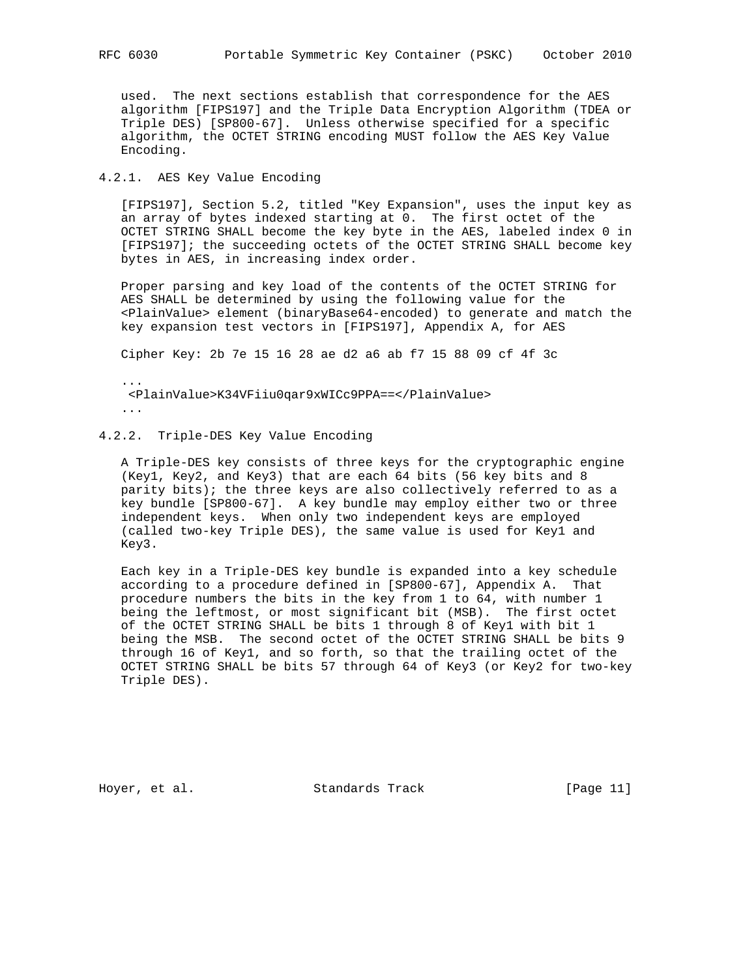used. The next sections establish that correspondence for the AES algorithm [FIPS197] and the Triple Data Encryption Algorithm (TDEA or Triple DES) [SP800-67]. Unless otherwise specified for a specific algorithm, the OCTET STRING encoding MUST follow the AES Key Value Encoding.

# 4.2.1. AES Key Value Encoding

 [FIPS197], Section 5.2, titled "Key Expansion", uses the input key as an array of bytes indexed starting at 0. The first octet of the OCTET STRING SHALL become the key byte in the AES, labeled index 0 in [FIPS197]; the succeeding octets of the OCTET STRING SHALL become key bytes in AES, in increasing index order.

 Proper parsing and key load of the contents of the OCTET STRING for AES SHALL be determined by using the following value for the <PlainValue> element (binaryBase64-encoded) to generate and match the key expansion test vectors in [FIPS197], Appendix A, for AES

Cipher Key: 2b 7e 15 16 28 ae d2 a6 ab f7 15 88 09 cf 4f 3c

 ... <PlainValue>K34VFiiu0qar9xWICc9PPA==</PlainValue> ...

# 4.2.2. Triple-DES Key Value Encoding

 A Triple-DES key consists of three keys for the cryptographic engine (Key1, Key2, and Key3) that are each 64 bits (56 key bits and 8 parity bits); the three keys are also collectively referred to as a key bundle [SP800-67]. A key bundle may employ either two or three independent keys. When only two independent keys are employed (called two-key Triple DES), the same value is used for Key1 and Key3.

 Each key in a Triple-DES key bundle is expanded into a key schedule according to a procedure defined in [SP800-67], Appendix A. That procedure numbers the bits in the key from 1 to 64, with number 1 being the leftmost, or most significant bit (MSB). The first octet of the OCTET STRING SHALL be bits 1 through 8 of Key1 with bit 1 being the MSB. The second octet of the OCTET STRING SHALL be bits 9 through 16 of Key1, and so forth, so that the trailing octet of the OCTET STRING SHALL be bits 57 through 64 of Key3 (or Key2 for two-key Triple DES).

Hoyer, et al. Standards Track [Page 11]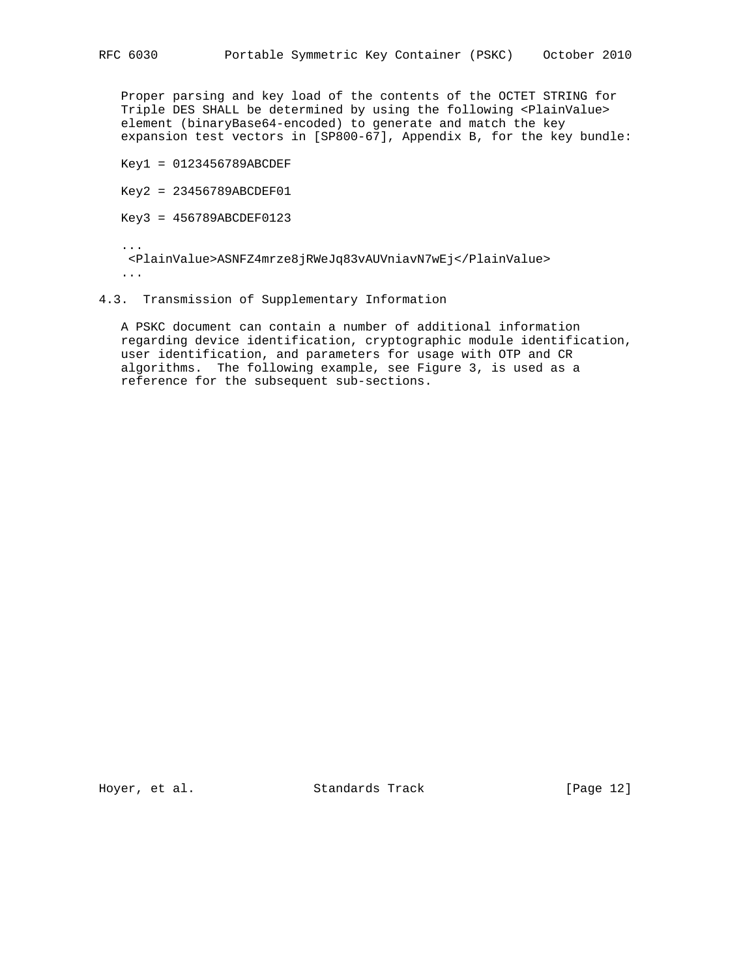Proper parsing and key load of the contents of the OCTET STRING for Triple DES SHALL be determined by using the following <PlainValue> element (binaryBase64-encoded) to generate and match the key expansion test vectors in [SP800-67], Appendix B, for the key bundle:

Key1 = 0123456789ABCDEF

Key2 = 23456789ABCDEF01

Key3 = 456789ABCDEF0123

 ... <PlainValue>ASNFZ4mrze8jRWeJq83vAUVniavN7wEj</PlainValue> ...

# 4.3. Transmission of Supplementary Information

 A PSKC document can contain a number of additional information regarding device identification, cryptographic module identification, user identification, and parameters for usage with OTP and CR algorithms. The following example, see Figure 3, is used as a reference for the subsequent sub-sections.

Hoyer, et al. Standards Track [Page 12]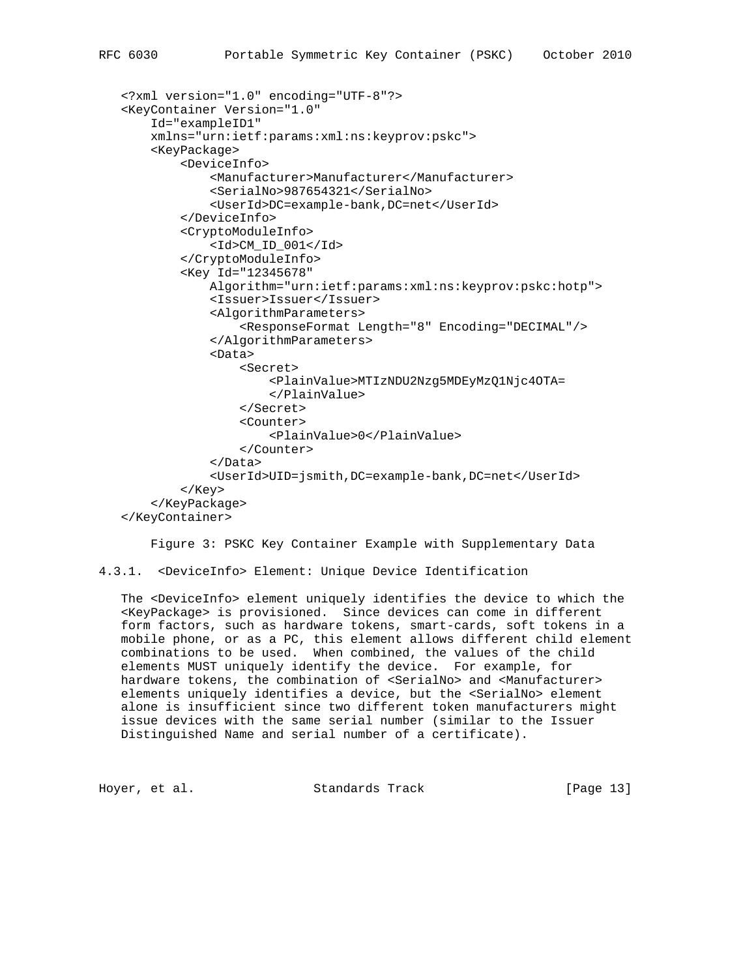```
 <?xml version="1.0" encoding="UTF-8"?>
 <KeyContainer Version="1.0"
     Id="exampleID1"
     xmlns="urn:ietf:params:xml:ns:keyprov:pskc">
     <KeyPackage>
         <DeviceInfo>
             <Manufacturer>Manufacturer</Manufacturer>
             <SerialNo>987654321</SerialNo>
             <UserId>DC=example-bank,DC=net</UserId>
         </DeviceInfo>
         <CryptoModuleInfo>
             <Id>CM_ID_001</Id>
         </CryptoModuleInfo>
         <Key Id="12345678"
             Algorithm="urn:ietf:params:xml:ns:keyprov:pskc:hotp">
             <Issuer>Issuer</Issuer>
             <AlgorithmParameters>
                  <ResponseFormat Length="8" Encoding="DECIMAL"/>
             </AlgorithmParameters>
             <Data>
                  <Secret>
                      <PlainValue>MTIzNDU2Nzg5MDEyMzQ1Njc4OTA=
                      </PlainValue>
                  </Secret>
                  <Counter>
                      <PlainValue>0</PlainValue>
                  </Counter>
             </Data>
              <UserId>UID=jsmith,DC=example-bank,DC=net</UserId>
         </Key>
     </KeyPackage>
 </KeyContainer>
```
Figure 3: PSKC Key Container Example with Supplementary Data

4.3.1. <DeviceInfo> Element: Unique Device Identification

 The <DeviceInfo> element uniquely identifies the device to which the <KeyPackage> is provisioned. Since devices can come in different form factors, such as hardware tokens, smart-cards, soft tokens in a mobile phone, or as a PC, this element allows different child element combinations to be used. When combined, the values of the child elements MUST uniquely identify the device. For example, for hardware tokens, the combination of <SerialNo> and <Manufacturer> elements uniquely identifies a device, but the <SerialNo> element alone is insufficient since two different token manufacturers might issue devices with the same serial number (similar to the Issuer Distinguished Name and serial number of a certificate).

Hoyer, et al. Standards Track [Page 13]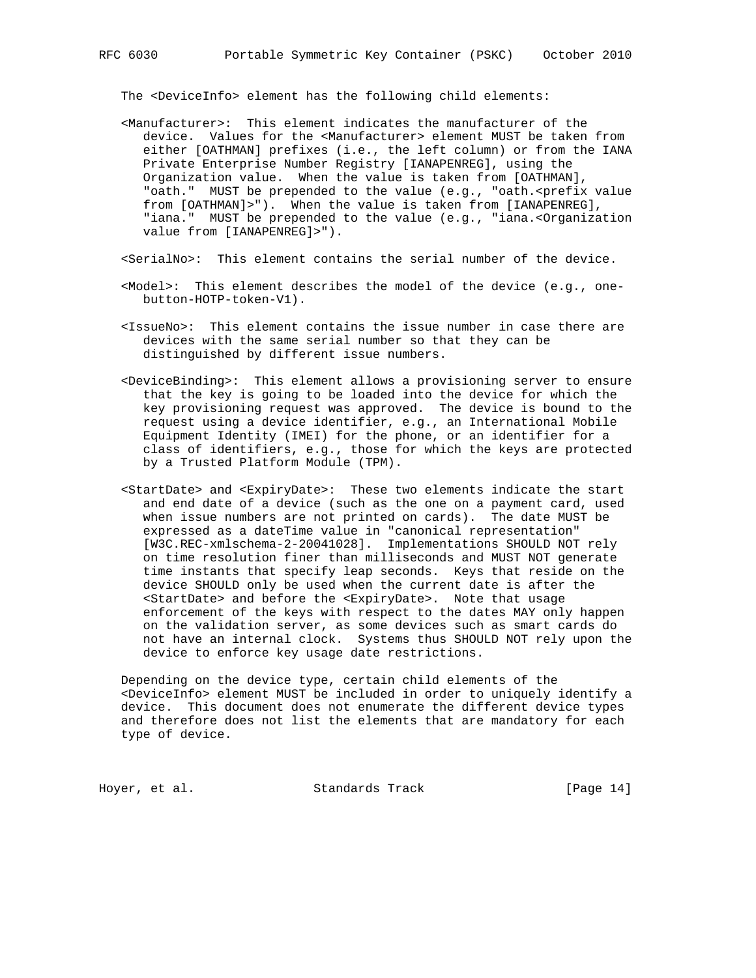The <DeviceInfo> element has the following child elements:

- <Manufacturer>: This element indicates the manufacturer of the device. Values for the <Manufacturer> element MUST be taken from either [OATHMAN] prefixes (i.e., the left column) or from the IANA Private Enterprise Number Registry [IANAPENREG], using the Organization value. When the value is taken from [OATHMAN], "oath." MUST be prepended to the value (e.g., "oath.<prefix value from [OATHMAN]>"). When the value is taken from [IANAPENREG], "iana." MUST be prepended to the value (e.g., "iana.<Organization value from [IANAPENREG]>").
- <SerialNo>: This element contains the serial number of the device.
- <Model>: This element describes the model of the device (e.g., one button-HOTP-token-V1).
- <IssueNo>: This element contains the issue number in case there are devices with the same serial number so that they can be distinguished by different issue numbers.
- <DeviceBinding>: This element allows a provisioning server to ensure that the key is going to be loaded into the device for which the key provisioning request was approved. The device is bound to the request using a device identifier, e.g., an International Mobile Equipment Identity (IMEI) for the phone, or an identifier for a class of identifiers, e.g., those for which the keys are protected by a Trusted Platform Module (TPM).
- <StartDate> and <ExpiryDate>: These two elements indicate the start and end date of a device (such as the one on a payment card, used when issue numbers are not printed on cards). The date MUST be expressed as a dateTime value in "canonical representation" [W3C.REC-xmlschema-2-20041028]. Implementations SHOULD NOT rely on time resolution finer than milliseconds and MUST NOT generate time instants that specify leap seconds. Keys that reside on the device SHOULD only be used when the current date is after the <StartDate> and before the <ExpiryDate>. Note that usage enforcement of the keys with respect to the dates MAY only happen on the validation server, as some devices such as smart cards do not have an internal clock. Systems thus SHOULD NOT rely upon the device to enforce key usage date restrictions.

 Depending on the device type, certain child elements of the <DeviceInfo> element MUST be included in order to uniquely identify a device. This document does not enumerate the different device types and therefore does not list the elements that are mandatory for each type of device.

Hoyer, et al. Standards Track [Page 14]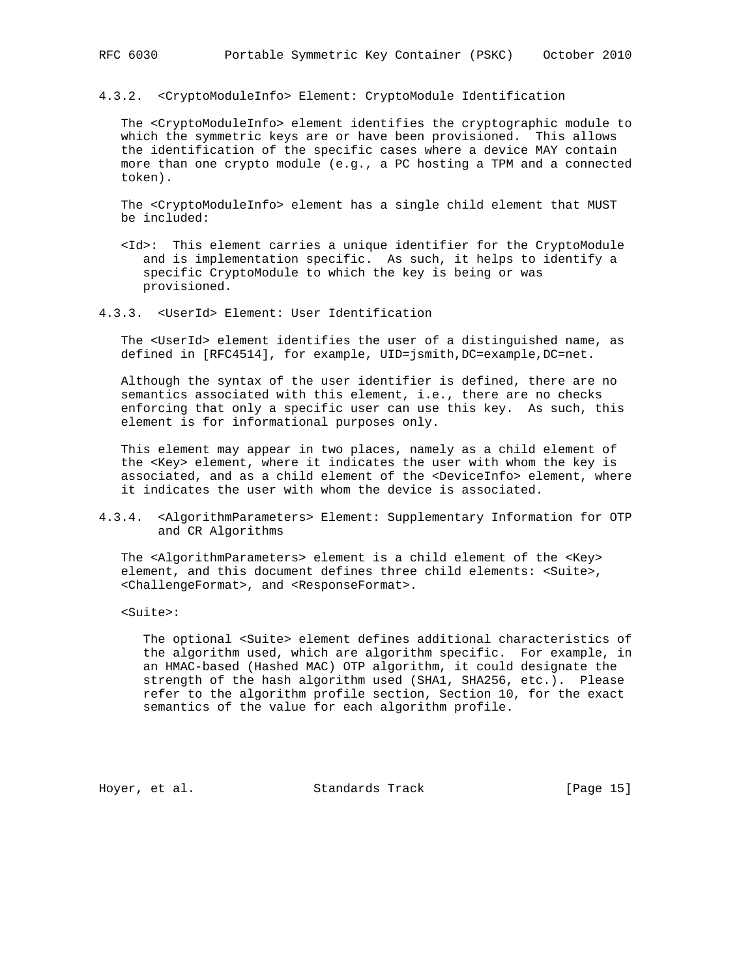4.3.2. <CryptoModuleInfo> Element: CryptoModule Identification

 The <CryptoModuleInfo> element identifies the cryptographic module to which the symmetric keys are or have been provisioned. This allows the identification of the specific cases where a device MAY contain more than one crypto module (e.g., a PC hosting a TPM and a connected token).

 The <CryptoModuleInfo> element has a single child element that MUST be included:

- <Id>: This element carries a unique identifier for the CryptoModule and is implementation specific. As such, it helps to identify a specific CryptoModule to which the key is being or was provisioned.
- 4.3.3. <UserId> Element: User Identification

 The <UserId> element identifies the user of a distinguished name, as defined in [RFC4514], for example, UID=jsmith,DC=example,DC=net.

 Although the syntax of the user identifier is defined, there are no semantics associated with this element, i.e., there are no checks enforcing that only a specific user can use this key. As such, this element is for informational purposes only.

 This element may appear in two places, namely as a child element of the <Key> element, where it indicates the user with whom the key is associated, and as a child element of the <DeviceInfo> element, where it indicates the user with whom the device is associated.

4.3.4. <AlgorithmParameters> Element: Supplementary Information for OTP and CR Algorithms

 The <AlgorithmParameters> element is a child element of the <Key> element, and this document defines three child elements: <Suite>, <ChallengeFormat>, and <ResponseFormat>.

<Suite>:

 The optional <Suite> element defines additional characteristics of the algorithm used, which are algorithm specific. For example, in an HMAC-based (Hashed MAC) OTP algorithm, it could designate the strength of the hash algorithm used (SHA1, SHA256, etc.). Please refer to the algorithm profile section, Section 10, for the exact semantics of the value for each algorithm profile.

Hoyer, et al. Standards Track [Page 15]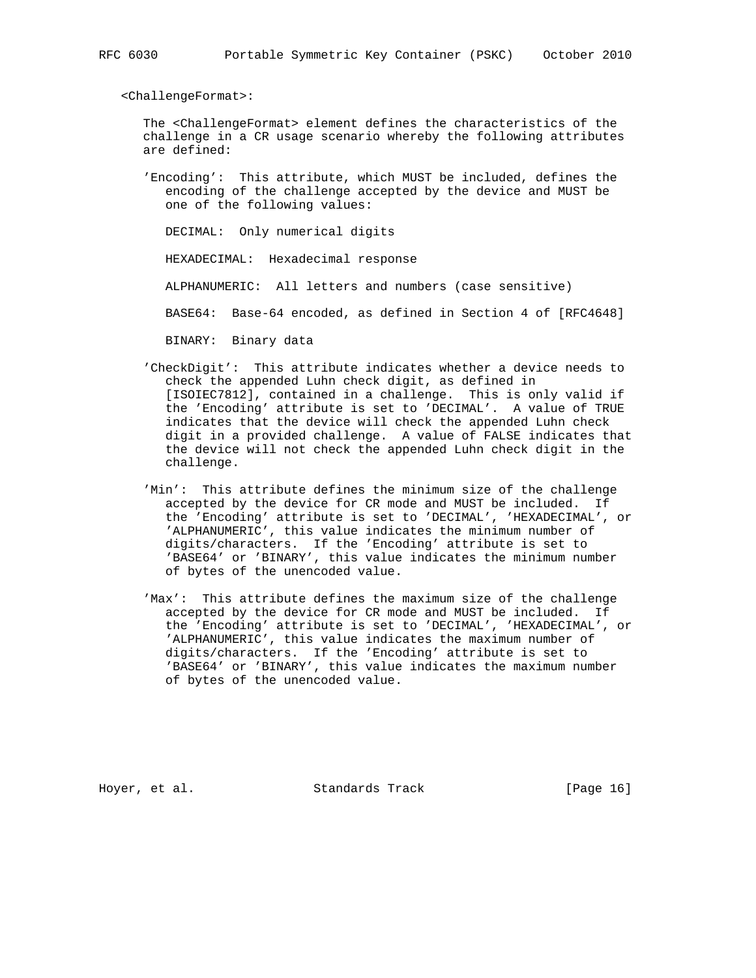<ChallengeFormat>:

 The <ChallengeFormat> element defines the characteristics of the challenge in a CR usage scenario whereby the following attributes are defined:

 'Encoding': This attribute, which MUST be included, defines the encoding of the challenge accepted by the device and MUST be one of the following values:

DECIMAL: Only numerical digits

HEXADECIMAL: Hexadecimal response

ALPHANUMERIC: All letters and numbers (case sensitive)

BASE64: Base-64 encoded, as defined in Section 4 of [RFC4648]

BINARY: Binary data

- 'CheckDigit': This attribute indicates whether a device needs to check the appended Luhn check digit, as defined in [ISOIEC7812], contained in a challenge. This is only valid if the 'Encoding' attribute is set to 'DECIMAL'. A value of TRUE indicates that the device will check the appended Luhn check digit in a provided challenge. A value of FALSE indicates that the device will not check the appended Luhn check digit in the challenge.
- 'Min': This attribute defines the minimum size of the challenge accepted by the device for CR mode and MUST be included. If the 'Encoding' attribute is set to 'DECIMAL', 'HEXADECIMAL', or 'ALPHANUMERIC', this value indicates the minimum number of digits/characters. If the 'Encoding' attribute is set to 'BASE64' or 'BINARY', this value indicates the minimum number of bytes of the unencoded value.
- 'Max': This attribute defines the maximum size of the challenge accepted by the device for CR mode and MUST be included. If the 'Encoding' attribute is set to 'DECIMAL', 'HEXADECIMAL', or 'ALPHANUMERIC', this value indicates the maximum number of digits/characters. If the 'Encoding' attribute is set to 'BASE64' or 'BINARY', this value indicates the maximum number of bytes of the unencoded value.

Hoyer, et al. Standards Track [Page 16]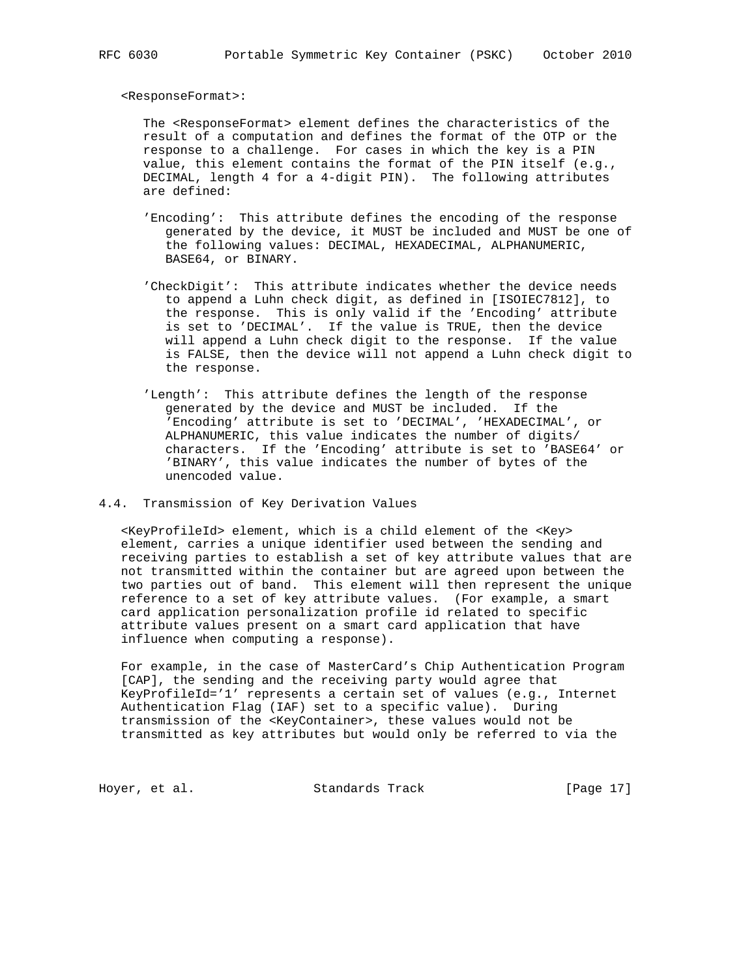<ResponseFormat>:

 The <ResponseFormat> element defines the characteristics of the result of a computation and defines the format of the OTP or the response to a challenge. For cases in which the key is a PIN value, this element contains the format of the PIN itself (e.g., DECIMAL, length 4 for a 4-digit PIN). The following attributes are defined:

- 'Encoding': This attribute defines the encoding of the response generated by the device, it MUST be included and MUST be one of the following values: DECIMAL, HEXADECIMAL, ALPHANUMERIC, BASE64, or BINARY.
- 'CheckDigit': This attribute indicates whether the device needs to append a Luhn check digit, as defined in [ISOIEC7812], to the response. This is only valid if the 'Encoding' attribute is set to 'DECIMAL'. If the value is TRUE, then the device will append a Luhn check digit to the response. If the value is FALSE, then the device will not append a Luhn check digit to the response.
- 'Length': This attribute defines the length of the response generated by the device and MUST be included. If the 'Encoding' attribute is set to 'DECIMAL', 'HEXADECIMAL', or ALPHANUMERIC, this value indicates the number of digits/ characters. If the 'Encoding' attribute is set to 'BASE64' or 'BINARY', this value indicates the number of bytes of the unencoded value.

# 4.4. Transmission of Key Derivation Values

 <KeyProfileId> element, which is a child element of the <Key> element, carries a unique identifier used between the sending and receiving parties to establish a set of key attribute values that are not transmitted within the container but are agreed upon between the two parties out of band. This element will then represent the unique reference to a set of key attribute values. (For example, a smart card application personalization profile id related to specific attribute values present on a smart card application that have influence when computing a response).

 For example, in the case of MasterCard's Chip Authentication Program [CAP], the sending and the receiving party would agree that KeyProfileId='1' represents a certain set of values (e.g., Internet Authentication Flag (IAF) set to a specific value). During transmission of the <KeyContainer>, these values would not be transmitted as key attributes but would only be referred to via the

Hoyer, et al. Standards Track [Page 17]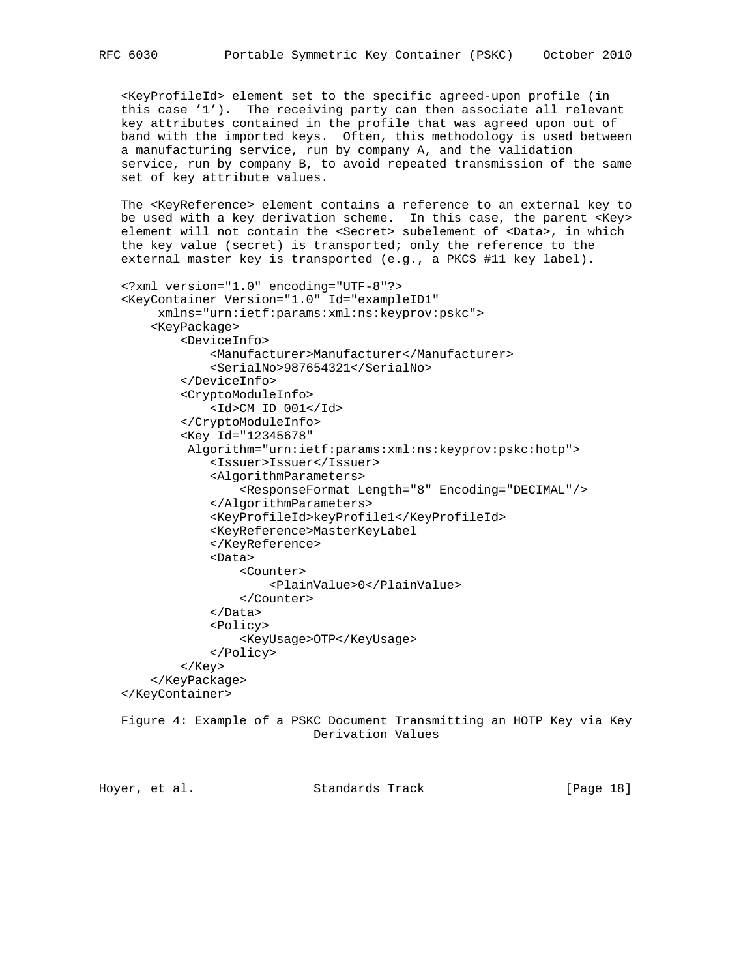<KeyProfileId> element set to the specific agreed-upon profile (in this case '1'). The receiving party can then associate all relevant key attributes contained in the profile that was agreed upon out of band with the imported keys. Often, this methodology is used between a manufacturing service, run by company A, and the validation service, run by company B, to avoid repeated transmission of the same set of key attribute values.

 The <KeyReference> element contains a reference to an external key to be used with a key derivation scheme. In this case, the parent <Key> element will not contain the <Secret> subelement of <Data>, in which the key value (secret) is transported; only the reference to the external master key is transported (e.g., a PKCS #11 key label).

```
 <?xml version="1.0" encoding="UTF-8"?>
 <KeyContainer Version="1.0" Id="exampleID1"
      xmlns="urn:ietf:params:xml:ns:keyprov:pskc">
     <KeyPackage>
         <DeviceInfo>
             <Manufacturer>Manufacturer</Manufacturer>
             <SerialNo>987654321</SerialNo>
         </DeviceInfo>
         <CryptoModuleInfo>
             <Id>CM_ID_001</Id>
         </CryptoModuleInfo>
         <Key Id="12345678"
          Algorithm="urn:ietf:params:xml:ns:keyprov:pskc:hotp">
             <Issuer>Issuer</Issuer>
             <AlgorithmParameters>
                  <ResponseFormat Length="8" Encoding="DECIMAL"/>
             </AlgorithmParameters>
             <KeyProfileId>keyProfile1</KeyProfileId>
             <KeyReference>MasterKeyLabel
             </KeyReference>
             <Data>
                  <Counter>
                      <PlainValue>0</PlainValue>
                  </Counter>
             </Data>
             <Policy>
                  <KeyUsage>OTP</KeyUsage>
             </Policy>
         </Key>
     </KeyPackage>
 </KeyContainer>
 Figure 4: Example of a PSKC Document Transmitting an HOTP Key via Key
```
Derivation Values

Hoyer, et al. Standards Track [Page 18]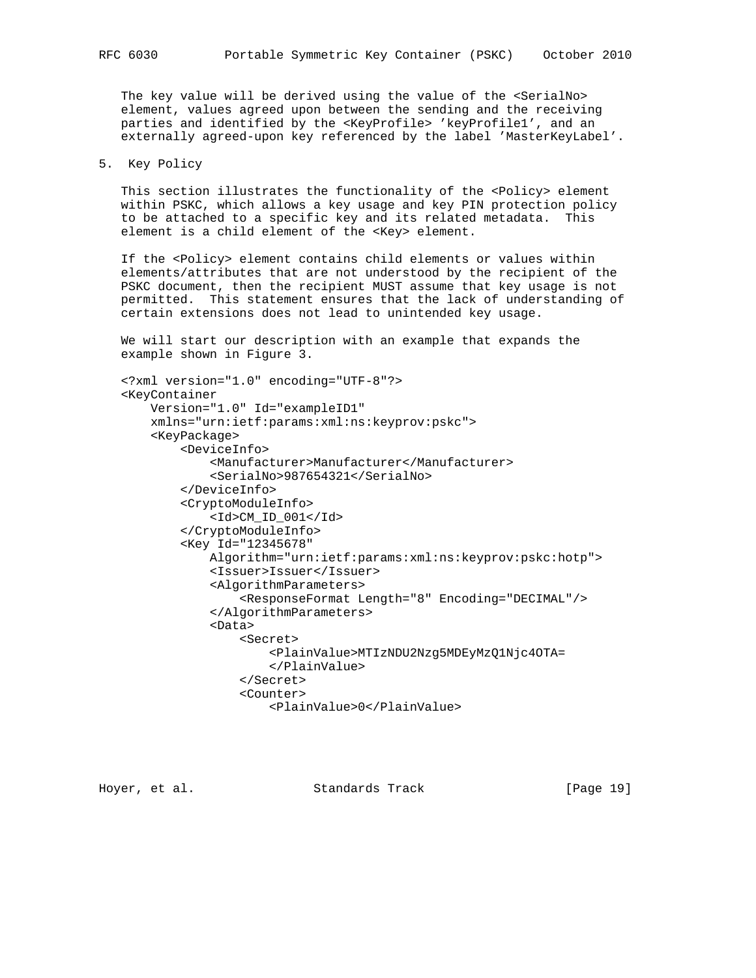The key value will be derived using the value of the <SerialNo> element, values agreed upon between the sending and the receiving parties and identified by the <KeyProfile> 'keyProfile1', and an externally agreed-upon key referenced by the label 'MasterKeyLabel'.

5. Key Policy

This section illustrates the functionality of the <Policy> element within PSKC, which allows a key usage and key PIN protection policy to be attached to a specific key and its related metadata. This element is a child element of the <Key> element.

 If the <Policy> element contains child elements or values within elements/attributes that are not understood by the recipient of the PSKC document, then the recipient MUST assume that key usage is not permitted. This statement ensures that the lack of understanding of certain extensions does not lead to unintended key usage.

 We will start our description with an example that expands the example shown in Figure 3.

```
 <?xml version="1.0" encoding="UTF-8"?>
 <KeyContainer
     Version="1.0" Id="exampleID1"
     xmlns="urn:ietf:params:xml:ns:keyprov:pskc">
     <KeyPackage>
         <DeviceInfo>
             <Manufacturer>Manufacturer</Manufacturer>
             <SerialNo>987654321</SerialNo>
         </DeviceInfo>
         <CryptoModuleInfo>
             <Id>CM_ID_001</Id>
         </CryptoModuleInfo>
         <Key Id="12345678"
             Algorithm="urn:ietf:params:xml:ns:keyprov:pskc:hotp">
             <Issuer>Issuer</Issuer>
             <AlgorithmParameters>
                  <ResponseFormat Length="8" Encoding="DECIMAL"/>
             </AlgorithmParameters>
             <Data>
                  <Secret>
                      <PlainValue>MTIzNDU2Nzg5MDEyMzQ1Njc4OTA=
                      </PlainValue>
                  </Secret>
                  <Counter>
                      <PlainValue>0</PlainValue>
```
Hoyer, et al. Standards Track [Page 19]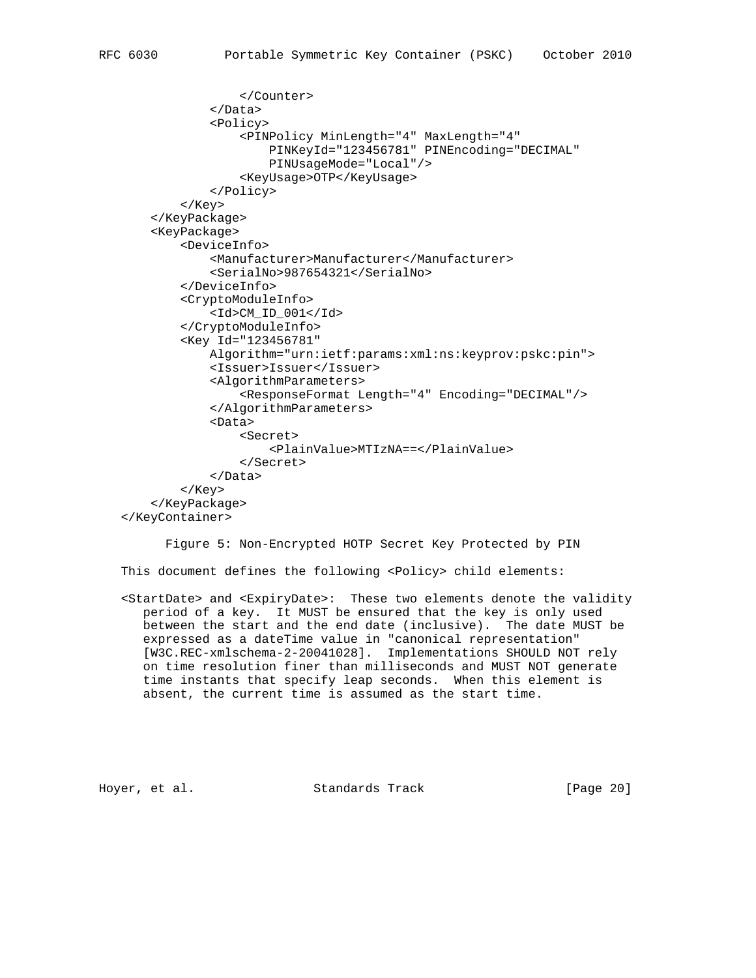```
 </Counter>
              </Data>
              <Policy>
                  <PINPolicy MinLength="4" MaxLength="4"
                      PINKeyId="123456781" PINEncoding="DECIMAL"
                      PINUsageMode="Local"/>
                  <KeyUsage>OTP</KeyUsage>
              </Policy>
         </Key>
     </KeyPackage>
     <KeyPackage>
         <DeviceInfo>
              <Manufacturer>Manufacturer</Manufacturer>
              <SerialNo>987654321</SerialNo>
         </DeviceInfo>
         <CryptoModuleInfo>
              <Id>CM_ID_001</Id>
         </CryptoModuleInfo>
         <Key Id="123456781"
             Algorithm="urn:ietf:params:xml:ns:keyprov:pskc:pin">
              <Issuer>Issuer</Issuer>
              <AlgorithmParameters>
                  <ResponseFormat Length="4" Encoding="DECIMAL"/>
              </AlgorithmParameters>
              <Data>
                  <Secret>
                      <PlainValue>MTIzNA==</PlainValue>
                  </Secret>
             </Data>
         </Key>
     </KeyPackage>
 </KeyContainer>
```
Figure 5: Non-Encrypted HOTP Secret Key Protected by PIN

This document defines the following <Policy> child elements:

 <StartDate> and <ExpiryDate>: These two elements denote the validity period of a key. It MUST be ensured that the key is only used between the start and the end date (inclusive). The date MUST be expressed as a dateTime value in "canonical representation" [W3C.REC-xmlschema-2-20041028]. Implementations SHOULD NOT rely on time resolution finer than milliseconds and MUST NOT generate time instants that specify leap seconds. When this element is absent, the current time is assumed as the start time.

Hoyer, et al. Standards Track [Page 20]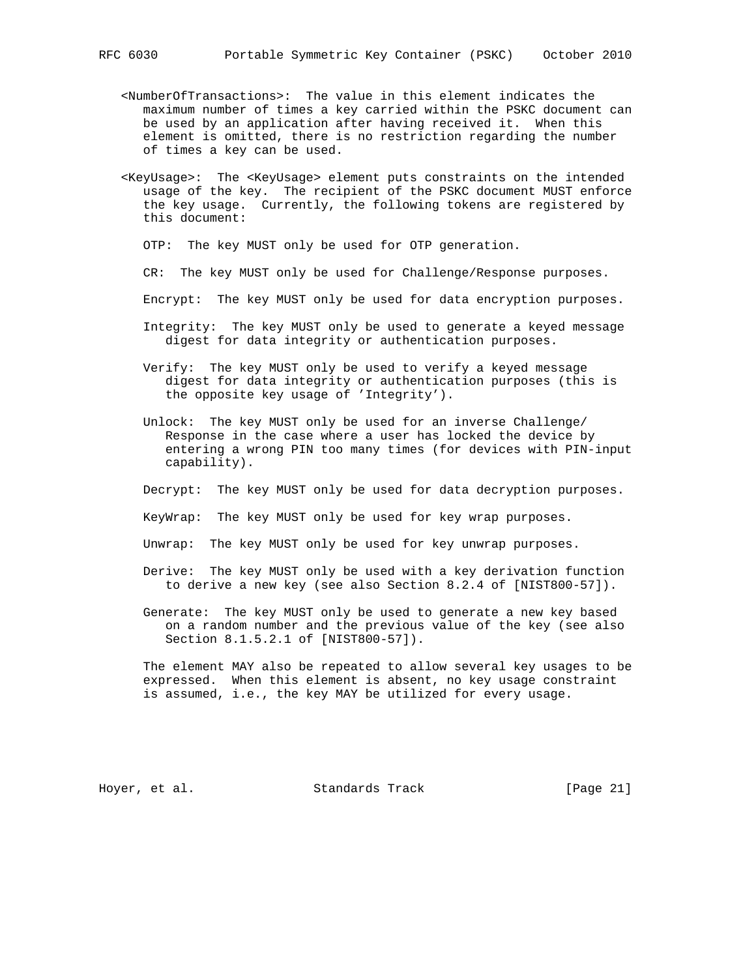- <NumberOfTransactions>: The value in this element indicates the maximum number of times a key carried within the PSKC document can be used by an application after having received it. When this element is omitted, there is no restriction regarding the number of times a key can be used.
- <KeyUsage>: The <KeyUsage> element puts constraints on the intended usage of the key. The recipient of the PSKC document MUST enforce the key usage. Currently, the following tokens are registered by this document:
	- OTP: The key MUST only be used for OTP generation.
	- CR: The key MUST only be used for Challenge/Response purposes.
	- Encrypt: The key MUST only be used for data encryption purposes.
	- Integrity: The key MUST only be used to generate a keyed message digest for data integrity or authentication purposes.
	- Verify: The key MUST only be used to verify a keyed message digest for data integrity or authentication purposes (this is the opposite key usage of 'Integrity').
	- Unlock: The key MUST only be used for an inverse Challenge/ Response in the case where a user has locked the device by entering a wrong PIN too many times (for devices with PIN-input capability).
	- Decrypt: The key MUST only be used for data decryption purposes.
	- KeyWrap: The key MUST only be used for key wrap purposes.
	- Unwrap: The key MUST only be used for key unwrap purposes.
	- Derive: The key MUST only be used with a key derivation function to derive a new key (see also Section 8.2.4 of [NIST800-57]).
	- Generate: The key MUST only be used to generate a new key based on a random number and the previous value of the key (see also Section 8.1.5.2.1 of [NIST800-57]).

 The element MAY also be repeated to allow several key usages to be expressed. When this element is absent, no key usage constraint is assumed, i.e., the key MAY be utilized for every usage.

Hoyer, et al. Standards Track [Page 21]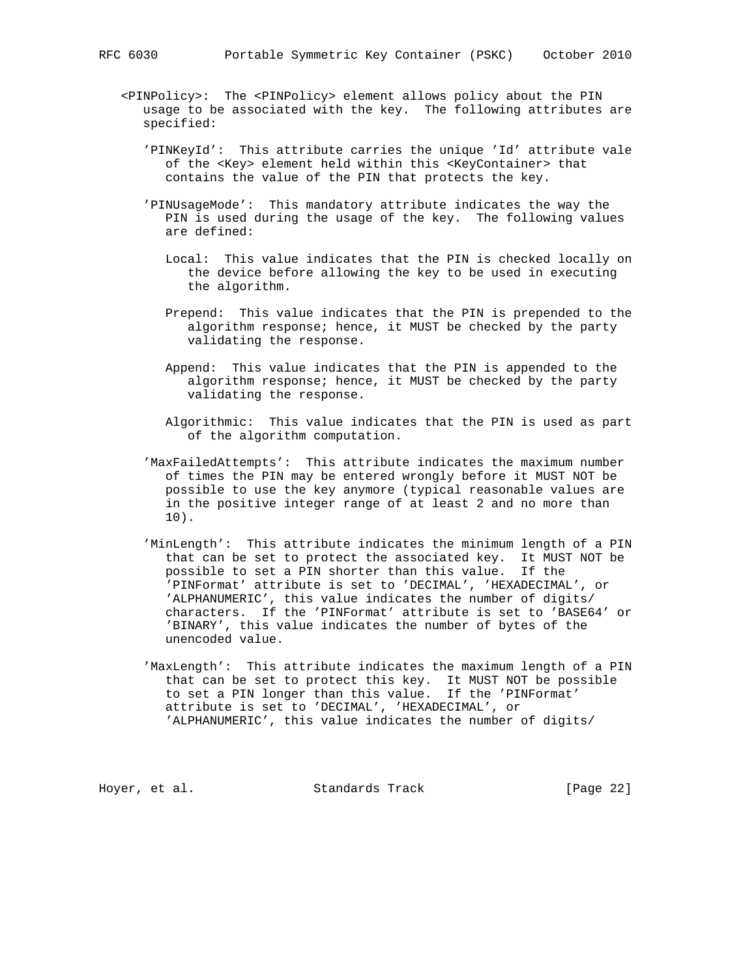- <PINPolicy>: The <PINPolicy> element allows policy about the PIN usage to be associated with the key. The following attributes are specified:
	- 'PINKeyId': This attribute carries the unique 'Id' attribute vale of the <Key> element held within this <KeyContainer> that contains the value of the PIN that protects the key.
	- 'PINUsageMode': This mandatory attribute indicates the way the PIN is used during the usage of the key. The following values are defined:
		- Local: This value indicates that the PIN is checked locally on the device before allowing the key to be used in executing the algorithm.
		- Prepend: This value indicates that the PIN is prepended to the algorithm response; hence, it MUST be checked by the party validating the response.
		- Append: This value indicates that the PIN is appended to the algorithm response; hence, it MUST be checked by the party validating the response.
		- Algorithmic: This value indicates that the PIN is used as part of the algorithm computation.
	- 'MaxFailedAttempts': This attribute indicates the maximum number of times the PIN may be entered wrongly before it MUST NOT be possible to use the key anymore (typical reasonable values are in the positive integer range of at least 2 and no more than 10).
	- 'MinLength': This attribute indicates the minimum length of a PIN that can be set to protect the associated key. It MUST NOT be possible to set a PIN shorter than this value. If the 'PINFormat' attribute is set to 'DECIMAL', 'HEXADECIMAL', or 'ALPHANUMERIC', this value indicates the number of digits/ characters. If the 'PINFormat' attribute is set to 'BASE64' or 'BINARY', this value indicates the number of bytes of the unencoded value.
	- 'MaxLength': This attribute indicates the maximum length of a PIN that can be set to protect this key. It MUST NOT be possible to set a PIN longer than this value. If the 'PINFormat' attribute is set to 'DECIMAL', 'HEXADECIMAL', or 'ALPHANUMERIC', this value indicates the number of digits/

Hoyer, et al. Standards Track [Page 22]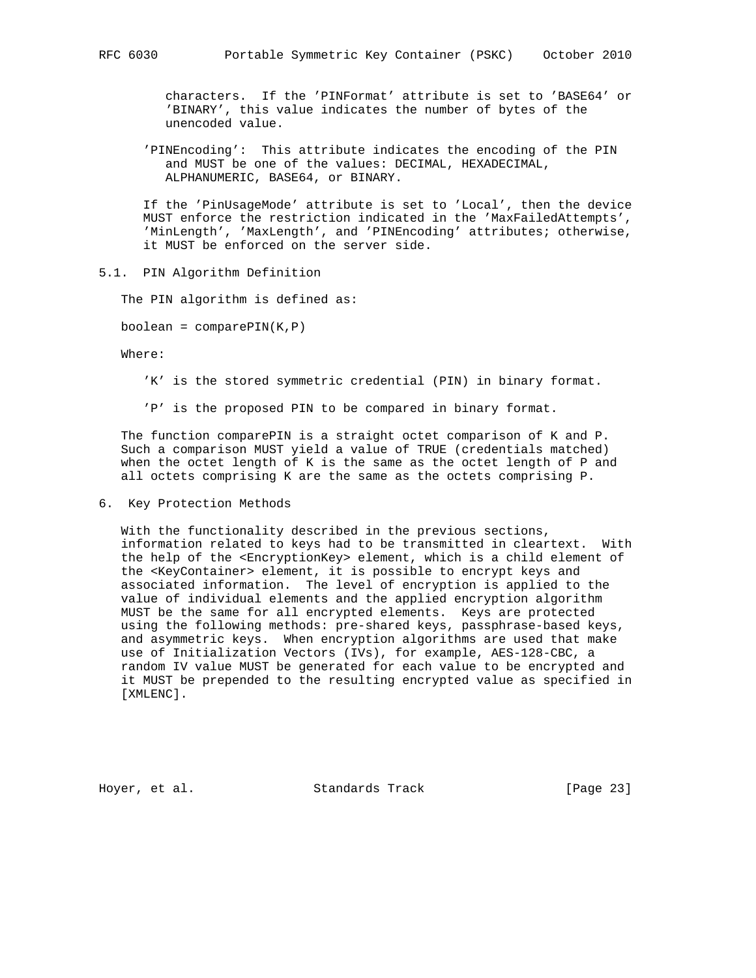characters. If the 'PINFormat' attribute is set to 'BASE64' or 'BINARY', this value indicates the number of bytes of the unencoded value.

 'PINEncoding': This attribute indicates the encoding of the PIN and MUST be one of the values: DECIMAL, HEXADECIMAL, ALPHANUMERIC, BASE64, or BINARY.

 If the 'PinUsageMode' attribute is set to 'Local', then the device MUST enforce the restriction indicated in the 'MaxFailedAttempts', 'MinLength', 'MaxLength', and 'PINEncoding' attributes; otherwise, it MUST be enforced on the server side.

#### 5.1. PIN Algorithm Definition

The PIN algorithm is defined as:

 $boolean = comparePIN(K,P)$ 

Where:

'K' is the stored symmetric credential (PIN) in binary format.

'P' is the proposed PIN to be compared in binary format.

 The function comparePIN is a straight octet comparison of K and P. Such a comparison MUST yield a value of TRUE (credentials matched) when the octet length of K is the same as the octet length of P and all octets comprising K are the same as the octets comprising P.

6. Key Protection Methods

 With the functionality described in the previous sections, information related to keys had to be transmitted in cleartext. With the help of the <EncryptionKey> element, which is a child element of the <KeyContainer> element, it is possible to encrypt keys and associated information. The level of encryption is applied to the value of individual elements and the applied encryption algorithm MUST be the same for all encrypted elements. Keys are protected using the following methods: pre-shared keys, passphrase-based keys, and asymmetric keys. When encryption algorithms are used that make use of Initialization Vectors (IVs), for example, AES-128-CBC, a random IV value MUST be generated for each value to be encrypted and it MUST be prepended to the resulting encrypted value as specified in [XMLENC].

Hoyer, et al. Standards Track [Page 23]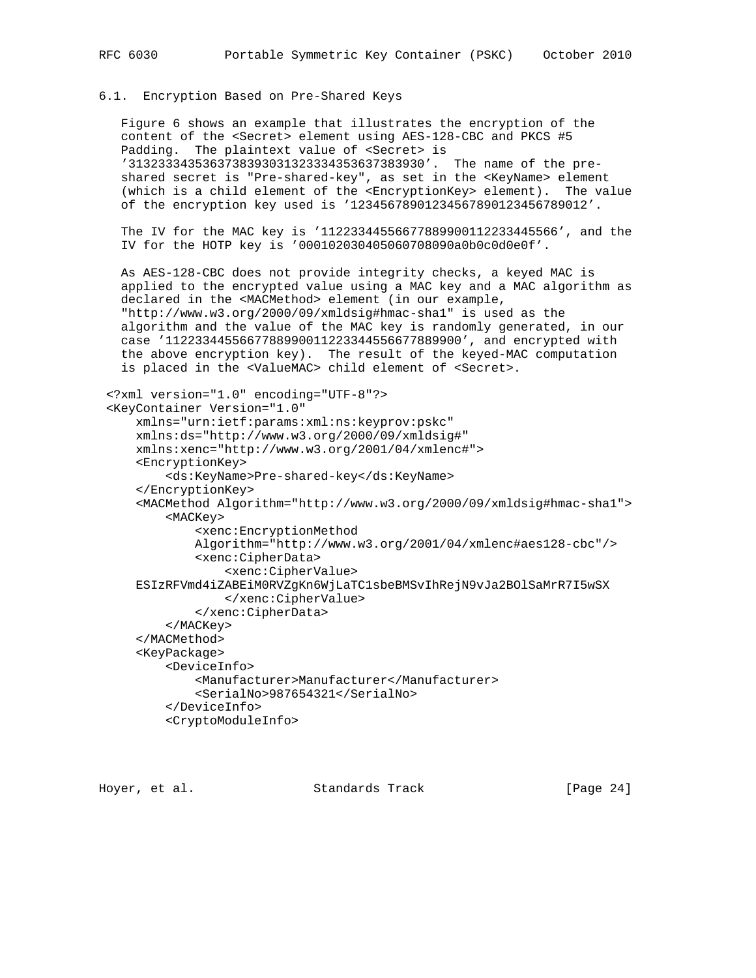#### 6.1. Encryption Based on Pre-Shared Keys

 Figure 6 shows an example that illustrates the encryption of the content of the <Secret> element using AES-128-CBC and PKCS #5 Padding. The plaintext value of <Secret> is '3132333435363738393031323334353637383930'. The name of the pre shared secret is "Pre-shared-key", as set in the <KeyName> element (which is a child element of the <EncryptionKey> element). The value of the encryption key used is '12345678901234567890123456789012'.

 The IV for the MAC key is '11223344556677889900112233445566', and the IV for the HOTP key is '000102030405060708090a0b0c0d0e0f'.

 As AES-128-CBC does not provide integrity checks, a keyed MAC is applied to the encrypted value using a MAC key and a MAC algorithm as declared in the <MACMethod> element (in our example, "http://www.w3.org/2000/09/xmldsig#hmac-sha1" is used as the algorithm and the value of the MAC key is randomly generated, in our case '1122334455667788990011223344556677889900', and encrypted with the above encryption key). The result of the keyed-MAC computation is placed in the <ValueMAC> child element of <Secret>.

```
 <?xml version="1.0" encoding="UTF-8"?>
 <KeyContainer Version="1.0"
     xmlns="urn:ietf:params:xml:ns:keyprov:pskc"
     xmlns:ds="http://www.w3.org/2000/09/xmldsig#"
     xmlns:xenc="http://www.w3.org/2001/04/xmlenc#">
     <EncryptionKey>
         <ds:KeyName>Pre-shared-key</ds:KeyName>
     </EncryptionKey>
     <MACMethod Algorithm="http://www.w3.org/2000/09/xmldsig#hmac-sha1">
         <MACKey>
             <xenc:EncryptionMethod
             Algorithm="http://www.w3.org/2001/04/xmlenc#aes128-cbc"/>
             <xenc:CipherData>
                 <xenc:CipherValue>
     ESIzRFVmd4iZABEiM0RVZgKn6WjLaTC1sbeBMSvIhRejN9vJa2BOlSaMrR7I5wSX
                 </xenc:CipherValue>
             </xenc:CipherData>
         </MACKey>
     </MACMethod>
     <KeyPackage>
         <DeviceInfo>
             <Manufacturer>Manufacturer</Manufacturer>
             <SerialNo>987654321</SerialNo>
         </DeviceInfo>
         <CryptoModuleInfo>
```
Hoyer, et al. Standards Track [Page 24]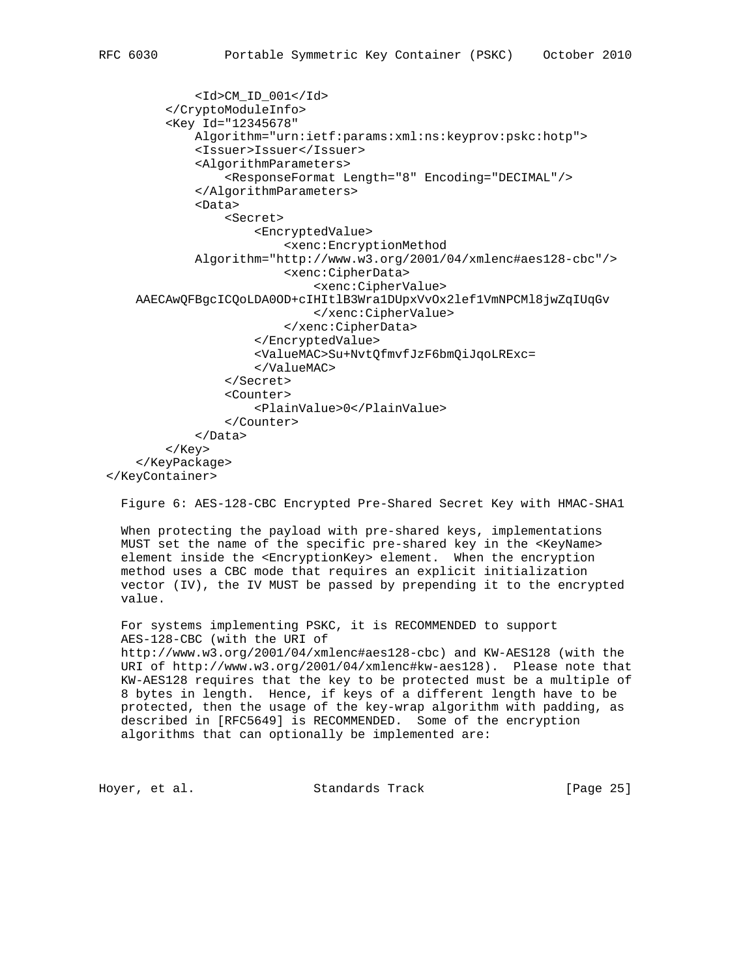```
 <Id>CM_ID_001</Id>
         </CryptoModuleInfo>
         <Key Id="12345678"
             Algorithm="urn:ietf:params:xml:ns:keyprov:pskc:hotp">
             <Issuer>Issuer</Issuer>
             <AlgorithmParameters>
                  <ResponseFormat Length="8" Encoding="DECIMAL"/>
             </AlgorithmParameters>
             <Data>
                  <Secret>
                      <EncryptedValue>
                          <xenc:EncryptionMethod
             Algorithm="http://www.w3.org/2001/04/xmlenc#aes128-cbc"/>
                          <xenc:CipherData>
                              <xenc:CipherValue>
     AAECAwQFBgcICQoLDA0OD+cIHItlB3Wra1DUpxVvOx2lef1VmNPCMl8jwZqIUqGv
                              </xenc:CipherValue>
                          </xenc:CipherData>
                      </EncryptedValue>
                      <ValueMAC>Su+NvtQfmvfJzF6bmQiJqoLRExc=
                      </ValueMAC>
                  </Secret>
                  <Counter>
                      <PlainValue>0</PlainValue>
                  </Counter>
              </Data>
         </Key>
     </KeyPackage>
 </KeyContainer>
```
Figure 6: AES-128-CBC Encrypted Pre-Shared Secret Key with HMAC-SHA1

 When protecting the payload with pre-shared keys, implementations MUST set the name of the specific pre-shared key in the <KeyName> element inside the <EncryptionKey> element. When the encryption method uses a CBC mode that requires an explicit initialization vector (IV), the IV MUST be passed by prepending it to the encrypted value.

 For systems implementing PSKC, it is RECOMMENDED to support AES-128-CBC (with the URI of http://www.w3.org/2001/04/xmlenc#aes128-cbc) and KW-AES128 (with the URI of http://www.w3.org/2001/04/xmlenc#kw-aes128). Please note that KW-AES128 requires that the key to be protected must be a multiple of 8 bytes in length. Hence, if keys of a different length have to be protected, then the usage of the key-wrap algorithm with padding, as described in [RFC5649] is RECOMMENDED. Some of the encryption algorithms that can optionally be implemented are:

Hoyer, et al. Standards Track [Page 25]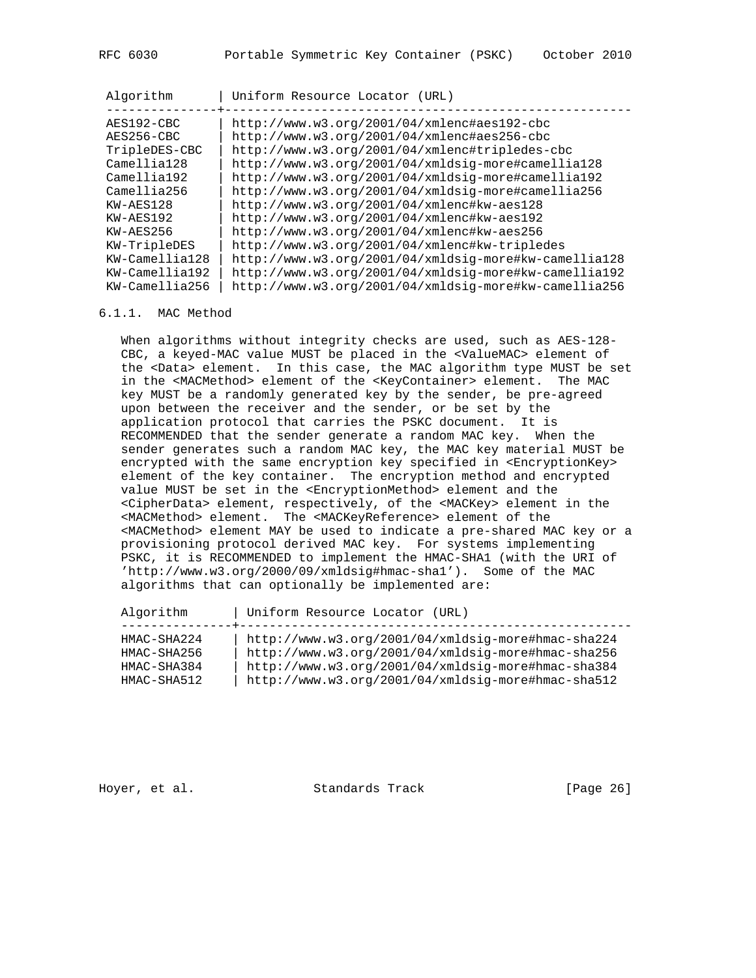| Algorithm      | Uniform Resource Locator (URL)                          |
|----------------|---------------------------------------------------------|
|                |                                                         |
| AES192-CBC     | http://www.w3.org/2001/04/xmlenc#aes192-cbc             |
| AES256-CBC     | http://www.w3.org/2001/04/xmlenc#aes256-cbc             |
| TripleDES-CBC  | http://www.w3.org/2001/04/xmlenc#tripledes-cbc          |
| Camellia128    | http://www.w3.org/2001/04/xmldsig-more#camellia128      |
| Camellia192    | http://www.w3.org/2001/04/xmldsig-more#camellia192      |
| Camellia256    | http://www.w3.org/2001/04/xmldsig-more#camellia256      |
| KW-AES128      | http://www.w3.org/2001/04/xmlenc#kw-aes128              |
| KW-AES192      | http://www.w3.org/2001/04/xmlenc#kw-aes192              |
| $KW-AES256$    | http://www.w3.org/2001/04/xmlenc#kw-aes256              |
| KW-TripleDES   | http://www.w3.org/2001/04/xmlenc#kw-tripledes           |
| KW-Camellia128 | http://www.w3.org/2001/04/xmldsig-more#kw-camellia128   |
| KW-Camellia192 | $http://www.w3.org/2001/04/xmldsiq-more#kw-camellia192$ |
| KW-Camellia256 | http://www.w3.org/2001/04/xmldsig-more#kw-camellia256   |

#### 6.1.1. MAC Method

When algorithms without integrity checks are used, such as AES-128- CBC, a keyed-MAC value MUST be placed in the <ValueMAC> element of the <Data> element. In this case, the MAC algorithm type MUST be set in the <MACMethod> element of the <KeyContainer> element. The MAC key MUST be a randomly generated key by the sender, be pre-agreed upon between the receiver and the sender, or be set by the application protocol that carries the PSKC document. It is RECOMMENDED that the sender generate a random MAC key. When the sender generates such a random MAC key, the MAC key material MUST be encrypted with the same encryption key specified in <EncryptionKey> element of the key container. The encryption method and encrypted value MUST be set in the <EncryptionMethod> element and the <CipherData> element, respectively, of the <MACKey> element in the <MACMethod> element. The <MACKeyReference> element of the <MACMethod> element MAY be used to indicate a pre-shared MAC key or a provisioning protocol derived MAC key. For systems implementing PSKC, it is RECOMMENDED to implement the HMAC-SHA1 (with the URI of 'http://www.w3.org/2000/09/xmldsig#hmac-sha1'). Some of the MAC algorithms that can optionally be implemented are:

Algorithm | Uniform Resource Locator (URL)

| HMAC-SHA224 | http://www.w3.org/2001/04/xmldsig-more#hmac-sha224 |
|-------------|----------------------------------------------------|
| HMAC-SHA256 | http://www.w3.org/2001/04/xmldsig-more#hmac-sha256 |
| HMAC-SHA384 | http://www.w3.org/2001/04/xmldsig-more#hmac-sha384 |
| HMAC-SHA512 | http://www.w3.org/2001/04/xmldsig-more#hmac-sha512 |

Hoyer, et al. Standards Track [Page 26]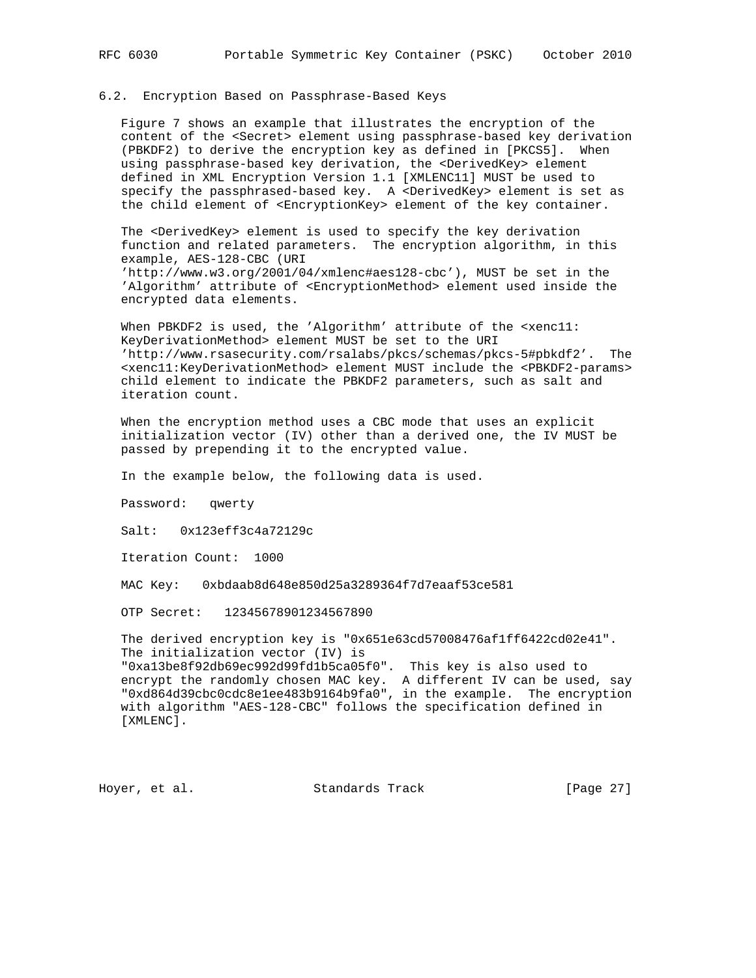#### 6.2. Encryption Based on Passphrase-Based Keys

 Figure 7 shows an example that illustrates the encryption of the content of the <Secret> element using passphrase-based key derivation (PBKDF2) to derive the encryption key as defined in [PKCS5]. When using passphrase-based key derivation, the <DerivedKey> element defined in XML Encryption Version 1.1 [XMLENC11] MUST be used to specify the passphrased-based key. A <DerivedKey> element is set as the child element of <EncryptionKey> element of the key container.

 The <DerivedKey> element is used to specify the key derivation function and related parameters. The encryption algorithm, in this example, AES-128-CBC (URI

 'http://www.w3.org/2001/04/xmlenc#aes128-cbc'), MUST be set in the 'Algorithm' attribute of <EncryptionMethod> element used inside the encrypted data elements.

When PBKDF2 is used, the 'Algorithm' attribute of the <xenc11: KeyDerivationMethod> element MUST be set to the URI 'http://www.rsasecurity.com/rsalabs/pkcs/schemas/pkcs-5#pbkdf2'. The <xenc11:KeyDerivationMethod> element MUST include the <PBKDF2-params> child element to indicate the PBKDF2 parameters, such as salt and iteration count.

 When the encryption method uses a CBC mode that uses an explicit initialization vector (IV) other than a derived one, the IV MUST be passed by prepending it to the encrypted value.

In the example below, the following data is used.

Password: qwerty

Salt: 0x123eff3c4a72129c

Iteration Count: 1000

MAC Key: 0xbdaab8d648e850d25a3289364f7d7eaaf53ce581

OTP Secret: 12345678901234567890

 The derived encryption key is "0x651e63cd57008476af1ff6422cd02e41". The initialization vector (IV) is "0xa13be8f92db69ec992d99fd1b5ca05f0". This key is also used to encrypt the randomly chosen MAC key. A different IV can be used, say "0xd864d39cbc0cdc8e1ee483b9164b9fa0", in the example. The encryption with algorithm "AES-128-CBC" follows the specification defined in [XMLENC].

Hoyer, et al. Standards Track [Page 27]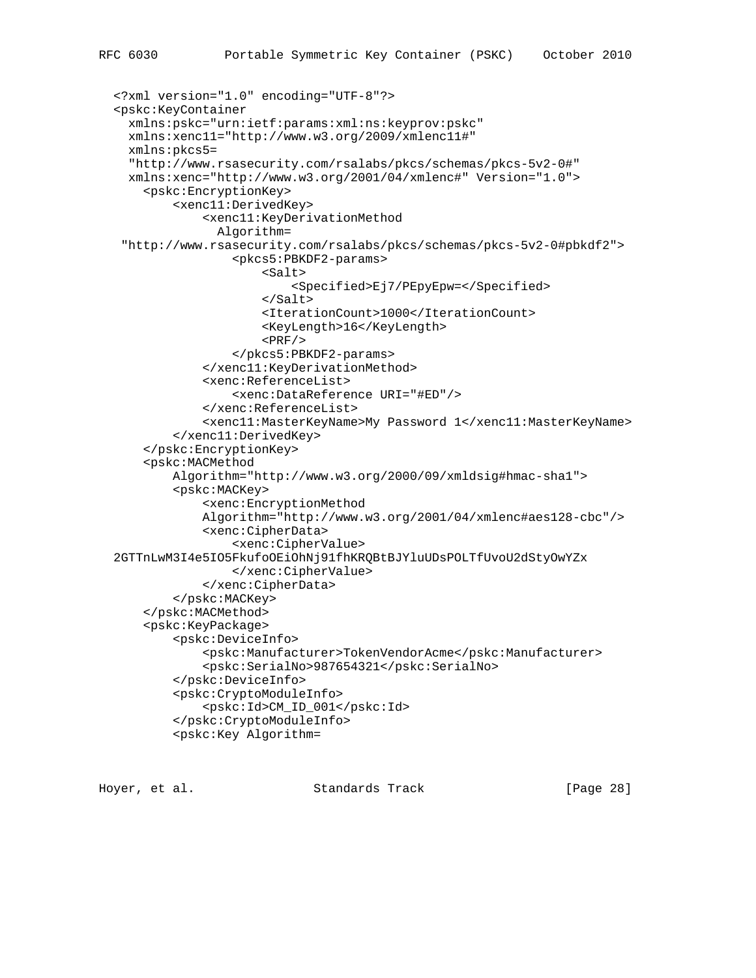```
 <?xml version="1.0" encoding="UTF-8"?>
 <pskc:KeyContainer
   xmlns:pskc="urn:ietf:params:xml:ns:keyprov:pskc"
  xmlns:xenc11="http://www.w3.org/2009/xmlenc11#"
  xmlns:pkcs5=
   "http://www.rsasecurity.com/rsalabs/pkcs/schemas/pkcs-5v2-0#"
  xmlns:xenc="http://www.w3.org/2001/04/xmlenc#" Version="1.0">
     <pskc:EncryptionKey>
         <xenc11:DerivedKey>
             <xenc11:KeyDerivationMethod
               Algorithm=
  "http://www.rsasecurity.com/rsalabs/pkcs/schemas/pkcs-5v2-0#pbkdf2">
                 <pkcs5:PBKDF2-params>
                      <Salt>
                          <Specified>Ej7/PEpyEpw=</Specified>
                      </Salt>
                      <IterationCount>1000</IterationCount>
                      <KeyLength>16</KeyLength>
                     <PRF/> </pkcs5:PBKDF2-params>
             </xenc11:KeyDerivationMethod>
             <xenc:ReferenceList>
                 <xenc:DataReference URI="#ED"/>
             </xenc:ReferenceList>
             <xenc11:MasterKeyName>My Password 1</xenc11:MasterKeyName>
         </xenc11:DerivedKey>
     </pskc:EncryptionKey>
     <pskc:MACMethod
         Algorithm="http://www.w3.org/2000/09/xmldsig#hmac-sha1">
         <pskc:MACKey>
             <xenc:EncryptionMethod
             Algorithm="http://www.w3.org/2001/04/xmlenc#aes128-cbc"/>
             <xenc:CipherData>
                 <xenc:CipherValue>
 2GTTnLwM3I4e5IO5FkufoOEiOhNj91fhKRQBtBJYluUDsPOLTfUvoU2dStyOwYZx
```

```
 </pskc:CryptoModuleInfo>
 <pskc:Key Algorithm=
```
</xenc:CipherValue>

<pskc:Id>CM\_ID\_001</pskc:Id>

</xenc:CipherData>

 </pskc:MACKey> </pskc:MACMethod> <pskc:KeyPackage>

<pskc:DeviceInfo>

 </pskc:DeviceInfo> <pskc:CryptoModuleInfo>

Hoyer, et al. Standards Track [Page 28]

<pskc:SerialNo>987654321</pskc:SerialNo>

<pskc:Manufacturer>TokenVendorAcme</pskc:Manufacturer>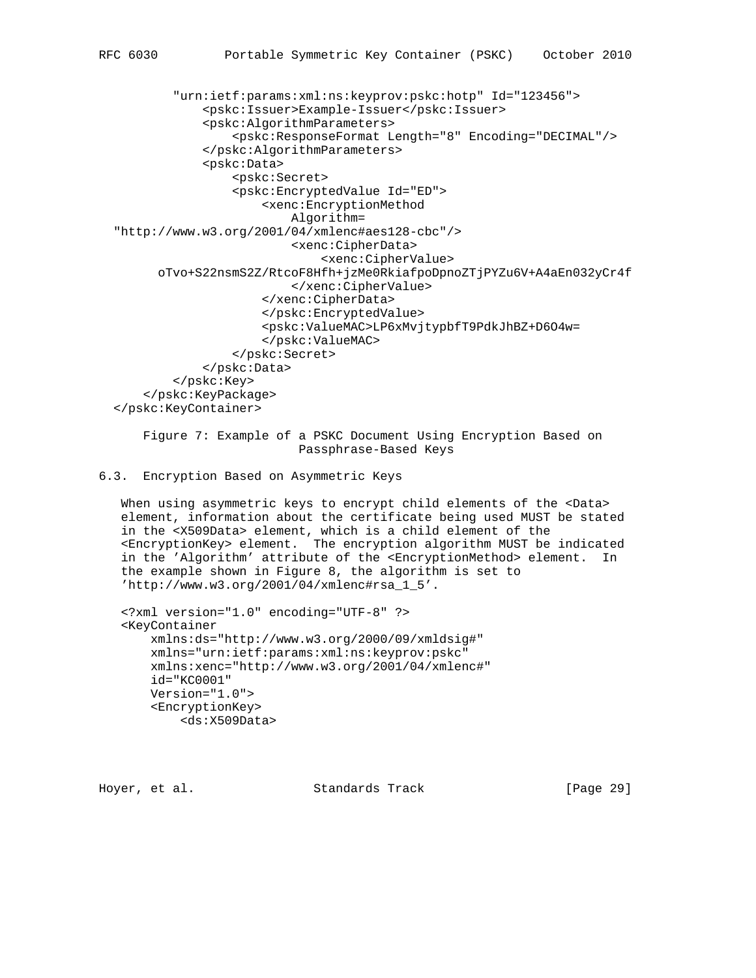```
 "urn:ietf:params:xml:ns:keyprov:pskc:hotp" Id="123456">
             <pskc:Issuer>Example-Issuer</pskc:Issuer>
             <pskc:AlgorithmParameters>
                  <pskc:ResponseFormat Length="8" Encoding="DECIMAL"/>
             </pskc:AlgorithmParameters>
             <pskc:Data>
                  <pskc:Secret>
                  <pskc:EncryptedValue Id="ED">
                      <xenc:EncryptionMethod
                          Algorithm=
 "http://www.w3.org/2001/04/xmlenc#aes128-cbc"/>
                          <xenc:CipherData>
                              <xenc:CipherValue>
       oTvo+S22nsmS2Z/RtcoF8Hfh+jzMe0RkiafpoDpnoZTjPYZu6V+A4aEn032yCr4f
                          </xenc:CipherValue>
                      </xenc:CipherData>
                      </pskc:EncryptedValue>
                      <pskc:ValueMAC>LP6xMvjtypbfT9PdkJhBZ+D6O4w=
                      </pskc:ValueMAC>
                  </pskc:Secret>
             </pskc:Data>
         </pskc:Key>
     </pskc:KeyPackage>
 </pskc:KeyContainer>
```
 Figure 7: Example of a PSKC Document Using Encryption Based on Passphrase-Based Keys

# 6.3. Encryption Based on Asymmetric Keys

When using asymmetric keys to encrypt child elements of the <Data> element, information about the certificate being used MUST be stated in the <X509Data> element, which is a child element of the <EncryptionKey> element. The encryption algorithm MUST be indicated in the 'Algorithm' attribute of the <EncryptionMethod> element. In the example shown in Figure 8, the algorithm is set to 'http://www.w3.org/2001/04/xmlenc#rsa\_1\_5'.

```
 <?xml version="1.0" encoding="UTF-8" ?>
 <KeyContainer
    xmlns:ds="http://www.w3.org/2000/09/xmldsig#"
    xmlns="urn:ietf:params:xml:ns:keyprov:pskc"
    xmlns:xenc="http://www.w3.org/2001/04/xmlenc#"
     id="KC0001"
    Version="1.0">
     <EncryptionKey>
         <ds:X509Data>
```
Hoyer, et al. Standards Track [Page 29]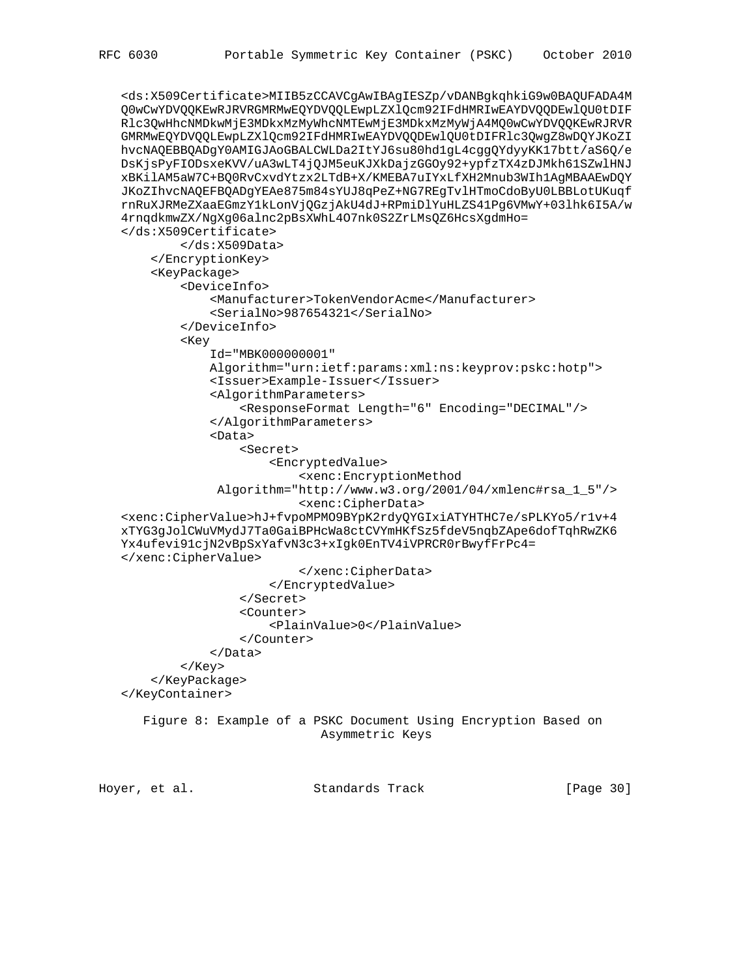```
 <ds:X509Certificate>MIIB5zCCAVCgAwIBAgIESZp/vDANBgkqhkiG9w0BAQUFADA4M
 Q0wCwYDVQQKEwRJRVRGMRMwEQYDVQQLEwpLZXlQcm92IFdHMRIwEAYDVQQDEwlQU0tDIF
 Rlc3QwHhcNMDkwMjE3MDkxMzMyWhcNMTEwMjE3MDkxMzMyWjA4MQ0wCwYDVQQKEwRJRVR
 GMRMwEQYDVQQLEwpLZXlQcm92IFdHMRIwEAYDVQQDEwlQU0tDIFRlc3QwgZ8wDQYJKoZI
 hvcNAQEBBQADgY0AMIGJAoGBALCWLDa2ItYJ6su80hd1gL4cggQYdyyKK17btt/aS6Q/e
 DsKjsPyFIODsxeKVV/uA3wLT4jQJM5euKJXkDajzGGOy92+ypfzTX4zDJMkh61SZwlHNJ
 xBKilAM5aW7C+BQ0RvCxvdYtzx2LTdB+X/KMEBA7uIYxLfXH2Mnub3WIh1AgMBAAEwDQY
 JKoZIhvcNAQEFBQADgYEAe875m84sYUJ8qPeZ+NG7REgTvlHTmoCdoByU0LBBLotUKuqf
 rnRuXJRMeZXaaEGmzY1kLonVjQGzjAkU4dJ+RPmiDlYuHLZS41Pg6VMwY+03lhk6I5A/w
 4rnqdkmwZX/NgXg06alnc2pBsXWhL4O7nk0S2ZrLMsQZ6HcsXgdmHo=
 </ds:X509Certificate>
         </ds:X509Data>
     </EncryptionKey>
     <KeyPackage>
         <DeviceInfo>
             <Manufacturer>TokenVendorAcme</Manufacturer>
             <SerialNo>987654321</SerialNo>
         </DeviceInfo>
         <Key
             Id="MBK000000001"
             Algorithm="urn:ietf:params:xml:ns:keyprov:pskc:hotp">
             <Issuer>Example-Issuer</Issuer>
             <AlgorithmParameters>
                 <ResponseFormat Length="6" Encoding="DECIMAL"/>
             </AlgorithmParameters>
             <Data>
                 <Secret>
                     <EncryptedValue>
                          <xenc:EncryptionMethod
              Algorithm="http://www.w3.org/2001/04/xmlenc#rsa_1_5"/>
                          <xenc:CipherData>
 <xenc:CipherValue>hJ+fvpoMPMO9BYpK2rdyQYGIxiATYHTHC7e/sPLKYo5/r1v+4
 xTYG3gJolCWuVMydJ7Ta0GaiBPHcWa8ctCVYmHKfSz5fdeV5nqbZApe6dofTqhRwZK6
 Yx4ufevi91cjN2vBpSxYafvN3c3+xIgk0EnTV4iVPRCR0rBwyfFrPc4=
 </xenc:CipherValue>
                          </xenc:CipherData>
                     </EncryptedValue>
                 </Secret>
                 <Counter>
                      <PlainValue>0</PlainValue>
                 </Counter>
             </Data>
         </Key>
     </KeyPackage>
 </KeyContainer>
    Figure 8: Example of a PSKC Document Using Encryption Based on
                             Asymmetric Keys
```
Hoyer, et al. Standards Track [Page 30]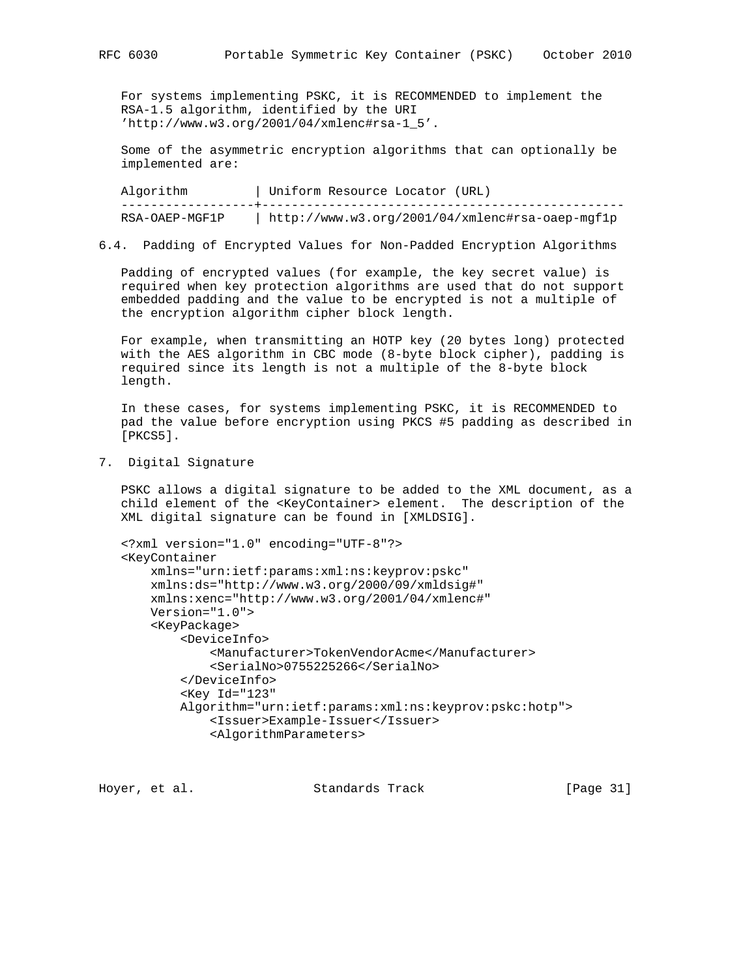For systems implementing PSKC, it is RECOMMENDED to implement the RSA-1.5 algorithm, identified by the URI 'http://www.w3.org/2001/04/xmlenc#rsa-1\_5'.

 Some of the asymmetric encryption algorithms that can optionally be implemented are:

Algorithm | Uniform Resource Locator (URL) ------------------+------------------------------------------------- RSA-OAEP-MGF1P | http://www.w3.org/2001/04/xmlenc#rsa-oaep-mgf1p

6.4. Padding of Encrypted Values for Non-Padded Encryption Algorithms

 Padding of encrypted values (for example, the key secret value) is required when key protection algorithms are used that do not support embedded padding and the value to be encrypted is not a multiple of the encryption algorithm cipher block length.

 For example, when transmitting an HOTP key (20 bytes long) protected with the AES algorithm in CBC mode (8-byte block cipher), padding is required since its length is not a multiple of the 8-byte block length.

 In these cases, for systems implementing PSKC, it is RECOMMENDED to pad the value before encryption using PKCS #5 padding as described in [PKCS5].

7. Digital Signature

 PSKC allows a digital signature to be added to the XML document, as a child element of the <KeyContainer> element. The description of the XML digital signature can be found in [XMLDSIG].

```
 <?xml version="1.0" encoding="UTF-8"?>
 <KeyContainer
    xmlns="urn:ietf:params:xml:ns:keyprov:pskc"
     xmlns:ds="http://www.w3.org/2000/09/xmldsig#"
     xmlns:xenc="http://www.w3.org/2001/04/xmlenc#"
     Version="1.0">
     <KeyPackage>
         <DeviceInfo>
             <Manufacturer>TokenVendorAcme</Manufacturer>
             <SerialNo>0755225266</SerialNo>
         </DeviceInfo>
         <Key Id="123"
         Algorithm="urn:ietf:params:xml:ns:keyprov:pskc:hotp">
             <Issuer>Example-Issuer</Issuer>
             <AlgorithmParameters>
```
Hoyer, et al. Standards Track [Page 31]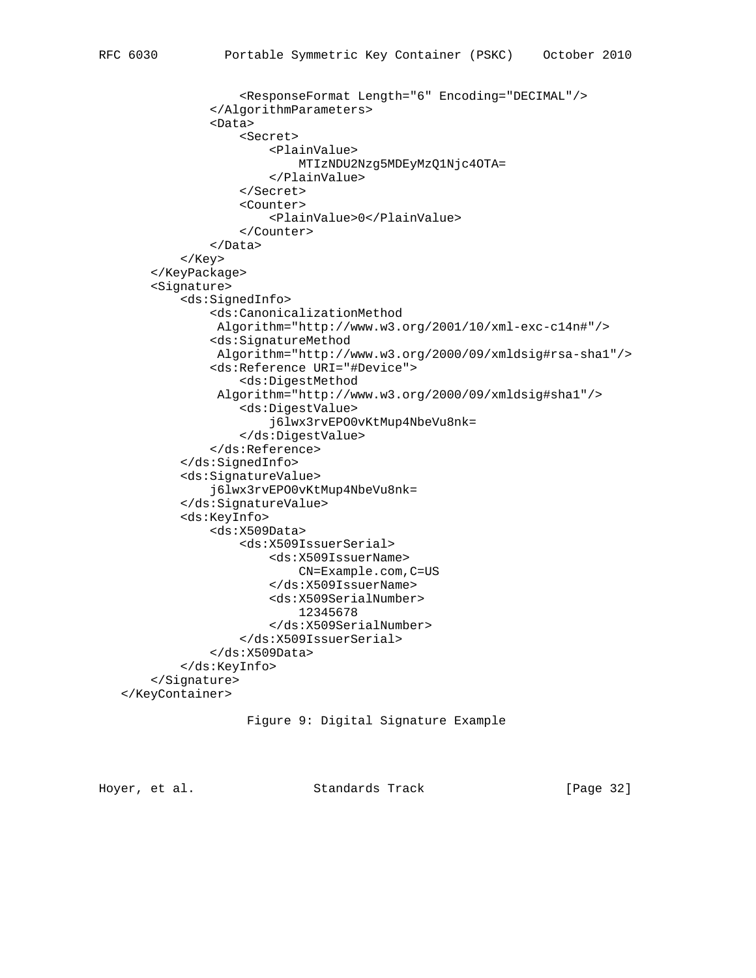<ResponseFormat Length="6" Encoding="DECIMAL"/> </AlgorithmParameters> <Data> <Secret> <PlainValue> MTIzNDU2Nzg5MDEyMzQ1Njc4OTA= </PlainValue> </Secret> <Counter> <PlainValue>0</PlainValue> </Counter> </Data> </Key> </KeyPackage> <Signature> <ds:SignedInfo> <ds:CanonicalizationMethod Algorithm="http://www.w3.org/2001/10/xml-exc-c14n#"/> <ds:SignatureMethod Algorithm="http://www.w3.org/2000/09/xmldsig#rsa-sha1"/> <ds:Reference URI="#Device"> <ds:DigestMethod Algorithm="http://www.w3.org/2000/09/xmldsig#sha1"/> <ds:DigestValue> j6lwx3rvEPO0vKtMup4NbeVu8nk= </ds:DigestValue> </ds:Reference> </ds:SignedInfo> <ds:SignatureValue> j6lwx3rvEPO0vKtMup4NbeVu8nk= </ds:SignatureValue> <ds:KeyInfo> <ds:X509Data> <ds:X509IssuerSerial> <ds:X509IssuerName> CN=Example.com,C=US </ds:X509IssuerName> <ds:X509SerialNumber> 12345678 </ds:X509SerialNumber> </ds:X509IssuerSerial> </ds:X509Data> </ds:KeyInfo> </Signature> </KeyContainer>

# Figure 9: Digital Signature Example

Hoyer, et al. Standards Track [Page 32]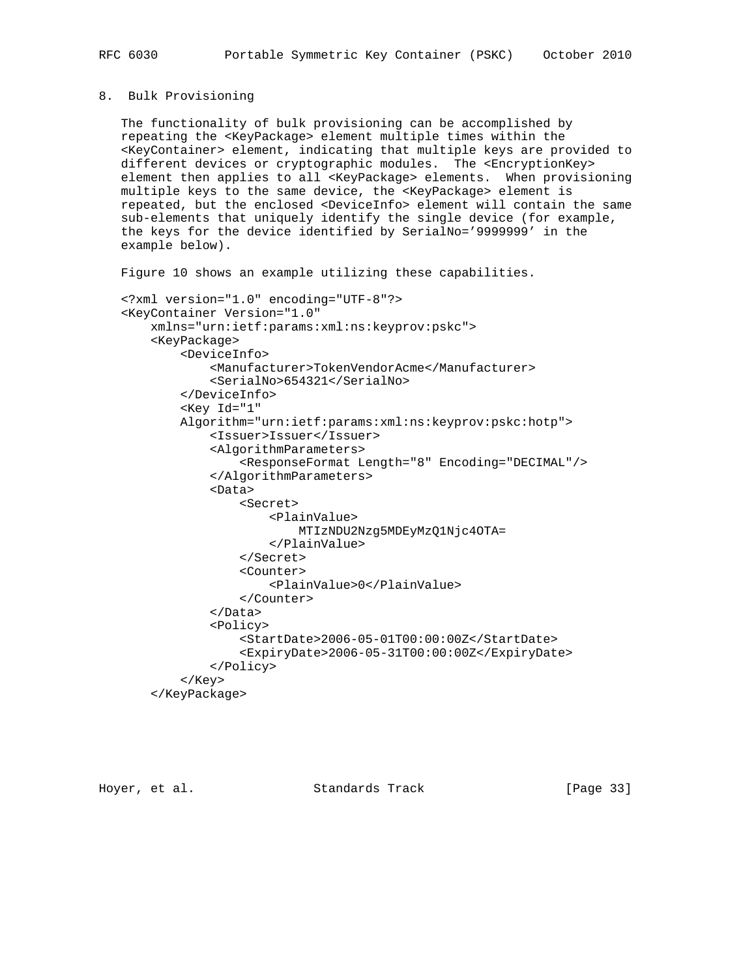#### 8. Bulk Provisioning

 The functionality of bulk provisioning can be accomplished by repeating the <KeyPackage> element multiple times within the <KeyContainer> element, indicating that multiple keys are provided to different devices or cryptographic modules. The <EncryptionKey> element then applies to all <KeyPackage> elements. When provisioning multiple keys to the same device, the <KeyPackage> element is repeated, but the enclosed <DeviceInfo> element will contain the same sub-elements that uniquely identify the single device (for example, the keys for the device identified by SerialNo='9999999' in the example below).

Figure 10 shows an example utilizing these capabilities.

```
 <?xml version="1.0" encoding="UTF-8"?>
 <KeyContainer Version="1.0"
     xmlns="urn:ietf:params:xml:ns:keyprov:pskc">
     <KeyPackage>
         <DeviceInfo>
             <Manufacturer>TokenVendorAcme</Manufacturer>
             <SerialNo>654321</SerialNo>
         </DeviceInfo>
         <Key Id="1"
         Algorithm="urn:ietf:params:xml:ns:keyprov:pskc:hotp">
             <Issuer>Issuer</Issuer>
             <AlgorithmParameters>
                  <ResponseFormat Length="8" Encoding="DECIMAL"/>
             </AlgorithmParameters>
             <Data>
                  <Secret>
                      <PlainValue>
                          MTIzNDU2Nzg5MDEyMzQ1Njc4OTA=
                      </PlainValue>
                  </Secret>
                  <Counter>
                      <PlainValue>0</PlainValue>
                  </Counter>
             </Data>
             <Policy>
                  <StartDate>2006-05-01T00:00:00Z</StartDate>
                  <ExpiryDate>2006-05-31T00:00:00Z</ExpiryDate>
             </Policy>
         </Key>
     </KeyPackage>
```
Hoyer, et al. Standards Track [Page 33]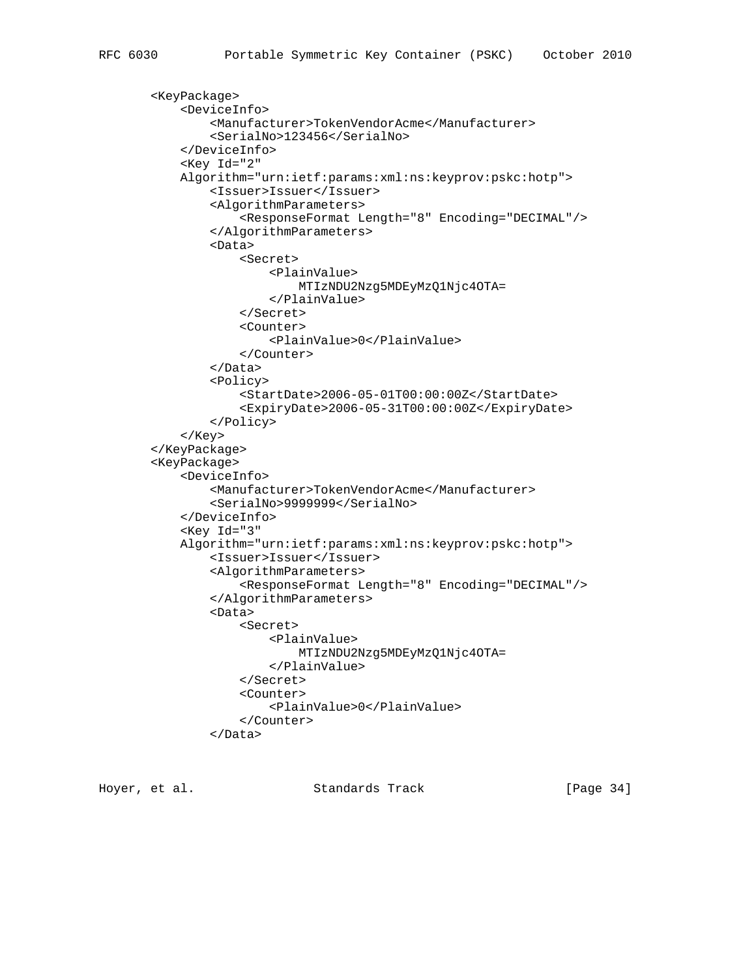```
 <KeyPackage>
     <DeviceInfo>
         <Manufacturer>TokenVendorAcme</Manufacturer>
         <SerialNo>123456</SerialNo>
     </DeviceInfo>
     <Key Id="2"
     Algorithm="urn:ietf:params:xml:ns:keyprov:pskc:hotp">
         <Issuer>Issuer</Issuer>
         <AlgorithmParameters>
             <ResponseFormat Length="8" Encoding="DECIMAL"/>
         </AlgorithmParameters>
         <Data>
             <Secret>
                  <PlainValue>
                      MTIzNDU2Nzg5MDEyMzQ1Njc4OTA=
                  </PlainValue>
             </Secret>
             <Counter>
                  <PlainValue>0</PlainValue>
             </Counter>
         </Data>
         <Policy>
             <StartDate>2006-05-01T00:00:00Z</StartDate>
             <ExpiryDate>2006-05-31T00:00:00Z</ExpiryDate>
         </Policy>
     </Key>
 </KeyPackage>
 <KeyPackage>
     <DeviceInfo>
         <Manufacturer>TokenVendorAcme</Manufacturer>
         <SerialNo>9999999</SerialNo>
     </DeviceInfo>
     <Key Id="3"
     Algorithm="urn:ietf:params:xml:ns:keyprov:pskc:hotp">
         <Issuer>Issuer</Issuer>
         <AlgorithmParameters>
             <ResponseFormat Length="8" Encoding="DECIMAL"/>
         </AlgorithmParameters>
         <Data>
             <Secret>
                  <PlainValue>
                      MTIzNDU2Nzg5MDEyMzQ1Njc4OTA=
                  </PlainValue>
             </Secret>
             <Counter>
                  <PlainValue>0</PlainValue>
             </Counter>
         </Data>
```
Hoyer, et al. Standards Track [Page 34]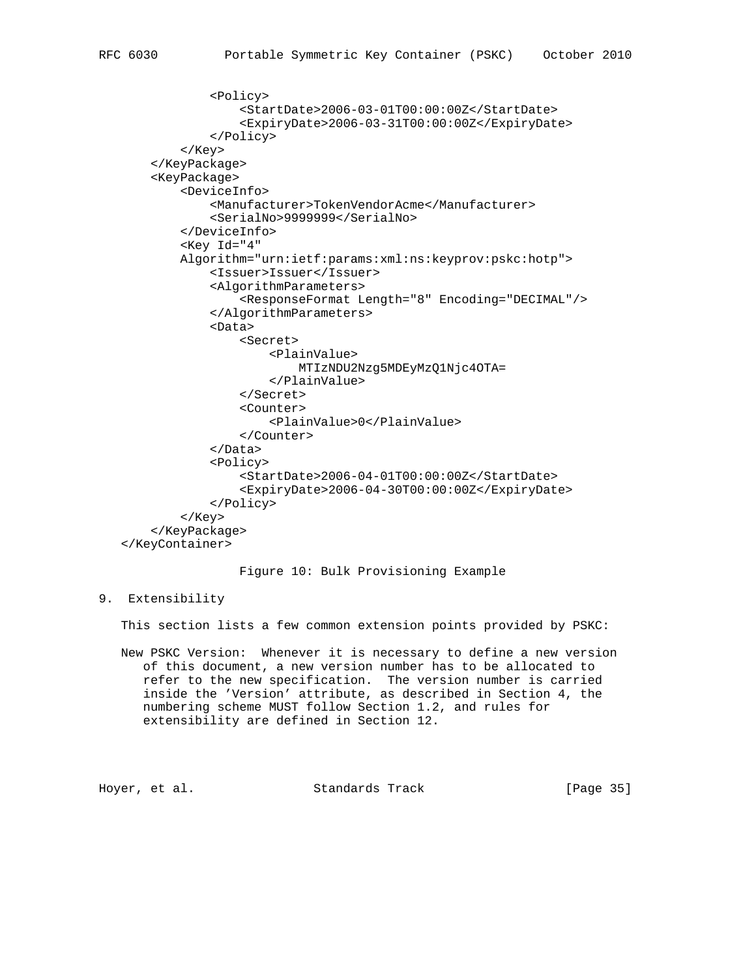```
 <Policy>
                  <StartDate>2006-03-01T00:00:00Z</StartDate>
                  <ExpiryDate>2006-03-31T00:00:00Z</ExpiryDate>
             </Policy>
         </Key>
     </KeyPackage>
     <KeyPackage>
         <DeviceInfo>
             <Manufacturer>TokenVendorAcme</Manufacturer>
             <SerialNo>9999999</SerialNo>
         </DeviceInfo>
         <Key Id="4"
         Algorithm="urn:ietf:params:xml:ns:keyprov:pskc:hotp">
             <Issuer>Issuer</Issuer>
             <AlgorithmParameters>
                  <ResponseFormat Length="8" Encoding="DECIMAL"/>
             </AlgorithmParameters>
             <Data>
                  <Secret>
                      <PlainValue>
                          MTIzNDU2Nzg5MDEyMzQ1Njc4OTA=
                      </PlainValue>
                  </Secret>
                  <Counter>
                      <PlainValue>0</PlainValue>
                  </Counter>
             </Data>
             <Policy>
                  <StartDate>2006-04-01T00:00:00Z</StartDate>
                  <ExpiryDate>2006-04-30T00:00:00Z</ExpiryDate>
             </Policy>
         </Key>
     </KeyPackage>
 </KeyContainer>
```
Figure 10: Bulk Provisioning Example

# 9. Extensibility

This section lists a few common extension points provided by PSKC:

 New PSKC Version: Whenever it is necessary to define a new version of this document, a new version number has to be allocated to refer to the new specification. The version number is carried inside the 'Version' attribute, as described in Section 4, the numbering scheme MUST follow Section 1.2, and rules for extensibility are defined in Section 12.

```
Hoyer, et al. Standards Track [Page 35]
```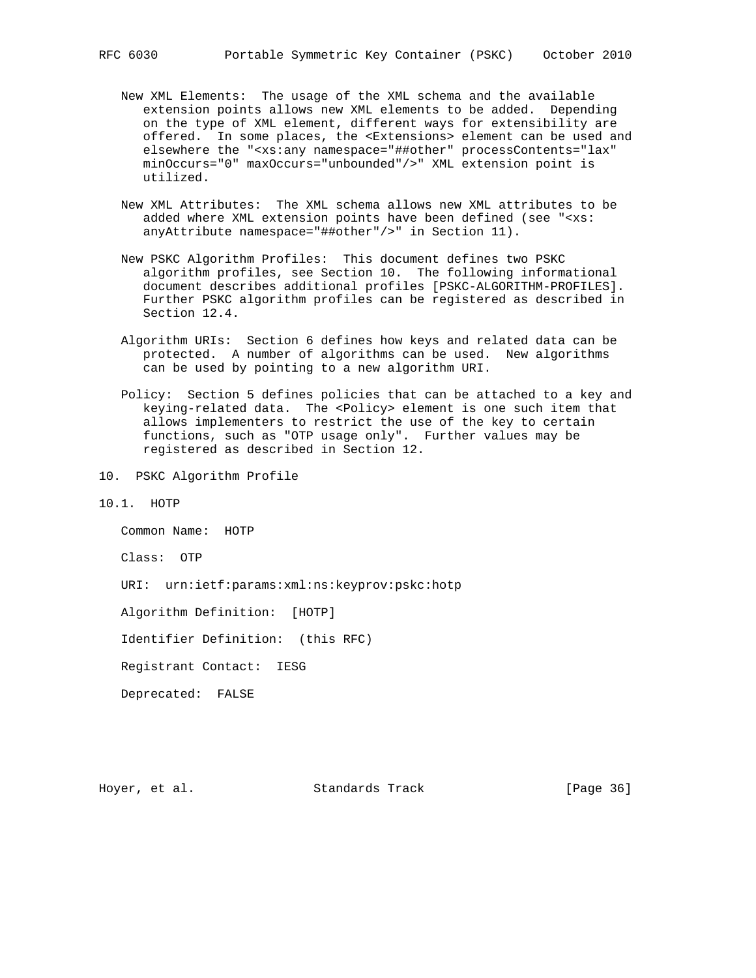- New XML Elements: The usage of the XML schema and the available extension points allows new XML elements to be added. Depending on the type of XML element, different ways for extensibility are offered. In some places, the <Extensions> element can be used and elsewhere the "<xs:any namespace="##other" processContents="lax" minOccurs="0" maxOccurs="unbounded"/>" XML extension point is utilized.
- New XML Attributes: The XML schema allows new XML attributes to be added where XML extension points have been defined (see "<xs: anyAttribute namespace="##other"/>" in Section 11).
- New PSKC Algorithm Profiles: This document defines two PSKC algorithm profiles, see Section 10. The following informational document describes additional profiles [PSKC-ALGORITHM-PROFILES]. Further PSKC algorithm profiles can be registered as described in Section 12.4.
- Algorithm URIs: Section 6 defines how keys and related data can be protected. A number of algorithms can be used. New algorithms can be used by pointing to a new algorithm URI.
- Policy: Section 5 defines policies that can be attached to a key and keying-related data. The <Policy> element is one such item that allows implementers to restrict the use of the key to certain functions, such as "OTP usage only". Further values may be registered as described in Section 12.
- 10. PSKC Algorithm Profile
- 10.1. HOTP

Common Name: HOTP

Class: OTP

URI: urn:ietf:params:xml:ns:keyprov:pskc:hotp

Algorithm Definition: [HOTP]

Identifier Definition: (this RFC)

Registrant Contact: IESG

Deprecated: FALSE

Hoyer, et al. Standards Track [Page 36]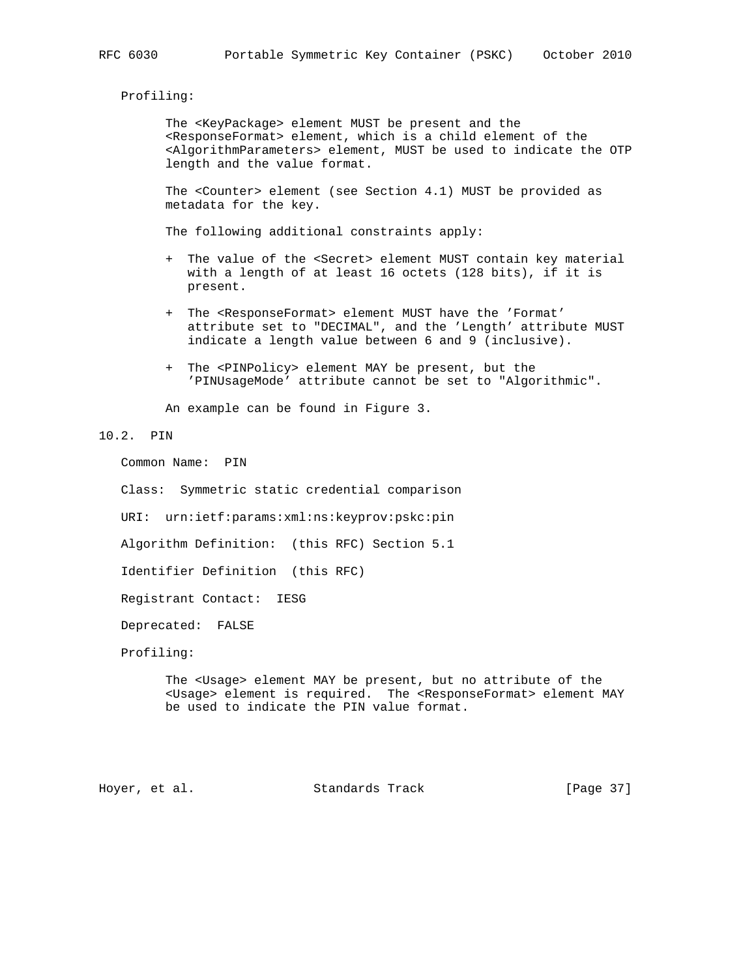Profiling:

 The <KeyPackage> element MUST be present and the <ResponseFormat> element, which is a child element of the <AlgorithmParameters> element, MUST be used to indicate the OTP length and the value format.

 The <Counter> element (see Section 4.1) MUST be provided as metadata for the key.

The following additional constraints apply:

- + The value of the <Secret> element MUST contain key material with a length of at least 16 octets (128 bits), if it is present.
- + The <ResponseFormat> element MUST have the 'Format' attribute set to "DECIMAL", and the 'Length' attribute MUST indicate a length value between 6 and 9 (inclusive).
- + The <PINPolicy> element MAY be present, but the 'PINUsageMode' attribute cannot be set to "Algorithmic".

An example can be found in Figure 3.

#### 10.2. PIN

Common Name: PIN

Class: Symmetric static credential comparison

URI: urn:ietf:params:xml:ns:keyprov:pskc:pin

Algorithm Definition: (this RFC) Section 5.1

Identifier Definition (this RFC)

Registrant Contact: IESG

Deprecated: FALSE

Profiling:

 The <Usage> element MAY be present, but no attribute of the <Usage> element is required. The <ResponseFormat> element MAY be used to indicate the PIN value format.

Hoyer, et al. Standards Track [Page 37]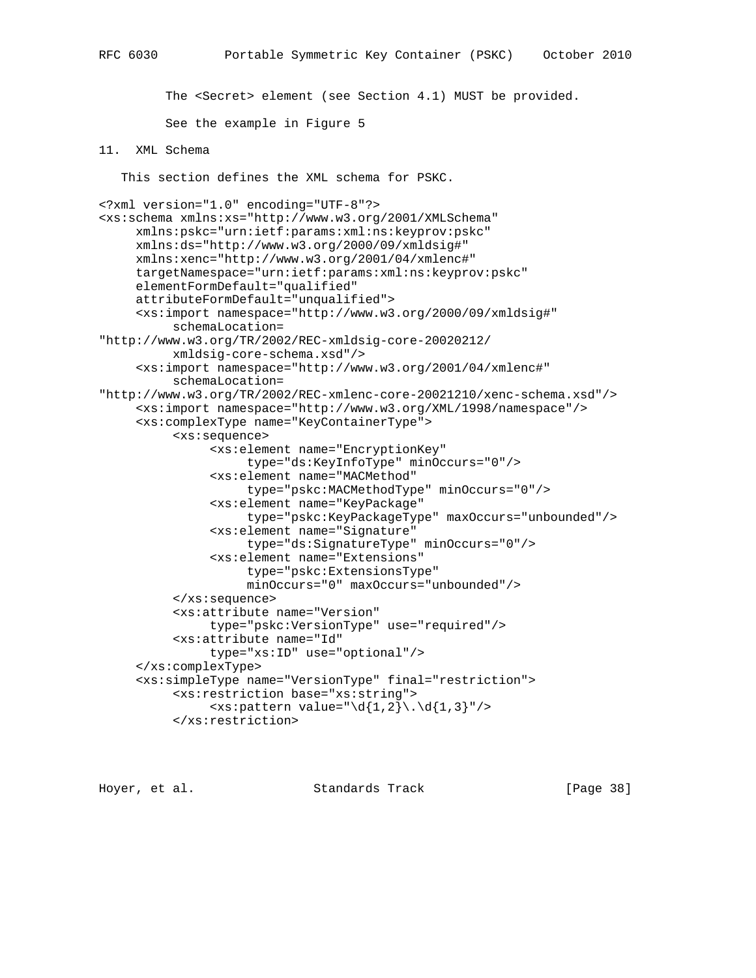The <Secret> element (see Section 4.1) MUST be provided.

See the example in Figure 5

# 11. XML Schema

This section defines the XML schema for PSKC.

```
<?xml version="1.0" encoding="UTF-8"?>
<xs:schema xmlns:xs="http://www.w3.org/2001/XMLSchema"
      xmlns:pskc="urn:ietf:params:xml:ns:keyprov:pskc"
      xmlns:ds="http://www.w3.org/2000/09/xmldsig#"
      xmlns:xenc="http://www.w3.org/2001/04/xmlenc#"
      targetNamespace="urn:ietf:params:xml:ns:keyprov:pskc"
      elementFormDefault="qualified"
      attributeFormDefault="unqualified">
      <xs:import namespace="http://www.w3.org/2000/09/xmldsig#"
           schemaLocation=
"http://www.w3.org/TR/2002/REC-xmldsig-core-20020212/
           xmldsig-core-schema.xsd"/>
      <xs:import namespace="http://www.w3.org/2001/04/xmlenc#"
           schemaLocation=
"http://www.w3.org/TR/2002/REC-xmlenc-core-20021210/xenc-schema.xsd"/>
      <xs:import namespace="http://www.w3.org/XML/1998/namespace"/>
      <xs:complexType name="KeyContainerType">
           <xs:sequence>
                <xs:element name="EncryptionKey"
                     type="ds:KeyInfoType" minOccurs="0"/>
                <xs:element name="MACMethod"
                     type="pskc:MACMethodType" minOccurs="0"/>
                <xs:element name="KeyPackage"
                     type="pskc:KeyPackageType" maxOccurs="unbounded"/>
                <xs:element name="Signature"
                     type="ds:SignatureType" minOccurs="0"/>
                <xs:element name="Extensions"
                     type="pskc:ExtensionsType"
                     minOccurs="0" maxOccurs="unbounded"/>
           </xs:sequence>
           <xs:attribute name="Version"
                type="pskc:VersionType" use="required"/>
           <xs:attribute name="Id"
                type="xs:ID" use="optional"/>
      </xs:complexType>
      <xs:simpleType name="VersionType" final="restriction">
           <xs:restriction base="xs:string">
               \langle x s :pattern value="\d{1,2}\.\d{1,3}"/>
           </xs:restriction>
```
Hoyer, et al. Standards Track [Page 38]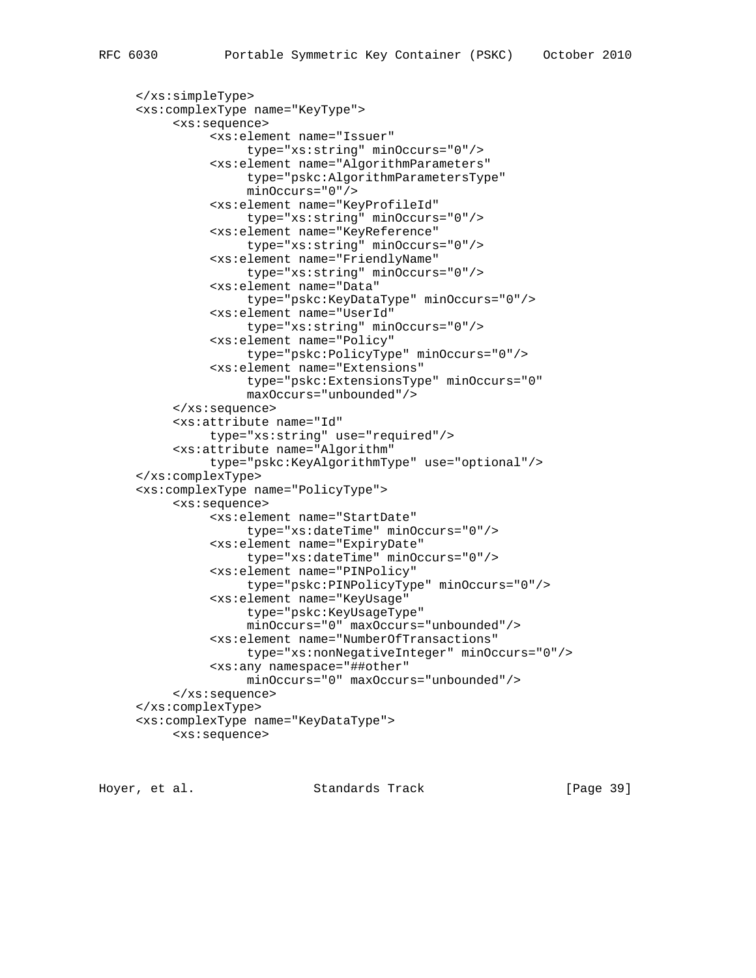```
 </xs:simpleType>
 <xs:complexType name="KeyType">
      <xs:sequence>
```

```
 <xs:element name="Issuer"
                type="xs:string" minOccurs="0"/>
           <xs:element name="AlgorithmParameters"
                type="pskc:AlgorithmParametersType"
                minOccurs="0"/>
           <xs:element name="KeyProfileId"
                type="xs:string" minOccurs="0"/>
           <xs:element name="KeyReference"
                type="xs:string" minOccurs="0"/>
           <xs:element name="FriendlyName"
                type="xs:string" minOccurs="0"/>
           <xs:element name="Data"
                type="pskc:KeyDataType" minOccurs="0"/>
           <xs:element name="UserId"
                type="xs:string" minOccurs="0"/>
           <xs:element name="Policy"
                type="pskc:PolicyType" minOccurs="0"/>
           <xs:element name="Extensions"
                type="pskc:ExtensionsType" minOccurs="0"
                maxOccurs="unbounded"/>
      </xs:sequence>
      <xs:attribute name="Id"
           type="xs:string" use="required"/>
      <xs:attribute name="Algorithm"
           type="pskc:KeyAlgorithmType" use="optional"/>
 </xs:complexType>
 <xs:complexType name="PolicyType">
      <xs:sequence>
           <xs:element name="StartDate"
                type="xs:dateTime" minOccurs="0"/>
           <xs:element name="ExpiryDate"
                type="xs:dateTime" minOccurs="0"/>
           <xs:element name="PINPolicy"
                type="pskc:PINPolicyType" minOccurs="0"/>
           <xs:element name="KeyUsage"
                type="pskc:KeyUsageType"
                minOccurs="0" maxOccurs="unbounded"/>
           <xs:element name="NumberOfTransactions"
                type="xs:nonNegativeInteger" minOccurs="0"/>
           <xs:any namespace="##other"
                minOccurs="0" maxOccurs="unbounded"/>
      </xs:sequence>
 </xs:complexType>
 <xs:complexType name="KeyDataType">
      <xs:sequence>
```
Hoyer, et al. Standards Track [Page 39]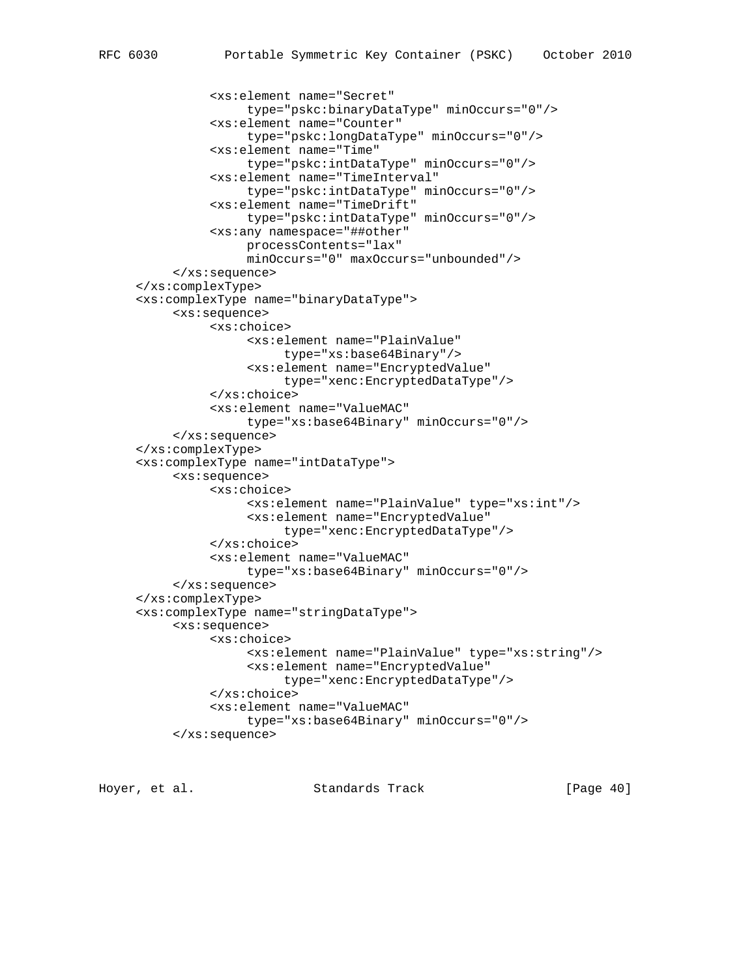```
 <xs:element name="Secret"
                type="pskc:binaryDataType" minOccurs="0"/>
           <xs:element name="Counter"
                type="pskc:longDataType" minOccurs="0"/>
           <xs:element name="Time"
                type="pskc:intDataType" minOccurs="0"/>
           <xs:element name="TimeInterval"
                type="pskc:intDataType" minOccurs="0"/>
           <xs:element name="TimeDrift"
                type="pskc:intDataType" minOccurs="0"/>
           <xs:any namespace="##other"
                processContents="lax"
                minOccurs="0" maxOccurs="unbounded"/>
      </xs:sequence>
 </xs:complexType>
 <xs:complexType name="binaryDataType">
      <xs:sequence>
           <xs:choice>
                <xs:element name="PlainValue"
                     type="xs:base64Binary"/>
                <xs:element name="EncryptedValue"
                     type="xenc:EncryptedDataType"/>
           </xs:choice>
           <xs:element name="ValueMAC"
                type="xs:base64Binary" minOccurs="0"/>
      </xs:sequence>
 </xs:complexType>
 <xs:complexType name="intDataType">
      <xs:sequence>
           <xs:choice>
                <xs:element name="PlainValue" type="xs:int"/>
                <xs:element name="EncryptedValue"
                     type="xenc:EncryptedDataType"/>
           </xs:choice>
           <xs:element name="ValueMAC"
                type="xs:base64Binary" minOccurs="0"/>
      </xs:sequence>
 </xs:complexType>
 <xs:complexType name="stringDataType">
      <xs:sequence>
           <xs:choice>
                <xs:element name="PlainValue" type="xs:string"/>
                <xs:element name="EncryptedValue"
                     type="xenc:EncryptedDataType"/>
           </xs:choice>
           <xs:element name="ValueMAC"
                type="xs:base64Binary" minOccurs="0"/>
      </xs:sequence>
```
Hoyer, et al. Standards Track [Page 40]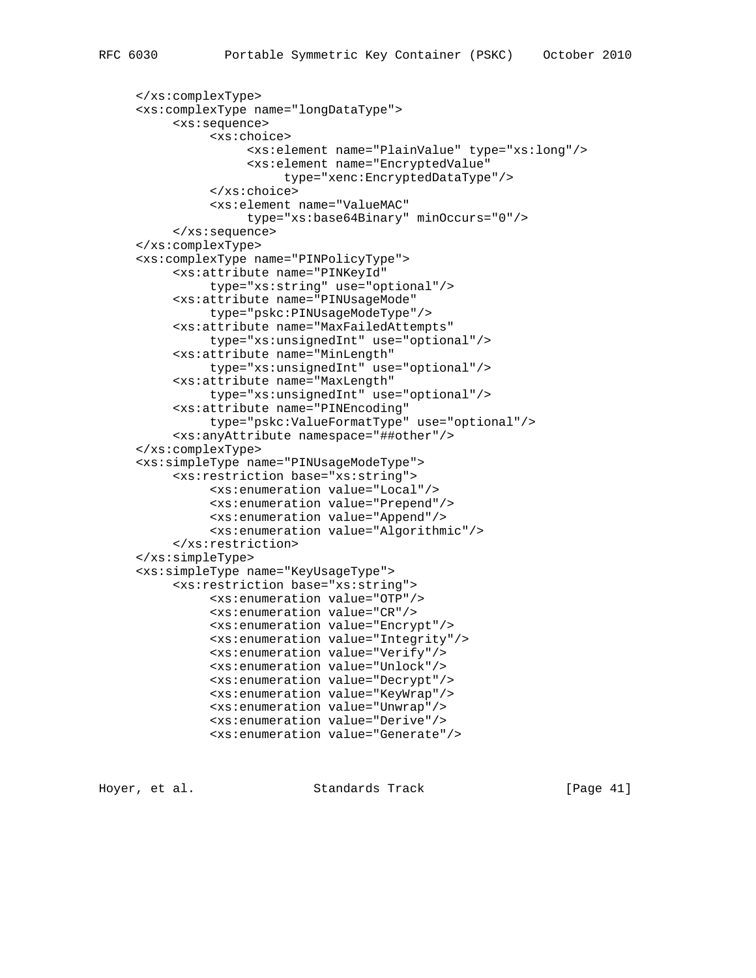```
 </xs:complexType>
 <xs:complexType name="longDataType">
      <xs:sequence>
           <xs:choice>
                <xs:element name="PlainValue" type="xs:long"/>
                <xs:element name="EncryptedValue"
                     type="xenc:EncryptedDataType"/>
           </xs:choice>
           <xs:element name="ValueMAC"
                type="xs:base64Binary" minOccurs="0"/>
      </xs:sequence>
 </xs:complexType>
 <xs:complexType name="PINPolicyType">
      <xs:attribute name="PINKeyId"
           type="xs:string" use="optional"/>
      <xs:attribute name="PINUsageMode"
          type="pskc:PINUsageModeType"/>
      <xs:attribute name="MaxFailedAttempts"
          type="xs:unsignedInt" use="optional"/>
      <xs:attribute name="MinLength"
          type="xs:unsignedInt" use="optional"/>
      <xs:attribute name="MaxLength"
          type="xs:unsignedInt" use="optional"/>
      <xs:attribute name="PINEncoding"
           type="pskc:ValueFormatType" use="optional"/>
      <xs:anyAttribute namespace="##other"/>
 </xs:complexType>
 <xs:simpleType name="PINUsageModeType">
      <xs:restriction base="xs:string">
           <xs:enumeration value="Local"/>
           <xs:enumeration value="Prepend"/>
           <xs:enumeration value="Append"/>
           <xs:enumeration value="Algorithmic"/>
      </xs:restriction>
 </xs:simpleType>
 <xs:simpleType name="KeyUsageType">
      <xs:restriction base="xs:string">
           <xs:enumeration value="OTP"/>
           <xs:enumeration value="CR"/>
           <xs:enumeration value="Encrypt"/>
           <xs:enumeration value="Integrity"/>
           <xs:enumeration value="Verify"/>
           <xs:enumeration value="Unlock"/>
```

```
Hoyer, et al. Standards Track [Page 41]
```
 <xs:enumeration value="Decrypt"/> <xs:enumeration value="KeyWrap"/> <xs:enumeration value="Unwrap"/> <xs:enumeration value="Derive"/> <xs:enumeration value="Generate"/>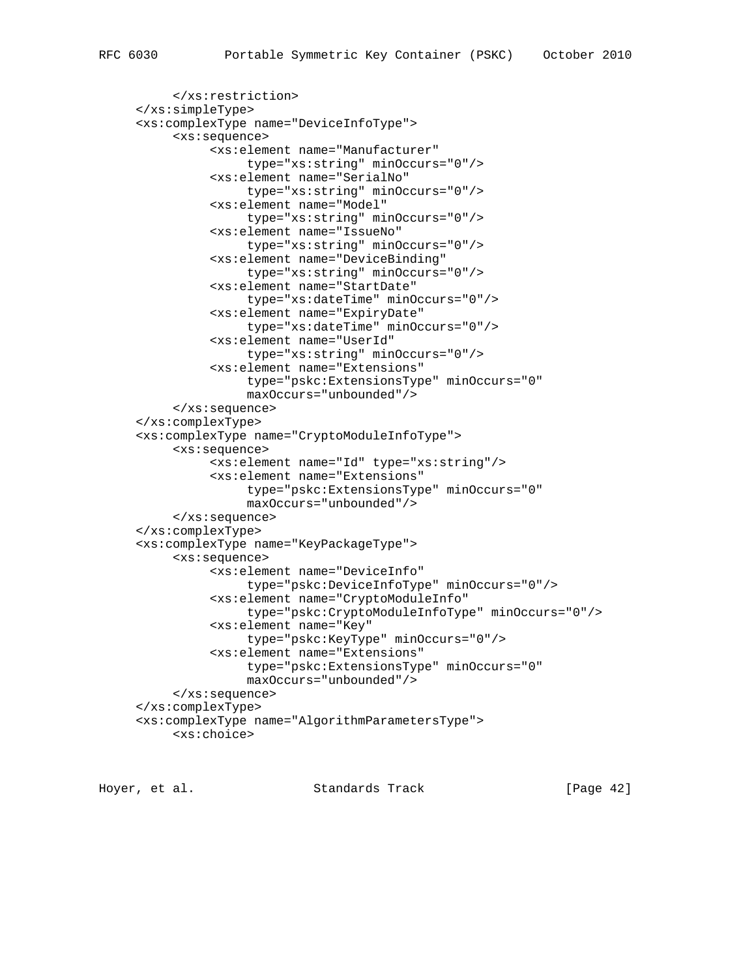```
 </xs:restriction>
 </xs:simpleType>
 <xs:complexType name="DeviceInfoType">
      <xs:sequence>
           <xs:element name="Manufacturer"
                type="xs:string" minOccurs="0"/>
           <xs:element name="SerialNo"
               type="xs:string" minOccurs="0"/>
           <xs:element name="Model"
                type="xs:string" minOccurs="0"/>
           <xs:element name="IssueNo"
                type="xs:string" minOccurs="0"/>
           <xs:element name="DeviceBinding"
                type="xs:string" minOccurs="0"/>
           <xs:element name="StartDate"
                type="xs:dateTime" minOccurs="0"/>
           <xs:element name="ExpiryDate"
                type="xs:dateTime" minOccurs="0"/>
           <xs:element name="UserId"
                type="xs:string" minOccurs="0"/>
           <xs:element name="Extensions"
                type="pskc:ExtensionsType" minOccurs="0"
                maxOccurs="unbounded"/>
      </xs:sequence>
 </xs:complexType>
 <xs:complexType name="CryptoModuleInfoType">
      <xs:sequence>
           <xs:element name="Id" type="xs:string"/>
           <xs:element name="Extensions"
                type="pskc:ExtensionsType" minOccurs="0"
                maxOccurs="unbounded"/>
      </xs:sequence>
 </xs:complexType>
 <xs:complexType name="KeyPackageType">
      <xs:sequence>
           <xs:element name="DeviceInfo"
                type="pskc:DeviceInfoType" minOccurs="0"/>
           <xs:element name="CryptoModuleInfo"
                type="pskc:CryptoModuleInfoType" minOccurs="0"/>
           <xs:element name="Key"
                type="pskc:KeyType" minOccurs="0"/>
           <xs:element name="Extensions"
                type="pskc:ExtensionsType" minOccurs="0"
                maxOccurs="unbounded"/>
      </xs:sequence>
 </xs:complexType>
 <xs:complexType name="AlgorithmParametersType">
      <xs:choice>
```
Hoyer, et al. Standards Track [Page 42]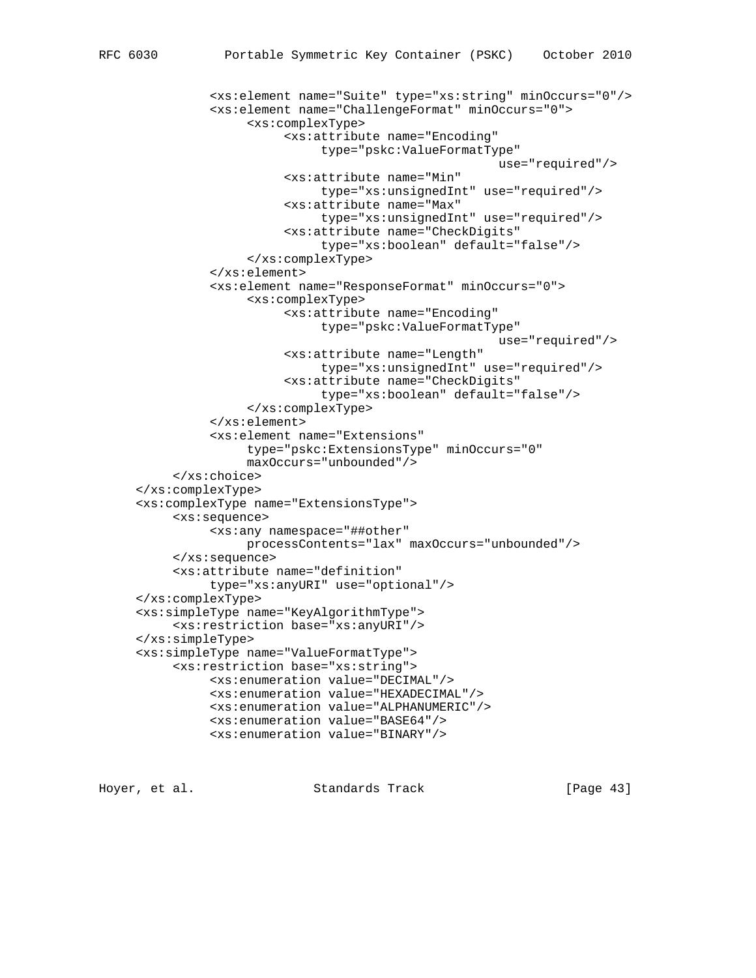```
 <xs:element name="Suite" type="xs:string" minOccurs="0"/>
           <xs:element name="ChallengeFormat" minOccurs="0">
                <xs:complexType>
                      <xs:attribute name="Encoding"
                           type="pskc:ValueFormatType"
                                                    use="required"/>
                     <xs:attribute name="Min"
                           type="xs:unsignedInt" use="required"/>
                      <xs:attribute name="Max"
                           type="xs:unsignedInt" use="required"/>
                      <xs:attribute name="CheckDigits"
                           type="xs:boolean" default="false"/>
                </xs:complexType>
           </xs:element>
           <xs:element name="ResponseFormat" minOccurs="0">
                <xs:complexType>
                     <xs:attribute name="Encoding"
                           type="pskc:ValueFormatType"
                                                    use="required"/>
                     <xs:attribute name="Length"
                          type="xs:unsignedInt" use="required"/>
                      <xs:attribute name="CheckDigits"
                           type="xs:boolean" default="false"/>
                </xs:complexType>
           </xs:element>
           <xs:element name="Extensions"
                type="pskc:ExtensionsType" minOccurs="0"
                maxOccurs="unbounded"/>
      </xs:choice>
 </xs:complexType>
 <xs:complexType name="ExtensionsType">
      <xs:sequence>
           <xs:any namespace="##other"
               processContents="lax" maxOccurs="unbounded"/>
      </xs:sequence>
      <xs:attribute name="definition"
           type="xs:anyURI" use="optional"/>
 </xs:complexType>
 <xs:simpleType name="KeyAlgorithmType">
      <xs:restriction base="xs:anyURI"/>
 </xs:simpleType>
 <xs:simpleType name="ValueFormatType">
      <xs:restriction base="xs:string">
           <xs:enumeration value="DECIMAL"/>
           <xs:enumeration value="HEXADECIMAL"/>
           <xs:enumeration value="ALPHANUMERIC"/>
```

```
Hoyer, et al. Standards Track [Page 43]
```
 <xs:enumeration value="BASE64"/> <xs:enumeration value="BINARY"/>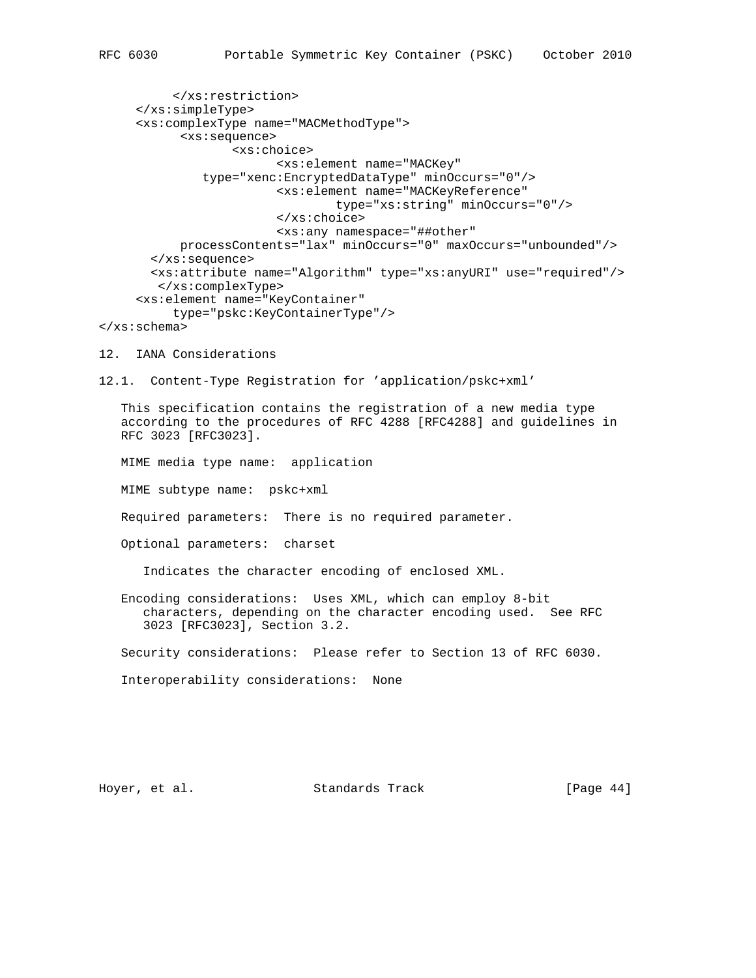</xs:restriction> </xs:simpleType> <xs:complexType name="MACMethodType"> <xs:sequence> <xs:choice> <xs:element name="MACKey" type="xenc:EncryptedDataType" minOccurs="0"/> <xs:element name="MACKeyReference" type="xs:string" minOccurs="0"/> </xs:choice> <xs:any namespace="##other" processContents="lax" minOccurs="0" maxOccurs="unbounded"/> </xs:sequence> <xs:attribute name="Algorithm" type="xs:anyURI" use="required"/> </xs:complexType> <xs:element name="KeyContainer" type="pskc:KeyContainerType"/> </xs:schema> 12. IANA Considerations 12.1. Content-Type Registration for 'application/pskc+xml' This specification contains the registration of a new media type according to the procedures of RFC 4288 [RFC4288] and guidelines in RFC 3023 [RFC3023]. MIME media type name: application MIME subtype name: pskc+xml Required parameters: There is no required parameter. Optional parameters: charset Indicates the character encoding of enclosed XML. Encoding considerations: Uses XML, which can employ 8-bit characters, depending on the character encoding used. See RFC 3023 [RFC3023], Section 3.2. Security considerations: Please refer to Section 13 of RFC 6030. Interoperability considerations: None

Hoyer, et al. Standards Track [Page 44]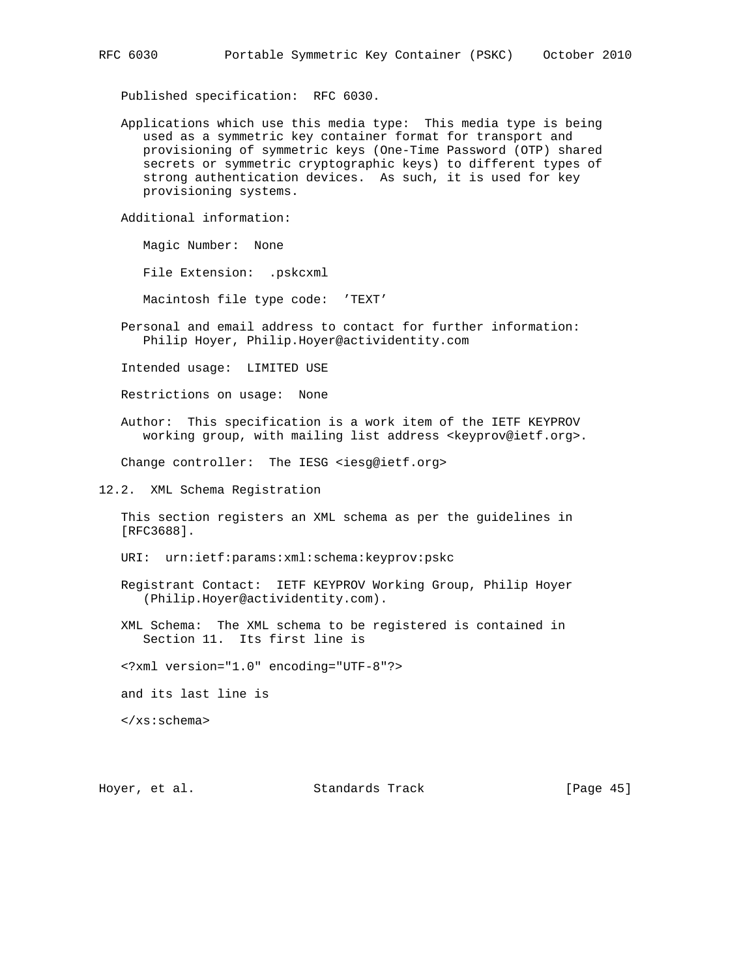Published specification: RFC 6030.

 Applications which use this media type: This media type is being used as a symmetric key container format for transport and provisioning of symmetric keys (One-Time Password (OTP) shared secrets or symmetric cryptographic keys) to different types of strong authentication devices. As such, it is used for key provisioning systems.

Additional information:

Magic Number: None

File Extension: .pskcxml

Macintosh file type code: 'TEXT'

 Personal and email address to contact for further information: Philip Hoyer, Philip.Hoyer@actividentity.com

Intended usage: LIMITED USE

Restrictions on usage: None

 Author: This specification is a work item of the IETF KEYPROV working group, with mailing list address <keyprov@ietf.org>.

Change controller: The IESG <iesg@ietf.org>

12.2. XML Schema Registration

 This section registers an XML schema as per the guidelines in [RFC3688].

URI: urn:ietf:params:xml:schema:keyprov:pskc

- Registrant Contact: IETF KEYPROV Working Group, Philip Hoyer (Philip.Hoyer@actividentity.com).
- XML Schema: The XML schema to be registered is contained in Section 11. Its first line is
- <?xml version="1.0" encoding="UTF-8"?>

and its last line is

</xs:schema>

Hoyer, et al. Standards Track [Page 45]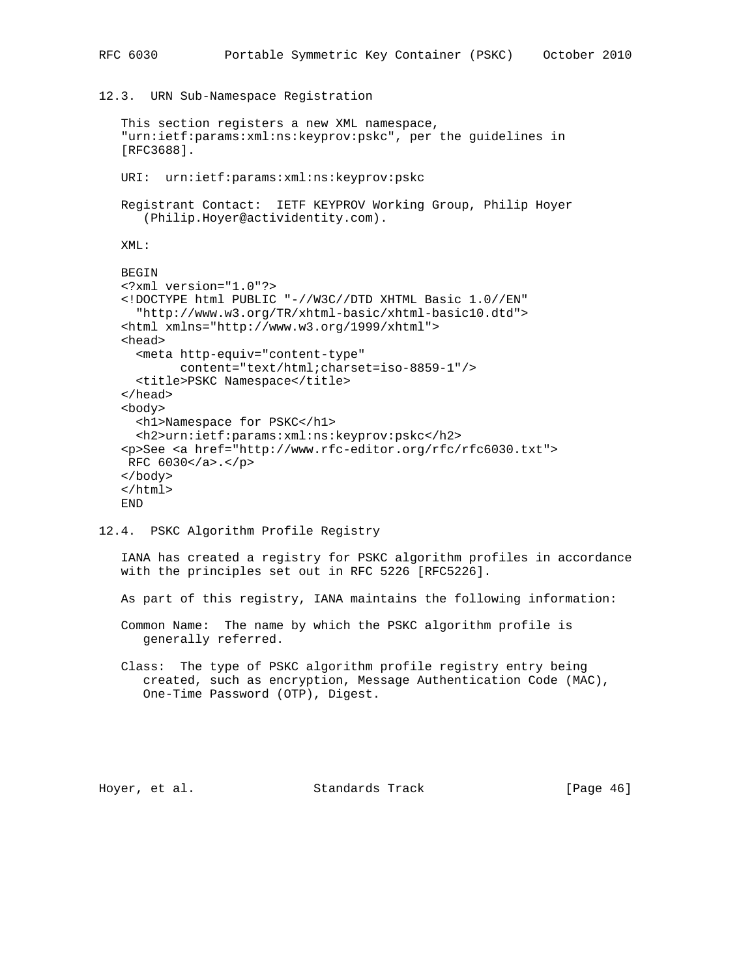12.3. URN Sub-Namespace Registration

```
 This section registers a new XML namespace,
 "urn:ietf:params:xml:ns:keyprov:pskc", per the guidelines in
 [RFC3688].
 URI: urn:ietf:params:xml:ns:keyprov:pskc
 Registrant Contact: IETF KEYPROV Working Group, Philip Hoyer
    (Philip.Hoyer@actividentity.com).
 XML:
 BEGIN
 <?xml version="1.0"?>
 <!DOCTYPE html PUBLIC "-//W3C//DTD XHTML Basic 1.0//EN"
   "http://www.w3.org/TR/xhtml-basic/xhtml-basic10.dtd">
 <html xmlns="http://www.w3.org/1999/xhtml">
 <head>
   <meta http-equiv="content-type"
         content="text/html;charset=iso-8859-1"/>
   <title>PSKC Namespace</title>
 </head>
 <body>
   <h1>Namespace for PSKC</h1>
   <h2>urn:ietf:params:xml:ns:keyprov:pskc</h2>
 <p>See <a href="http://www.rfc-editor.org/rfc/rfc6030.txt">
 RFC 6030</a>.</p>
 </body>
 </html>
 END
```
12.4. PSKC Algorithm Profile Registry

 IANA has created a registry for PSKC algorithm profiles in accordance with the principles set out in RFC 5226 [RFC5226].

As part of this registry, IANA maintains the following information:

 Common Name: The name by which the PSKC algorithm profile is generally referred.

 Class: The type of PSKC algorithm profile registry entry being created, such as encryption, Message Authentication Code (MAC), One-Time Password (OTP), Digest.

Hoyer, et al. Standards Track [Page 46]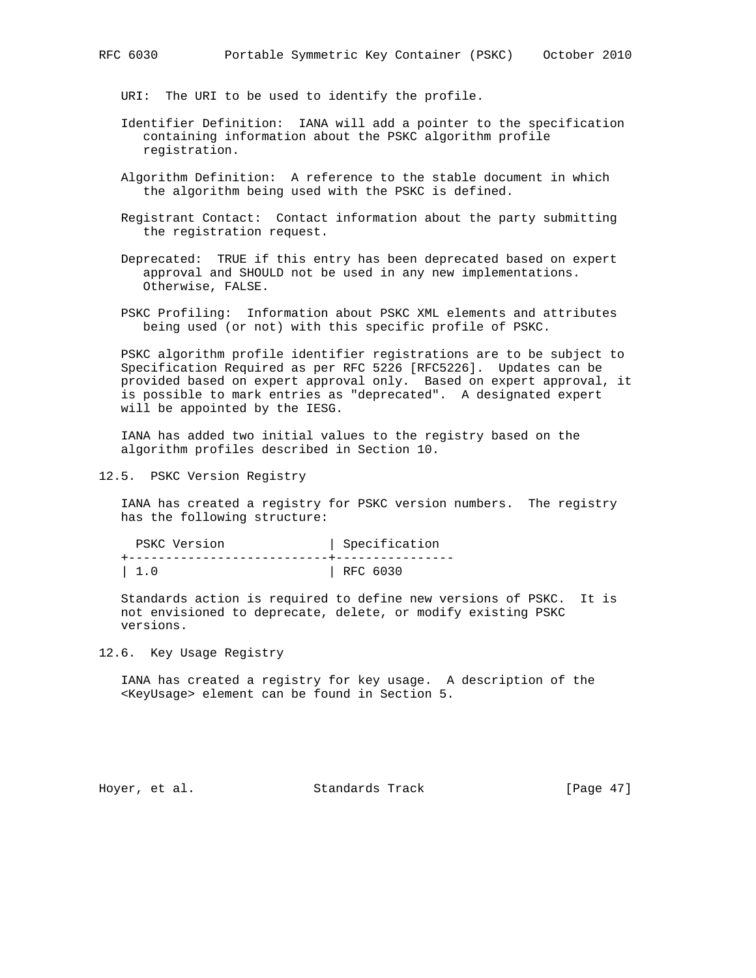URI: The URI to be used to identify the profile.

- Identifier Definition: IANA will add a pointer to the specification containing information about the PSKC algorithm profile registration.
- Algorithm Definition: A reference to the stable document in which the algorithm being used with the PSKC is defined.
- Registrant Contact: Contact information about the party submitting the registration request.

 Deprecated: TRUE if this entry has been deprecated based on expert approval and SHOULD not be used in any new implementations. Otherwise, FALSE.

 PSKC Profiling: Information about PSKC XML elements and attributes being used (or not) with this specific profile of PSKC.

 PSKC algorithm profile identifier registrations are to be subject to Specification Required as per RFC 5226 [RFC5226]. Updates can be provided based on expert approval only. Based on expert approval, it is possible to mark entries as "deprecated". A designated expert will be appointed by the IESG.

 IANA has added two initial values to the registry based on the algorithm profiles described in Section 10.

12.5. PSKC Version Registry

 IANA has created a registry for PSKC version numbers. The registry has the following structure:

| PSKC Version | Specification |
|--------------|---------------|
|              |               |
| $\vert 1.0$  | $ $ RFC 6030  |

 Standards action is required to define new versions of PSKC. It is not envisioned to deprecate, delete, or modify existing PSKC versions.

# 12.6. Key Usage Registry

 IANA has created a registry for key usage. A description of the <KeyUsage> element can be found in Section 5.

Hoyer, et al. Standards Track [Page 47]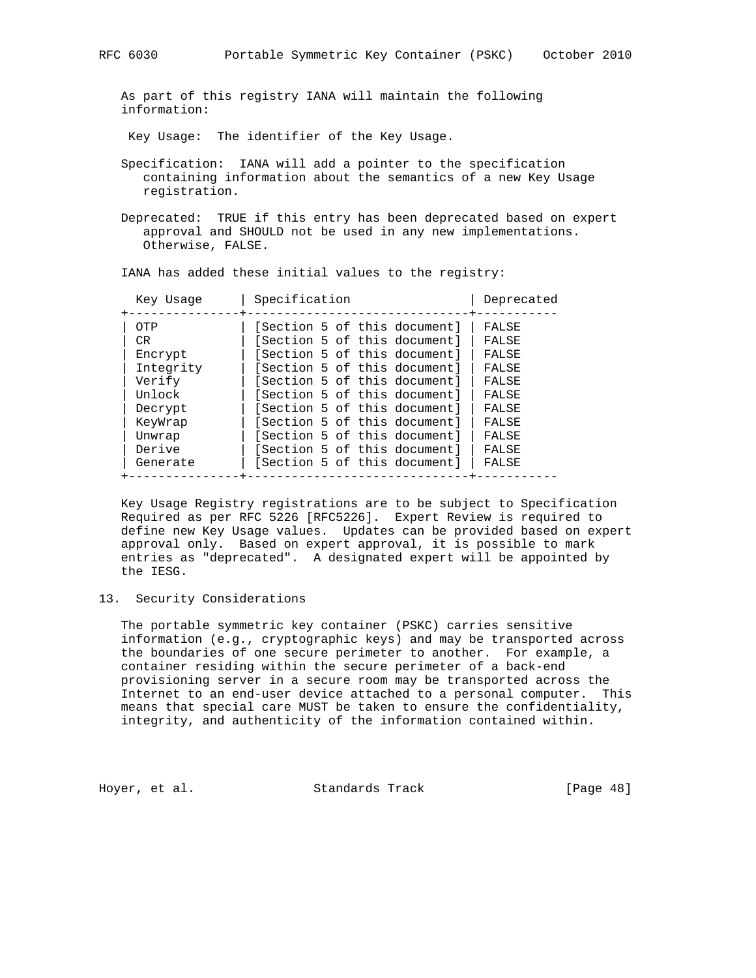As part of this registry IANA will maintain the following information:

Key Usage: The identifier of the Key Usage.

- Specification: IANA will add a pointer to the specification containing information about the semantics of a new Key Usage registration.
- Deprecated: TRUE if this entry has been deprecated based on expert approval and SHOULD not be used in any new implementations. Otherwise, FALSE.

| IANA has added these initial values to the registry: |  |
|------------------------------------------------------|--|
|------------------------------------------------------|--|

| Key Usage | Specification<br>Deprecated           |  |
|-----------|---------------------------------------|--|
| OTP       | [Section 5 of this document]<br>FALSE |  |
| CR.       | [Section 5 of this document]<br>FALSE |  |
| Encrypt   | [Section 5 of this document]<br>FALSE |  |
| Integrity | [Section 5 of this document]<br>FALSE |  |
| Verify    | [Section 5 of this document]<br>FALSE |  |
| Unlock    | [Section 5 of this document]<br>FALSE |  |
| Decrypt   | [Section 5 of this document]<br>FALSE |  |
| KeyWrap   | [Section 5 of this document]<br>FALSE |  |
| Unwrap    | [Section 5 of this document]<br>FALSE |  |
| Derive    | [Section 5 of this document]<br>FALSE |  |
| Generate  | [Section 5 of this document]<br>FALSE |  |

 Key Usage Registry registrations are to be subject to Specification Required as per RFC 5226 [RFC5226]. Expert Review is required to define new Key Usage values. Updates can be provided based on expert approval only. Based on expert approval, it is possible to mark entries as "deprecated". A designated expert will be appointed by the IESG.

# 13. Security Considerations

 The portable symmetric key container (PSKC) carries sensitive information (e.g., cryptographic keys) and may be transported across the boundaries of one secure perimeter to another. For example, a container residing within the secure perimeter of a back-end provisioning server in a secure room may be transported across the Internet to an end-user device attached to a personal computer. This means that special care MUST be taken to ensure the confidentiality, integrity, and authenticity of the information contained within.

Hoyer, et al. Standards Track [Page 48]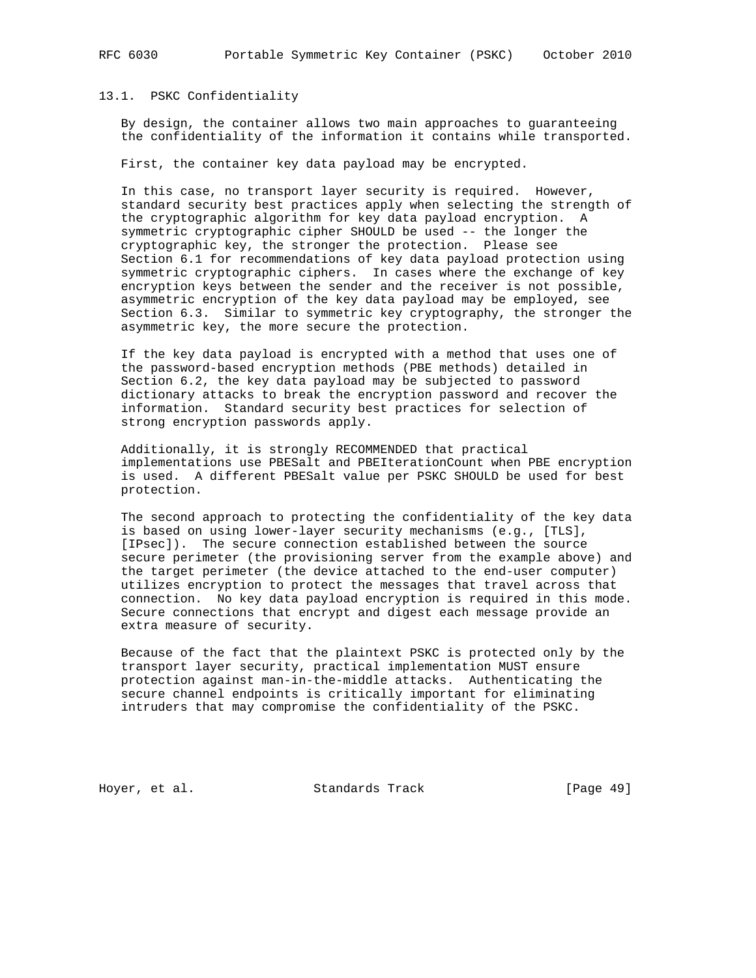# 13.1. PSKC Confidentiality

 By design, the container allows two main approaches to guaranteeing the confidentiality of the information it contains while transported.

First, the container key data payload may be encrypted.

 In this case, no transport layer security is required. However, standard security best practices apply when selecting the strength of the cryptographic algorithm for key data payload encryption. A symmetric cryptographic cipher SHOULD be used -- the longer the cryptographic key, the stronger the protection. Please see Section 6.1 for recommendations of key data payload protection using symmetric cryptographic ciphers. In cases where the exchange of key encryption keys between the sender and the receiver is not possible, asymmetric encryption of the key data payload may be employed, see Section 6.3. Similar to symmetric key cryptography, the stronger the asymmetric key, the more secure the protection.

 If the key data payload is encrypted with a method that uses one of the password-based encryption methods (PBE methods) detailed in Section 6.2, the key data payload may be subjected to password dictionary attacks to break the encryption password and recover the information. Standard security best practices for selection of strong encryption passwords apply.

 Additionally, it is strongly RECOMMENDED that practical implementations use PBESalt and PBEIterationCount when PBE encryption is used. A different PBESalt value per PSKC SHOULD be used for best protection.

 The second approach to protecting the confidentiality of the key data is based on using lower-layer security mechanisms (e.g., [TLS], [IPsec]). The secure connection established between the source secure perimeter (the provisioning server from the example above) and the target perimeter (the device attached to the end-user computer) utilizes encryption to protect the messages that travel across that connection. No key data payload encryption is required in this mode. Secure connections that encrypt and digest each message provide an extra measure of security.

 Because of the fact that the plaintext PSKC is protected only by the transport layer security, practical implementation MUST ensure protection against man-in-the-middle attacks. Authenticating the secure channel endpoints is critically important for eliminating intruders that may compromise the confidentiality of the PSKC.

Hoyer, et al. Standards Track [Page 49]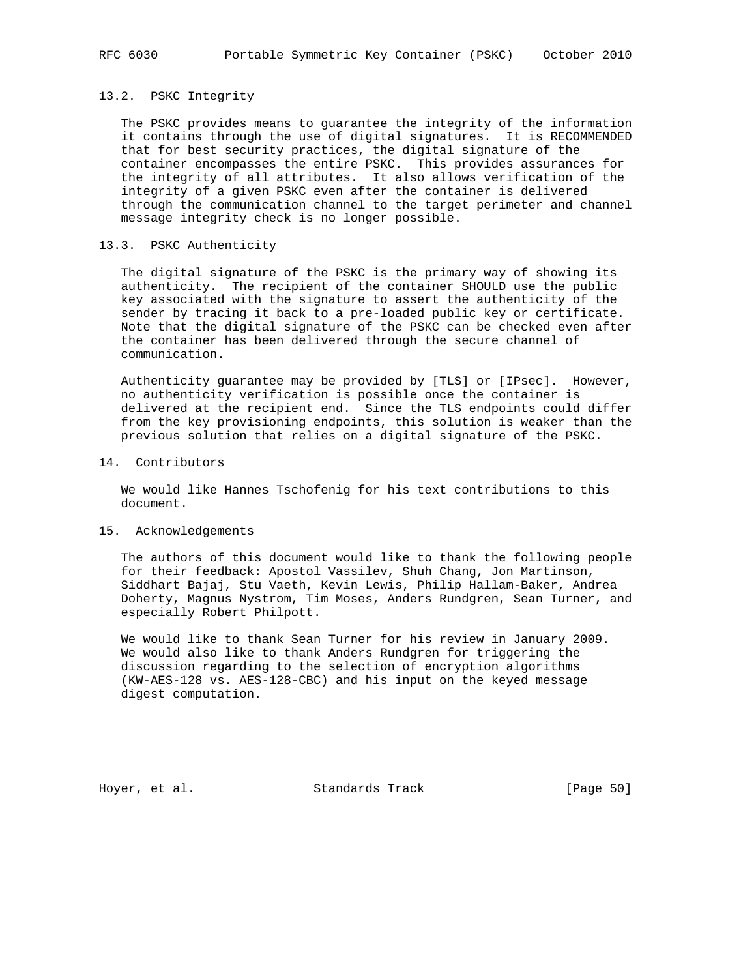# 13.2. PSKC Integrity

 The PSKC provides means to guarantee the integrity of the information it contains through the use of digital signatures. It is RECOMMENDED that for best security practices, the digital signature of the container encompasses the entire PSKC. This provides assurances for the integrity of all attributes. It also allows verification of the integrity of a given PSKC even after the container is delivered through the communication channel to the target perimeter and channel message integrity check is no longer possible.

# 13.3. PSKC Authenticity

 The digital signature of the PSKC is the primary way of showing its authenticity. The recipient of the container SHOULD use the public key associated with the signature to assert the authenticity of the sender by tracing it back to a pre-loaded public key or certificate. Note that the digital signature of the PSKC can be checked even after the container has been delivered through the secure channel of communication.

 Authenticity guarantee may be provided by [TLS] or [IPsec]. However, no authenticity verification is possible once the container is delivered at the recipient end. Since the TLS endpoints could differ from the key provisioning endpoints, this solution is weaker than the previous solution that relies on a digital signature of the PSKC.

#### 14. Contributors

 We would like Hannes Tschofenig for his text contributions to this document.

## 15. Acknowledgements

 The authors of this document would like to thank the following people for their feedback: Apostol Vassilev, Shuh Chang, Jon Martinson, Siddhart Bajaj, Stu Vaeth, Kevin Lewis, Philip Hallam-Baker, Andrea Doherty, Magnus Nystrom, Tim Moses, Anders Rundgren, Sean Turner, and especially Robert Philpott.

 We would like to thank Sean Turner for his review in January 2009. We would also like to thank Anders Rundgren for triggering the discussion regarding to the selection of encryption algorithms (KW-AES-128 vs. AES-128-CBC) and his input on the keyed message digest computation.

Hoyer, et al. Standards Track [Page 50]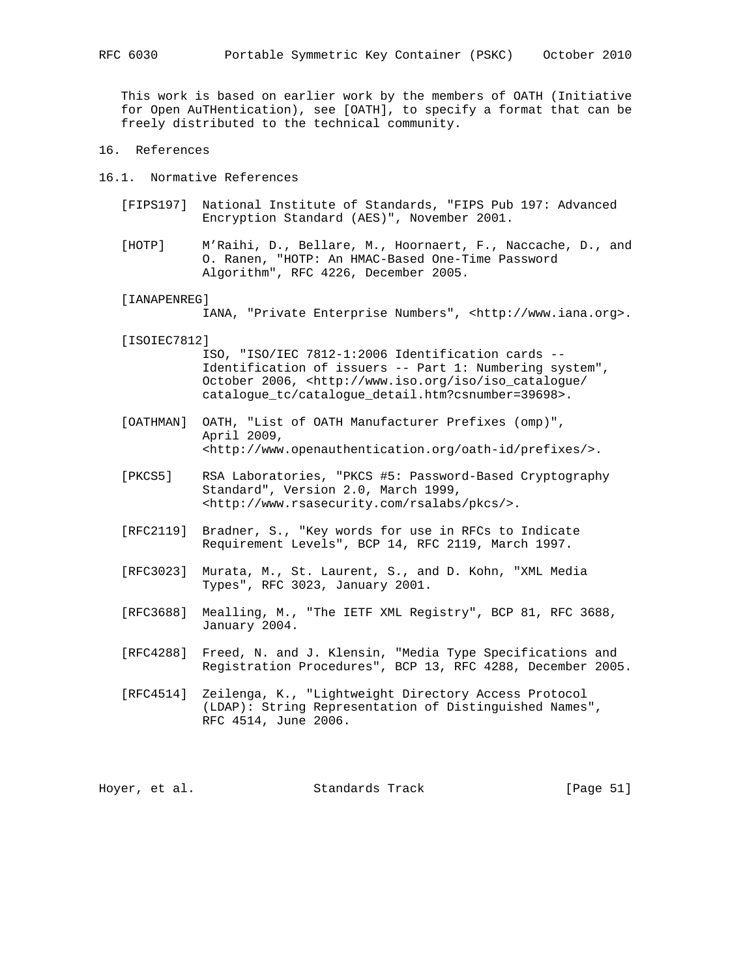This work is based on earlier work by the members of OATH (Initiative for Open AuTHentication), see [OATH], to specify a format that can be freely distributed to the technical community.

- 16. References
- 16.1. Normative References
	- [FIPS197] National Institute of Standards, "FIPS Pub 197: Advanced Encryption Standard (AES)", November 2001.
	- [HOTP] M'Raihi, D., Bellare, M., Hoornaert, F., Naccache, D., and O. Ranen, "HOTP: An HMAC-Based One-Time Password Algorithm", RFC 4226, December 2005.
	- [IANAPENREG]

IANA, "Private Enterprise Numbers", <http://www.iana.org>.

[ISOIEC7812]

 ISO, "ISO/IEC 7812-1:2006 Identification cards -- Identification of issuers -- Part 1: Numbering system", October 2006, <http://www.iso.org/iso/iso\_catalogue/ catalogue\_tc/catalogue\_detail.htm?csnumber=39698>.

- [OATHMAN] OATH, "List of OATH Manufacturer Prefixes (omp)", April 2009, <http://www.openauthentication.org/oath-id/prefixes/>.
- [PKCS5] RSA Laboratories, "PKCS #5: Password-Based Cryptography Standard", Version 2.0, March 1999, <http://www.rsasecurity.com/rsalabs/pkcs/>.
- [RFC2119] Bradner, S., "Key words for use in RFCs to Indicate Requirement Levels", BCP 14, RFC 2119, March 1997.
- [RFC3023] Murata, M., St. Laurent, S., and D. Kohn, "XML Media Types", RFC 3023, January 2001.
- [RFC3688] Mealling, M., "The IETF XML Registry", BCP 81, RFC 3688, January 2004.
- [RFC4288] Freed, N. and J. Klensin, "Media Type Specifications and Registration Procedures", BCP 13, RFC 4288, December 2005.
- [RFC4514] Zeilenga, K., "Lightweight Directory Access Protocol (LDAP): String Representation of Distinguished Names", RFC 4514, June 2006.

Hoyer, et al. Standards Track [Page 51]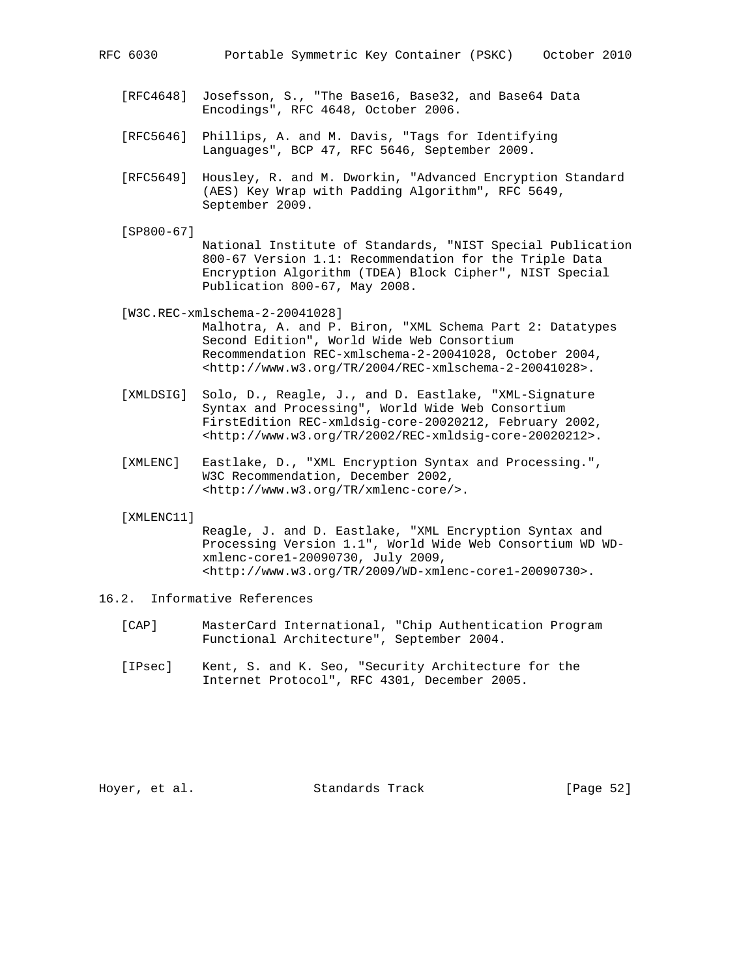- [RFC4648] Josefsson, S., "The Base16, Base32, and Base64 Data Encodings", RFC 4648, October 2006.
- [RFC5646] Phillips, A. and M. Davis, "Tags for Identifying Languages", BCP 47, RFC 5646, September 2009.
- [RFC5649] Housley, R. and M. Dworkin, "Advanced Encryption Standard (AES) Key Wrap with Padding Algorithm", RFC 5649, September 2009.
- [SP800-67]

 National Institute of Standards, "NIST Special Publication 800-67 Version 1.1: Recommendation for the Triple Data Encryption Algorithm (TDEA) Block Cipher", NIST Special Publication 800-67, May 2008.

[W3C.REC-xmlschema-2-20041028]

- Malhotra, A. and P. Biron, "XML Schema Part 2: Datatypes Second Edition", World Wide Web Consortium Recommendation REC-xmlschema-2-20041028, October 2004, <http://www.w3.org/TR/2004/REC-xmlschema-2-20041028>.
- [XMLDSIG] Solo, D., Reagle, J., and D. Eastlake, "XML-Signature Syntax and Processing", World Wide Web Consortium FirstEdition REC-xmldsig-core-20020212, February 2002, <http://www.w3.org/TR/2002/REC-xmldsig-core-20020212>.
- [XMLENC] Eastlake, D., "XML Encryption Syntax and Processing.", W3C Recommendation, December 2002, <http://www.w3.org/TR/xmlenc-core/>.

[XMLENC11]

 Reagle, J. and D. Eastlake, "XML Encryption Syntax and Processing Version 1.1", World Wide Web Consortium WD WD xmlenc-core1-20090730, July 2009, <http://www.w3.org/TR/2009/WD-xmlenc-core1-20090730>.

- 16.2. Informative References
	- [CAP] MasterCard International, "Chip Authentication Program Functional Architecture", September 2004.
	- [IPsec] Kent, S. and K. Seo, "Security Architecture for the Internet Protocol", RFC 4301, December 2005.

Hoyer, et al. Standards Track [Page 52]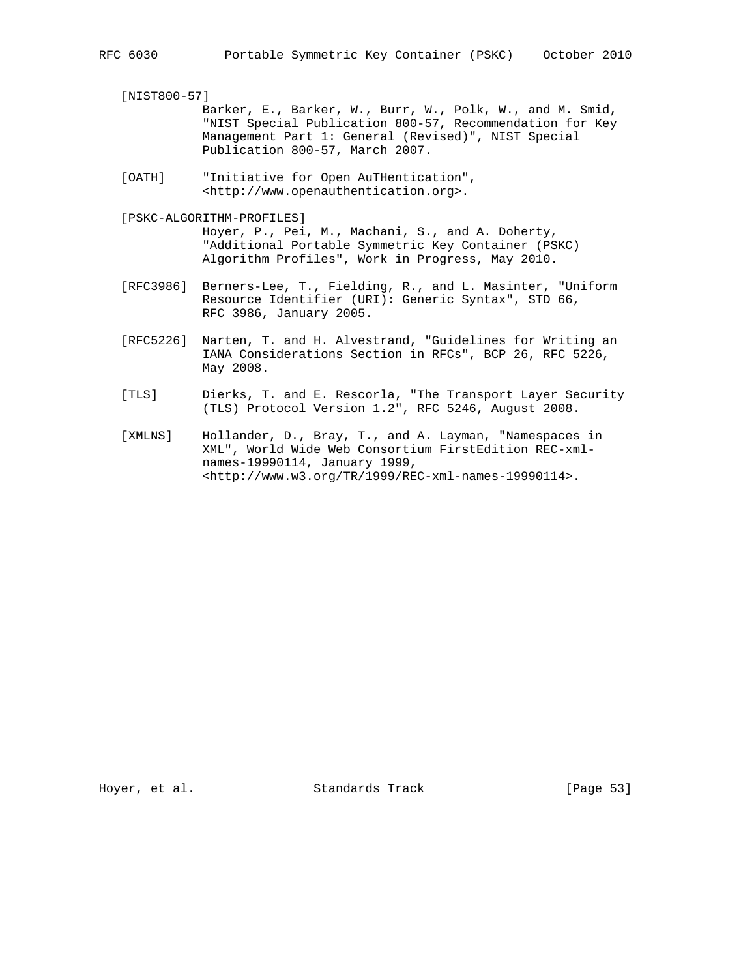[NIST800-57]

 Barker, E., Barker, W., Burr, W., Polk, W., and M. Smid, "NIST Special Publication 800-57, Recommendation for Key Management Part 1: General (Revised)", NIST Special Publication 800-57, March 2007.

 [OATH] "Initiative for Open AuTHentication", <http://www.openauthentication.org>.

 [PSKC-ALGORITHM-PROFILES] Hoyer, P., Pei, M., Machani, S., and A. Doherty, "Additional Portable Symmetric Key Container (PSKC) Algorithm Profiles", Work in Progress, May 2010.

- [RFC3986] Berners-Lee, T., Fielding, R., and L. Masinter, "Uniform Resource Identifier (URI): Generic Syntax", STD 66, RFC 3986, January 2005.
- [RFC5226] Narten, T. and H. Alvestrand, "Guidelines for Writing an IANA Considerations Section in RFCs", BCP 26, RFC 5226, May 2008.
- [TLS] Dierks, T. and E. Rescorla, "The Transport Layer Security (TLS) Protocol Version 1.2", RFC 5246, August 2008.
- [XMLNS] Hollander, D., Bray, T., and A. Layman, "Namespaces in XML", World Wide Web Consortium FirstEdition REC-xml names-19990114, January 1999, <http://www.w3.org/TR/1999/REC-xml-names-19990114>.

Hoyer, et al. Standards Track [Page 53]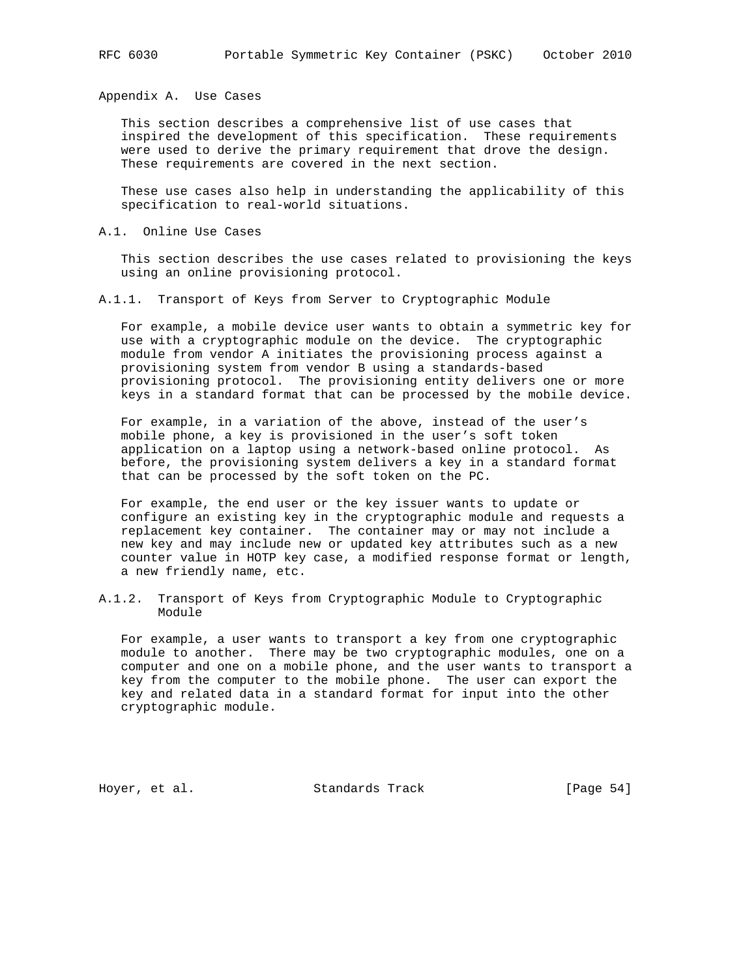Appendix A. Use Cases

 This section describes a comprehensive list of use cases that inspired the development of this specification. These requirements were used to derive the primary requirement that drove the design. These requirements are covered in the next section.

 These use cases also help in understanding the applicability of this specification to real-world situations.

#### A.1. Online Use Cases

 This section describes the use cases related to provisioning the keys using an online provisioning protocol.

A.1.1. Transport of Keys from Server to Cryptographic Module

 For example, a mobile device user wants to obtain a symmetric key for use with a cryptographic module on the device. The cryptographic module from vendor A initiates the provisioning process against a provisioning system from vendor B using a standards-based provisioning protocol. The provisioning entity delivers one or more keys in a standard format that can be processed by the mobile device.

 For example, in a variation of the above, instead of the user's mobile phone, a key is provisioned in the user's soft token application on a laptop using a network-based online protocol. As before, the provisioning system delivers a key in a standard format that can be processed by the soft token on the PC.

 For example, the end user or the key issuer wants to update or configure an existing key in the cryptographic module and requests a replacement key container. The container may or may not include a new key and may include new or updated key attributes such as a new counter value in HOTP key case, a modified response format or length, a new friendly name, etc.

A.1.2. Transport of Keys from Cryptographic Module to Cryptographic Module

 For example, a user wants to transport a key from one cryptographic module to another. There may be two cryptographic modules, one on a computer and one on a mobile phone, and the user wants to transport a key from the computer to the mobile phone. The user can export the key and related data in a standard format for input into the other cryptographic module.

Hoyer, et al. Standards Track [Page 54]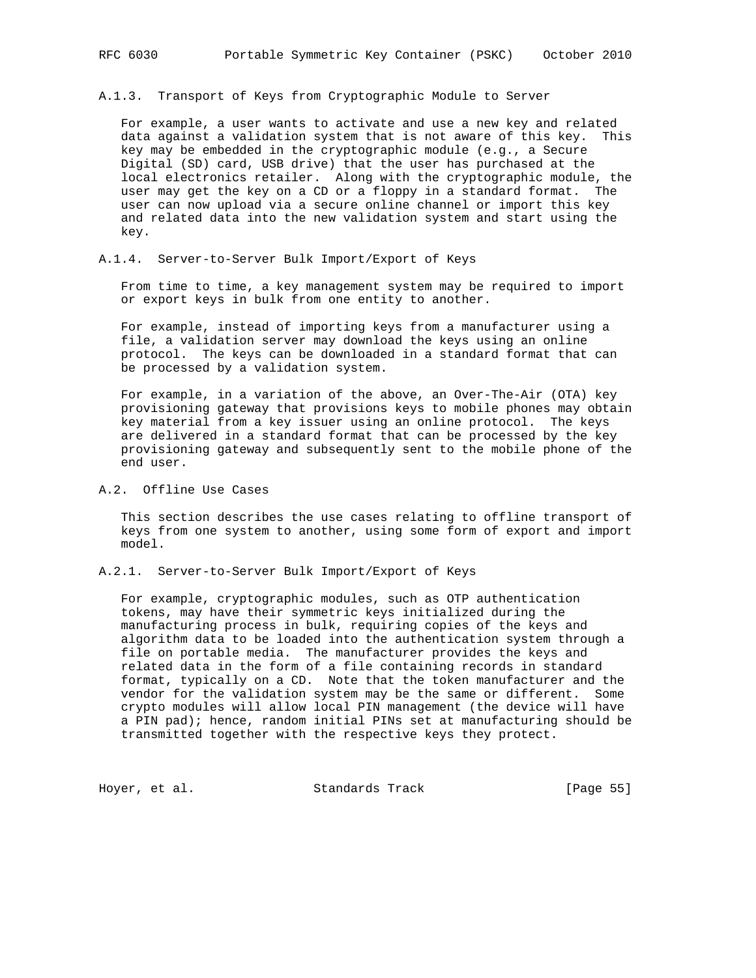A.1.3. Transport of Keys from Cryptographic Module to Server

 For example, a user wants to activate and use a new key and related data against a validation system that is not aware of this key. This key may be embedded in the cryptographic module (e.g., a Secure Digital (SD) card, USB drive) that the user has purchased at the local electronics retailer. Along with the cryptographic module, the user may get the key on a CD or a floppy in a standard format. The user can now upload via a secure online channel or import this key and related data into the new validation system and start using the key.

# A.1.4. Server-to-Server Bulk Import/Export of Keys

 From time to time, a key management system may be required to import or export keys in bulk from one entity to another.

 For example, instead of importing keys from a manufacturer using a file, a validation server may download the keys using an online protocol. The keys can be downloaded in a standard format that can be processed by a validation system.

 For example, in a variation of the above, an Over-The-Air (OTA) key provisioning gateway that provisions keys to mobile phones may obtain key material from a key issuer using an online protocol. The keys are delivered in a standard format that can be processed by the key provisioning gateway and subsequently sent to the mobile phone of the end user.

# A.2. Offline Use Cases

 This section describes the use cases relating to offline transport of keys from one system to another, using some form of export and import model.

A.2.1. Server-to-Server Bulk Import/Export of Keys

 For example, cryptographic modules, such as OTP authentication tokens, may have their symmetric keys initialized during the manufacturing process in bulk, requiring copies of the keys and algorithm data to be loaded into the authentication system through a file on portable media. The manufacturer provides the keys and related data in the form of a file containing records in standard format, typically on a CD. Note that the token manufacturer and the vendor for the validation system may be the same or different. Some crypto modules will allow local PIN management (the device will have a PIN pad); hence, random initial PINs set at manufacturing should be transmitted together with the respective keys they protect.

Hoyer, et al. Standards Track [Page 55]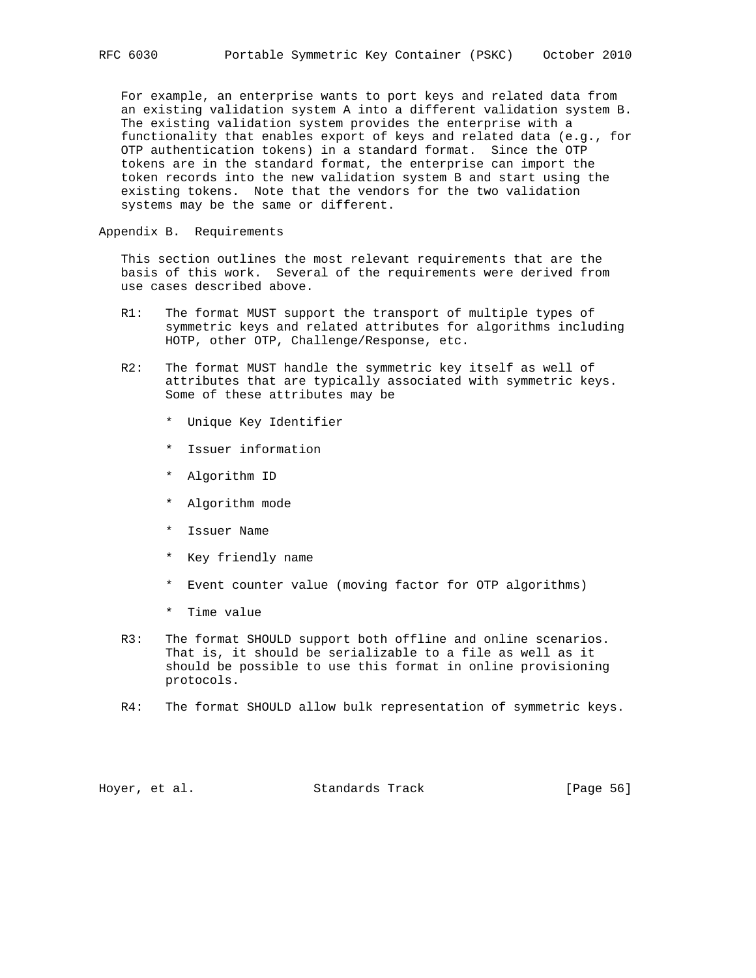For example, an enterprise wants to port keys and related data from an existing validation system A into a different validation system B. The existing validation system provides the enterprise with a functionality that enables export of keys and related data (e.g., for OTP authentication tokens) in a standard format. Since the OTP tokens are in the standard format, the enterprise can import the token records into the new validation system B and start using the existing tokens. Note that the vendors for the two validation systems may be the same or different.

Appendix B. Requirements

 This section outlines the most relevant requirements that are the basis of this work. Several of the requirements were derived from use cases described above.

- R1: The format MUST support the transport of multiple types of symmetric keys and related attributes for algorithms including HOTP, other OTP, Challenge/Response, etc.
- R2: The format MUST handle the symmetric key itself as well of attributes that are typically associated with symmetric keys. Some of these attributes may be
	- \* Unique Key Identifier
	- \* Issuer information
	- \* Algorithm ID
	- \* Algorithm mode
	- \* Issuer Name
	- \* Key friendly name
	- \* Event counter value (moving factor for OTP algorithms)
	- \* Time value
- R3: The format SHOULD support both offline and online scenarios. That is, it should be serializable to a file as well as it should be possible to use this format in online provisioning protocols.
- R4: The format SHOULD allow bulk representation of symmetric keys.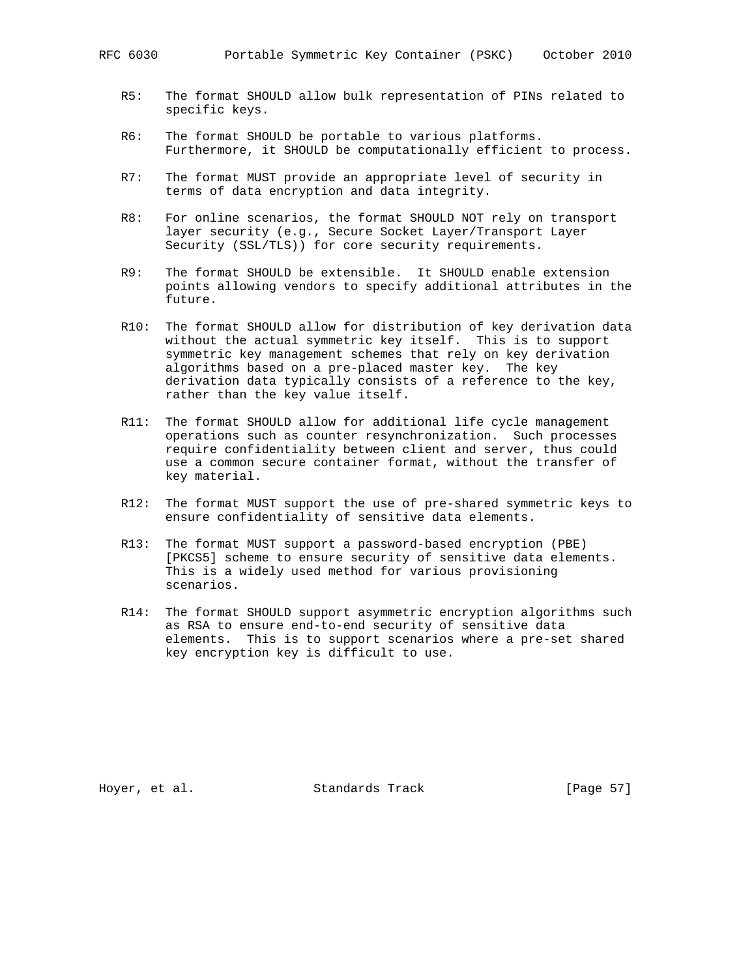- R5: The format SHOULD allow bulk representation of PINs related to specific keys.
- R6: The format SHOULD be portable to various platforms. Furthermore, it SHOULD be computationally efficient to process.
- R7: The format MUST provide an appropriate level of security in terms of data encryption and data integrity.
- R8: For online scenarios, the format SHOULD NOT rely on transport layer security (e.g., Secure Socket Layer/Transport Layer Security (SSL/TLS)) for core security requirements.
- R9: The format SHOULD be extensible. It SHOULD enable extension points allowing vendors to specify additional attributes in the future.
- R10: The format SHOULD allow for distribution of key derivation data without the actual symmetric key itself. This is to support symmetric key management schemes that rely on key derivation algorithms based on a pre-placed master key. The key derivation data typically consists of a reference to the key, rather than the key value itself.
- R11: The format SHOULD allow for additional life cycle management operations such as counter resynchronization. Such processes require confidentiality between client and server, thus could use a common secure container format, without the transfer of key material.
- R12: The format MUST support the use of pre-shared symmetric keys to ensure confidentiality of sensitive data elements.
- R13: The format MUST support a password-based encryption (PBE) [PKCS5] scheme to ensure security of sensitive data elements. This is a widely used method for various provisioning scenarios.
- R14: The format SHOULD support asymmetric encryption algorithms such as RSA to ensure end-to-end security of sensitive data elements. This is to support scenarios where a pre-set shared key encryption key is difficult to use.

Hoyer, et al. Standards Track [Page 57]